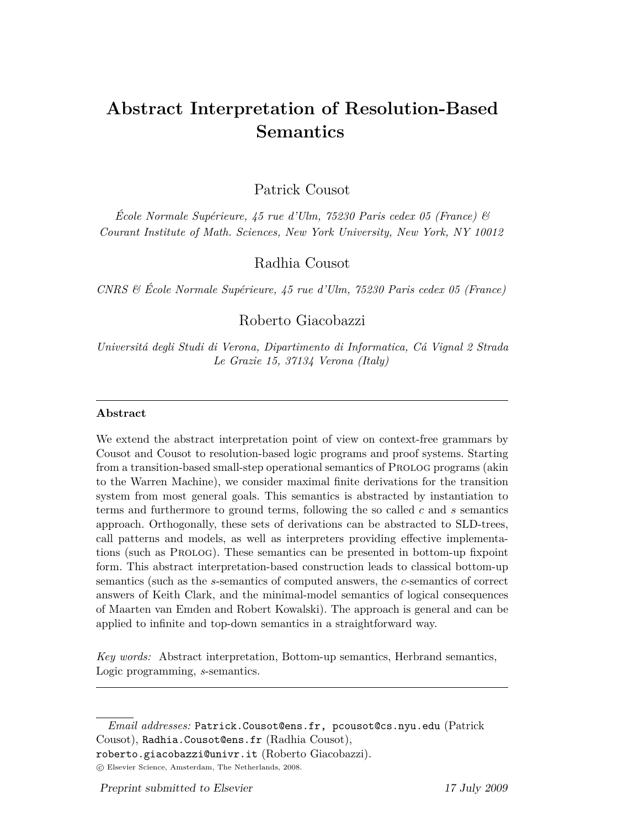# **Abstract Interpretation of Resolution-Based Semantics**

Patrick Cousot

*École Normale Supérieure, 45 rue d'Ulm, 75230 Paris cedex 05 (France) & Courant Institute of Math. Sciences, New York University, New York, NY 10012*

Radhia Cousot

*CNRS & École Normale Supérieure, 45 rue d'Ulm, 75230 Paris cedex 05 (France)*

Roberto Giacobazzi

*Universitá degli Studi di Verona, Dipartimento di Informatica, Cá Vignal 2 Strada Le Grazie 15, 37134 Verona (Italy)*

### **Abstract**

We extend the abstract interpretation point of view on context-free grammars by Cousot and Cousot to resolution-based logic programs and proof systems. Starting from a transition-based small-step operational semantics of Prolog programs (akin to the Warren Machine), we consider maximal finite derivations for the transition system from most general goals. This semantics is abstracted by instantiation to terms and furthermore to ground terms, following the so called *c* and *s* semantics approach. Orthogonally, these sets of derivations can be abstracted to SLD-trees, call patterns and models, as well as interpreters providing effective implementations (such as Prolog). These semantics can be presented in bottom-up fixpoint form. This abstract interpretation-based construction leads to classical bottom-up semantics (such as the *s*-semantics of computed answers, the *c*-semantics of correct answers of Keith Clark, and the minimal-model semantics of logical consequences of Maarten van Emden and Robert Kowalski). The approach is general and can be applied to infinite and top-down semantics in a straightforward way.

*Key words:* Abstract interpretation, Bottom-up semantics, Herbrand semantics, Logic programming, *s*-semantics.

*Email addresses:* Patrick. Cousot@ens.fr, pcousot@cs.nyu.edu (Patrick Cousot), Radhia.Cousot@ens.fr (Radhia Cousot),

roberto.giacobazzi@univr.it (Roberto Giacobazzi).

 $\circ$  Elsevier Science, Amsterdam, The Netherlands, 2008.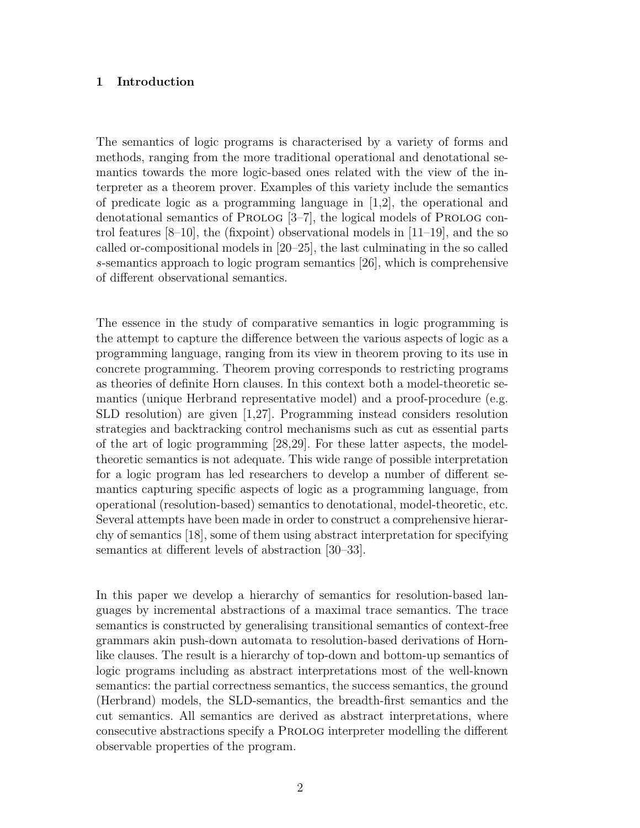### **1 Introduction**

The semantics of logic programs is characterised by a variety of forms and methods, ranging from the more traditional operational and denotational semantics towards the more logic-based ones related with the view of the interpreter as a theorem prover. Examples of this variety include the semantics of predicate logic as a programming language in [1,2], the operational and denotational semantics of PROLOG [3–7], the logical models of PROLOG control features  $[8-10]$ , the (fixpoint) observational models in  $[11-19]$ , and the so called or-compositional models in [20–25], the last culminating in the so called *s*-semantics approach to logic program semantics [26], which is comprehensive of different observational semantics.

The essence in the study of comparative semantics in logic programming is the attempt to capture the difference between the various aspects of logic as a programming language, ranging from its view in theorem proving to its use in concrete programming. Theorem proving corresponds to restricting programs as theories of definite Horn clauses. In this context both a model-theoretic semantics (unique Herbrand representative model) and a proof-procedure (e.g. SLD resolution) are given [1,27]. Programming instead considers resolution strategies and backtracking control mechanisms such as cut as essential parts of the art of logic programming [28,29]. For these latter aspects, the modeltheoretic semantics is not adequate. This wide range of possible interpretation for a logic program has led researchers to develop a number of different semantics capturing specific aspects of logic as a programming language, from operational (resolution-based) semantics to denotational, model-theoretic, etc. Several attempts have been made in order to construct a comprehensive hierarchy of semantics [18], some of them using abstract interpretation for specifying semantics at different levels of abstraction [30–33].

In this paper we develop a hierarchy of semantics for resolution-based languages by incremental abstractions of a maximal trace semantics. The trace semantics is constructed by generalising transitional semantics of context-free grammars akin push-down automata to resolution-based derivations of Hornlike clauses. The result is a hierarchy of top-down and bottom-up semantics of logic programs including as abstract interpretations most of the well-known semantics: the partial correctness semantics, the success semantics, the ground (Herbrand) models, the SLD-semantics, the breadth-first semantics and the cut semantics. All semantics are derived as abstract interpretations, where consecutive abstractions specify a Prolog interpreter modelling the different observable properties of the program.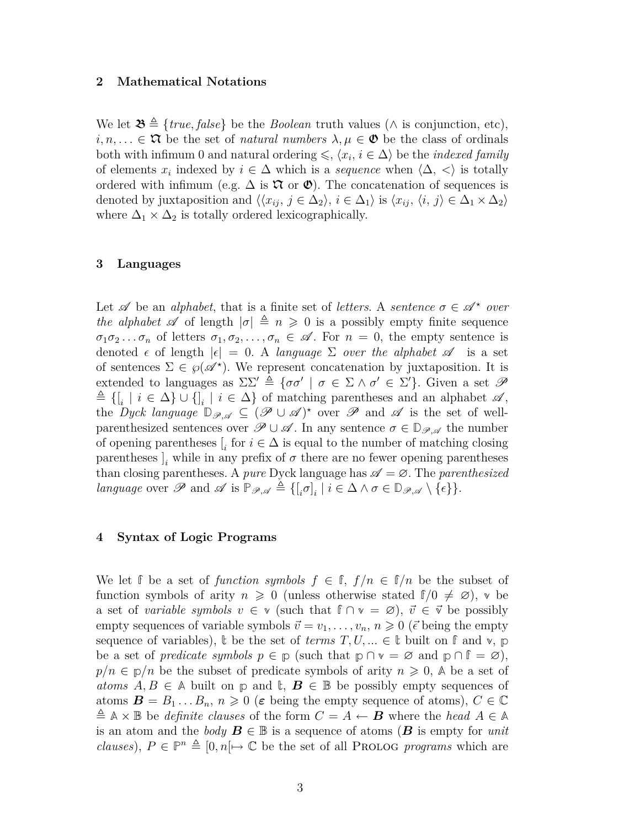### **2 Mathematical Notations**

We let  $\mathfrak{B} \triangleq \{ \text{true}, \text{false} \}$  be the *Boolean* truth values ( $\wedge$  is conjunction, etc),  $i, n, \ldots \in \mathfrak{A}$  be the set of *natural numbers*  $\lambda, \mu \in \mathfrak{O}$  be the class of ordinals both with infimum 0 and natural ordering  $\leq$ ,  $\langle x_i, i \in \Delta \rangle$  be the *indexed family* of elements  $x_i$  indexed by  $i \in \Delta$  which is a *sequence* when  $\langle \Delta, \langle \rangle$  is totally ordered with infimum (e.g.  $\Delta$  is  $\mathfrak X$  or  $\mathfrak V$ ). The concatenation of sequences is denoted by juxtaposition and  $\langle \langle x_{ij}, j \in \Delta_2 \rangle, i \in \Delta_1 \rangle$  is  $\langle x_{ij}, \langle i, j \rangle \in \Delta_1 \times \Delta_2 \rangle$ where  $\Delta_1 \times \Delta_2$  is totally ordered lexicographically.

### **3 Languages**

Let  $\mathscr A$  be an *alphabet*, that is a finite set of *letters*. A *sentence*  $\sigma \in \mathscr A^*$  *over the alphabet*  $\mathscr A$  of length  $|\sigma| \triangleq n \geq 0$  is a possibly empty finite sequence  $\sigma_1 \sigma_2 \ldots \sigma_n$  of letters  $\sigma_1, \sigma_2, \ldots, \sigma_n \in \mathscr{A}$ . For  $n = 0$ , the empty sentence is denoted  $\epsilon$  of length  $|\epsilon| = 0$ . A *language*  $\Sigma$  *over the alphabet*  $\mathscr A$  is a set of sentences  $\Sigma \in \mathcal{G}(\mathcal{A}^*)$ . We represent concatenation by juxtaposition. It is extended to languages as  $\Sigma\Sigma' \triangleq {\sigma\sigma' \mid \sigma \in \Sigma \wedge \sigma' \in \Sigma'}$ . Given a set  $\mathscr{P}$  $\triangleq$  { $[$ <sub>*i*</sub></sub> | *i* ∈ ∆} ∪ { $]$ <sub>*i*</sub></sub> | *i* ∈ ∆} of matching parentheses and an alphabet  $\mathscr{A}$ , the *Dyck language*  $\mathbb{D}_{\mathscr{P},\mathscr{A}} \subseteq (\mathscr{P} \cup \mathscr{A})^*$  over  $\mathscr{P}$  and  $\mathscr{A}$  is the set of wellparenthesized sentences over  $\mathscr{P} \cup \mathscr{A}$ . In any sentence  $\sigma \in \mathbb{D}_{\mathscr{P},\mathscr{A}}$  the number of opening parentheses  $\left[$ <sub>*i*</sub> for  $i \in \Delta$  is equal to the number of matching closing parentheses  $\mathbf{I}_i$  while in any prefix of  $\sigma$  there are no fewer opening parentheses than closing parentheses. A *pure* Dyck language has  $\mathscr{A} = \emptyset$ . The *parenthesized language* over  $\mathscr P$  and  $\mathscr A$  is  $\mathbb P_{\mathscr P,\mathscr A} \triangleq \{([\sigma]_i \mid i \in \Delta \land \sigma \in \mathbb D_{\mathscr P,\mathscr A} \setminus \{\epsilon\}\}.$ 

### **4 Syntax of Logic Programs**

We let  $\mathbb{f}$  be a set of *function symbols*  $f \in \mathbb{f}$ ,  $f/n \in \mathbb{f}/n$  be the subset of function symbols of arity  $n \geq 0$  (unless otherwise stated  $f/0 \neq \emptyset$ ), v be a set of *variable symbols*  $v \in \mathbf{v}$  (such that  $\mathbf{f} \cap \mathbf{v} = \emptyset$ ),  $\vec{v} \in \vec{\mathbf{v}}$  be possibly empty sequences of variable symbols  $\vec{v} = v_1, \dots, v_n, n \geq 0$  ( $\vec{\epsilon}$  being the empty sequence of variables),  $\uparrow$  be the set of *terms*  $T, U, \ldots \in \mathbb{I}$  built on  $\uparrow$  and  $\nu$ ,  $\nu$ be a set of *predicate symbols*  $p \in \mathbb{p}$  (such that  $p \cap v = \emptyset$  and  $p \cap f = \emptyset$ ),  $p/n \in p/n$  be the subset of predicate symbols of arity  $n \geq 0$ , A be a set of *atoms*  $A, B \in \mathbb{A}$  built on  $p$  and  $\mathbb{t}, B \in \mathbb{B}$  be possibly empty sequences of atoms  $\mathbf{B} = B_1 \dots B_n$ ,  $n \geq 0$  ( $\varepsilon$  being the empty sequence of atoms),  $C \in \mathbb{C}$  $\triangleq$   $\mathbb{A} \times \mathbb{B}$  be *definite clauses* of the form  $C = A \leftarrow$  *B* where the *head*  $A \in \mathbb{A}$ is an atom and the *body*  $B \in \mathbb{B}$  is a sequence of atoms ( $B$  is empty for *unit clauses*),  $P \in \mathbb{P}^n \triangleq [0, n] \mapsto \mathbb{C}$  be the set of all PROLOG *programs* which are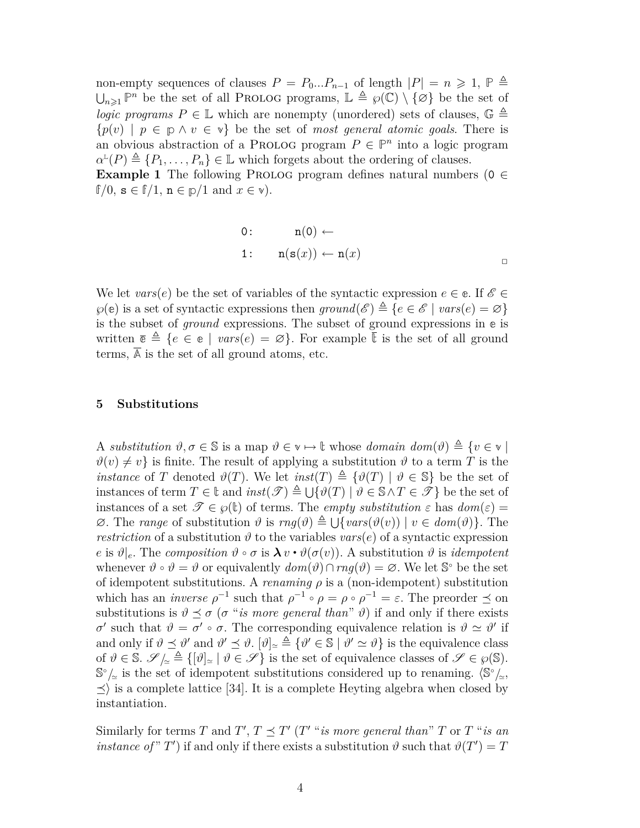non-empty sequences of clauses  $P = P_0...P_{n-1}$  of length  $|P| = n \geq 1$ ,  $P \triangleq$  $\bigcup_{n\geqslant1}\mathbb{P}^n$  be the set of all PROLOG programs,  $\mathbb{L}\triangleq\wp(\mathbb{C})\setminus\{\emptyset\}$  be the set of *logic programs*  $P \in \mathbb{L}$  which are nonempty (unordered) sets of clauses,  $\mathbb{G} \triangleq$  ${p(v) | p \in p \land v \in v}$  be the set of *most general atomic goals*. There is an obvious abstraction of a PROLOG program  $P \in \mathbb{P}^n$  into a logic program  $\alpha^{\text{L}}(P) \triangleq \{P_1, \ldots, P_n\} \in \mathbb{L}$  which forgets about the ordering of clauses.

**Example 1** The following PROLOG program defines natural numbers ( $0 \in$  $f(0, s \in f/1, n \in p/1 \text{ and } x \in v)$ .

0: 
$$
n(0) \leftarrow
$$
  
1:  $n(s(x)) \leftarrow n(x)$ 

We let *vars*(*e*) be the set of variables of the syntactic expression  $e \in \mathfrak{e}$ . If  $\mathscr{E} \in$  $\wp(\mathbf{e})$  is a set of syntactic expressions then  $ground(\mathcal{E}) \triangleq \{e \in \mathcal{E} \mid vars(e) = \varnothing\}$ is the subset of *ground* expressions. The subset of ground expressions in **e** is written  $\bar{e} \triangleq \{e \in e \mid \text{vars}(e) = \varnothing\}$ . For example  $\bar{t}$  is the set of all ground terms, **A** is the set of all ground atoms, etc.

### **5 Substitutions**

A *substitution*  $\vartheta, \sigma \in \mathbb{S}$  is a map  $\vartheta \in \mathbb{V} \mapsto \mathbb{t}$  whose *domain*  $dom(\vartheta) \triangleq \{v \in \mathbb{V} \mid$  $\vartheta(v) \neq v$  is finite. The result of applying a substitution  $\vartheta$  to a term *T* is the *instance* of *T* denoted  $\vartheta(T)$ . We let *inst*(*T*)  $\triangleq \{\vartheta(T) | \vartheta \in \mathbb{S}\}\$  be the set of  $\text{instances of term } T \in \mathbb{t} \text{ and } inst(\mathscr{T}) \triangleq \bigcup \{\vartheta(T) \mid \vartheta \in \mathbb{S} \land T \in \mathscr{T}\}\text{ be the set of }$ instances of a set  $\mathscr{T} \in \varphi(\mathbb{t})$  of terms. The *empty substitution*  $\varepsilon$  has  $dom(\varepsilon) =$  $\emptyset$ . The *range* of substitution  $\vartheta$  is  $rng(\vartheta) \triangleq \bigcup \{vars(\vartheta(v)) \mid v \in dom(\vartheta)\}\)$ . The *restriction* of a substitution  $\vartheta$  to the variables  $vars(e)$  of a syntactic expression  $e$  is  $\vartheta|_e$ . The *composition*  $\vartheta \circ \sigma$  is  $\lambda v \cdot \vartheta(\sigma(v))$ . A substitution  $\vartheta$  is *idempotent* whenever  $\vartheta \circ \vartheta = \vartheta$  or equivalently  $dom(\vartheta) \cap rng(\vartheta) = \varnothing$ . We let  $\mathbb{S}^{\circ}$  be the set of idempotent substitutions. A *renaming*  $\rho$  is a (non-idempotent) substitution which has an *inverse*  $\rho^{-1}$  such that  $\rho^{-1} \circ \rho = \rho \circ \rho^{-1} = \varepsilon$ . The preorder  $\preceq$  on substitutions is  $\vartheta \preceq \sigma$  ( $\sigma$  "*is more general than*"  $\vartheta$ ) if and only if there exists *σ σ*ightarrow that  $\vartheta = \sigma' \circ \sigma$ . The corresponding equivalence relation is  $\vartheta \simeq \vartheta'$  if and only if  $\vartheta \preceq \vartheta'$  and  $\vartheta' \preceq \vartheta$ .  $[\vartheta]_{\simeq} \triangleq {\vartheta' \in \mathbb{S} \mid \vartheta' \simeq \vartheta}$  is the equivalence class of  $\vartheta \in \mathbb{S}$ .  $\mathscr{S}/_{\simeq} \triangleq \{[\vartheta]_{\simeq} | \vartheta \in \mathscr{S}\}\$ is the set of equivalence classes of  $\mathscr{S} \in \wp(\mathbb{S})$ . **S**<sup>°</sup>/<sub> $\simeq$ </sub> is the set of idempotent substitutions considered up to renaming.  $\langle$ S<sup>°</sup>/<sub> $\simeq$ </sub>,  $\leq$  is a complete lattice [34]. It is a complete Heyting algebra when closed by instantiation.

Similarly for terms *T* and *T'*,  $T \preceq T'$  (*T'* "*is more general than*" *T* or *T* "*is an instance of* " *T*') if and only if there exists a substitution  $\vartheta$  such that  $\vartheta(T') = T$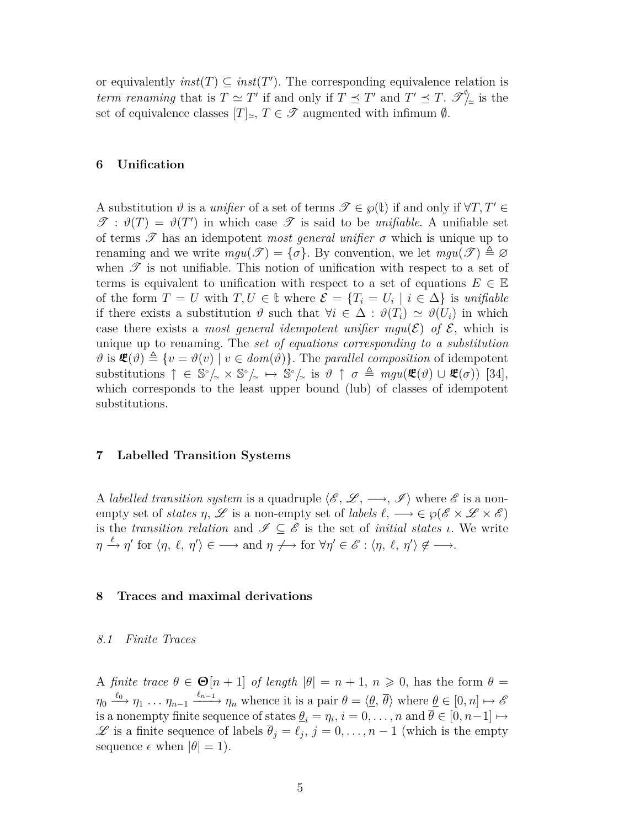or equivalently  $inst(T) \subseteq inst(T')$ . The corresponding equivalence relation is *term renaming* that is  $T \simeq T'$  if and only if  $T \preceq T'$  and  $T' \preceq T$ .  $\mathscr{S}_{\gamma}^{\phi}$  is the set of equivalence classes  $[T]_p, T \in \mathcal{T}$  augmented with infimum  $\emptyset$ .

### **6 Unification**

A substitution  $\vartheta$  is a *unifier* of a set of terms  $\mathscr{T} \in \wp(\mathbb{t})$  if and only if  $\forall T, T' \in$  $\mathscr{T}: \vartheta(T) = \vartheta(T')$  in which case  $\mathscr{T}$  is said to be *unifiable*. A unifiable set of terms  $\mathscr T$  has an idempotent *most general unifier*  $\sigma$  which is unique up to renaming and we write  $mgu(\mathcal{T}) = {\sigma}$ . By convention, we let  $mgu(\mathcal{T}) \triangleq \emptyset$ when  $\mathscr T$  is not unifiable. This notion of unification with respect to a set of terms is equivalent to unification with respect to a set of equations  $E \in \mathbb{E}$ of the form  $T = U$  with  $T, U \in \mathbb{t}$  where  $\mathcal{E} = \{T_i = U_i \mid i \in \Delta\}$  is *unifiable* if there exists a substitution  $\vartheta$  such that  $\forall i \in \Delta : \vartheta(T_i) \simeq \vartheta(U_i)$  in which case there exists a *most general idempotent unifier*  $mgu(\mathcal{E})$  of  $\mathcal{E}$ , which is unique up to renaming. The *set of equations corresponding to a substitution*  $\vartheta$  is  $\mathcal{L}(\vartheta) \triangleq \{v = \vartheta(v) \mid v \in \text{dom}(\vartheta)\}.$  The *parallel composition* of idempotent  $\text{substitutions } \uparrow \in \mathbb{S}^{\circ}/\mathbb{Z} \times \mathbb{S}^{\circ}/\mathbb{Z} \mapsto \mathbb{S}^{\circ}/\mathbb{Z} \text{ is } \vartheta \uparrow \sigma \triangleq \text{mgu}(\mathcal{R}(\vartheta) \cup \mathcal{R}(\sigma))$  [34], which corresponds to the least upper bound (lub) of classes of idempotent substitutions.

### **7 Labelled Transition Systems**

A *labelled transition system* is a quadruple  $\langle \mathcal{E}, \mathcal{L}, \longrightarrow, \mathcal{I} \rangle$  where  $\mathcal{E}$  is a nonempty set of *states*  $\eta$ ,  $\mathscr{L}$  is a non-empty set of *labels*  $\ell$ ,  $\longrightarrow \in \wp(\mathscr{E} \times \mathscr{L} \times \mathscr{E})$ is the *transition relation* and  $\mathscr{I} \subseteq \mathscr{E}$  is the set of *initial states ι*. We write  $\eta \xrightarrow{\ell} \eta'$  for  $\langle \eta, \ell, \eta' \rangle \in \longrightarrow \text{ and } \eta \nrightarrow \longrightarrow \text{ for } \forall \eta' \in \mathscr{E} : \langle \eta, \ell, \eta' \rangle \notin \longrightarrow$ .

### **8 Traces and maximal derivations**

### *8.1 Finite Traces*

A *finite trace*  $\theta \in \mathbf{\Theta}[n+1]$  *of length*  $|\theta| = n+1, n \geq 0$ , has the form  $\theta =$  $\eta_0 \xrightarrow{\ell_0} \eta_1 \ldots \eta_{n-1} \xrightarrow{\ell_{n-1}} \eta_n$  whence it is a pair  $\theta = \langle \underline{\theta}, \overline{\theta} \rangle$  where  $\underline{\theta} \in [0, n] \mapsto \mathscr{E}$ is a nonempty finite sequence of states  $\underline{\theta}_i = \eta_i, i = 0, \ldots, n$  and  $\overline{\theta} \in [0, n-1] \mapsto$  $\mathscr L$  is a finite sequence of labels  $\overline{\theta}_j = \ell_j$ ,  $j = 0, \ldots, n-1$  (which is the empty sequence  $\epsilon$  when  $|\theta| = 1$ .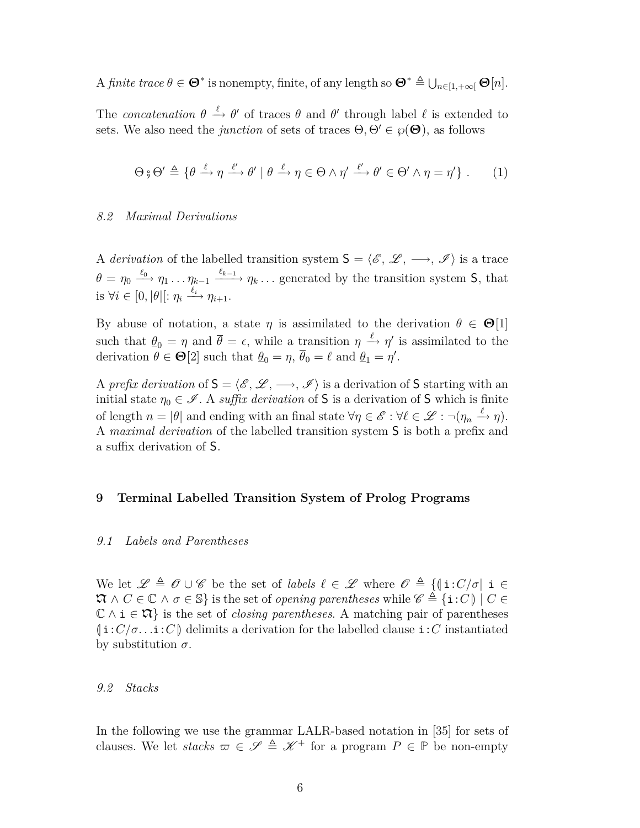$\Lambda$  *finite trace*  $\theta \in \mathbf{\Theta}^*$  is nonempty, finite, of any length so  $\mathbf{\Theta}^* \triangleq \bigcup_{n \in [1, +\infty]} \mathbf{\Theta}[n].$ 

The *concatenation*  $\theta \stackrel{\ell}{\to} \theta'$  of traces  $\theta$  and  $\theta'$  through label  $\ell$  is extended to sets. We also need the *junction* of sets of traces  $\Theta$ ,  $\Theta' \in \wp(\Theta)$ , as follows

$$
\Theta \circ \Theta' \triangleq \{ \theta \xrightarrow{\ell} \eta \xrightarrow{\ell'} \theta' \mid \theta \xrightarrow{\ell} \eta \in \Theta \land \eta' \xrightarrow{\ell'} \theta' \in \Theta' \land \eta = \eta' \} . \tag{1}
$$

### *8.2 Maximal Derivations*

A *derivation* of the labelled transition system  $S = \langle \mathcal{E}, \mathcal{L}, \longrightarrow, \mathcal{I} \rangle$  is a trace  $\theta = \eta_0 \stackrel{\ell_0}{\longrightarrow} \eta_1 \dots \eta_{k-1} \stackrel{\ell_{k-1}}{\longrightarrow} \eta_k \dots$  generated by the transition system S, that is  $\forall i \in [0, |\theta|[: \eta_i \xrightarrow{\ell_i} \eta_{i+1}.$ 

By abuse of notation, a state *η* is assimilated to the derivation  $\theta \in \Theta[1]$ such that  $\theta_0 = \eta$  and  $\bar{\theta} = \epsilon$ , while a transition  $\eta \stackrel{\ell}{\to} \eta'$  is assimilated to the derivation  $\theta \in \mathbf{\Theta}[2]$  such that  $\underline{\theta}_0 = \eta$ ,  $\overline{\theta}_0 = \ell$  and  $\underline{\theta}_1 = \eta'$ .

A *prefix derivation* of  $S = \langle \mathcal{E}, \mathcal{L}, \longrightarrow, \mathcal{I} \rangle$  is a derivation of S starting with an initial state  $\eta_0 \in \mathcal{I}$ . A *suffix derivation* of S is a derivation of S which is finite of length  $n = |\theta|$  and ending with an final state  $\forall \eta \in \mathscr{E} : \forall \ell \in \mathscr{L} : \neg(\eta_n \xrightarrow{\ell} \eta)$ . A *maximal derivation* of the labelled transition system S is both a prefix and a suffix derivation of S.

### **9 Terminal Labelled Transition System of Prolog Programs**

### *9.1 Labels and Parentheses*

We let  $\mathscr{L} \triangleq \mathscr{O} \cup \mathscr{C}$  be the set of *labels*  $\ell \in \mathscr{L}$  where  $\mathscr{O} \triangleq \{(\iota : C/\sigma | \iota \in \mathscr{C}\})$  $\mathcal{R} \wedge C \in \mathbb{C} \wedge \sigma \in \mathbb{S}$  is the set of *opening parentheses* while  $\mathscr{C} \triangleq \{i:C \mid C \in \mathbb{C} \wedge \sigma \in \mathbb{S} \}$ C *∧* i *∈* N*}* is the set of *closing parentheses*. A matching pair of parentheses  $(i:C/\sigma...i:C)$  delimits a derivation for the labelled clause  $i:C$  instantiated by substitution *σ*.

### *9.2 Stacks*

In the following we use the grammar LALR-based notation in [35] for sets of clauses. We let *stacks*  $\varpi \in \mathscr{S} \triangleq \mathscr{K}^+$  for a program  $P \in \mathbb{P}$  be non-empty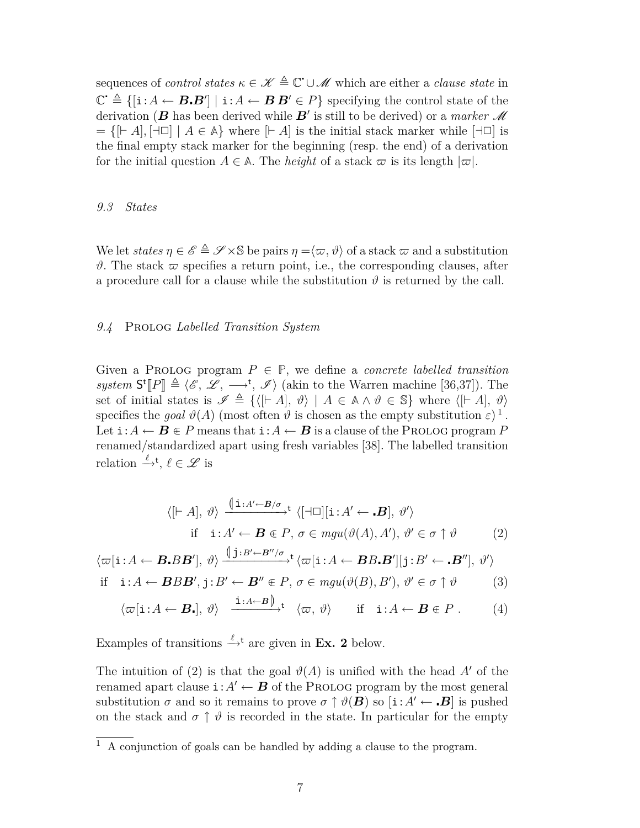sequences of *control states*  $\kappa \in \mathcal{K} \triangleq \mathbb{C}$   $\cup \mathcal{M}$  which are either a *clause state* in  $\mathbb{C}^{\cdot} \triangleq \{[\mathbf{i}:A \leftarrow \mathbf{B}\mathbf{B}'] \mid \mathbf{i}:A \leftarrow \mathbf{B}\mathbf{B}' \in P\}$  specifying the control state of the derivation ( $B$  has been derived while  $B'$  is still to be derived) or a *marker*  $\mathscr M$  $=$   $\{$  $\vert \vdash A$  $\vert$  $\}$  $\vert \neg \Box$   $\vert$   $A \in \mathbb{A}$  $\}$  where  $\vert \vdash A \vert$  is the initial stack marker while  $\vert \neg \Box \vert$  is the final empty stack marker for the beginning (resp. the end) of a derivation for the initial question  $A \in \mathbb{A}$ . The *height* of a stack  $\varpi$  is its length  $|\varpi|$ .

### *9.3 States*

We let *states*  $\eta \in \mathscr{E} \triangleq \mathscr{S} \times \mathbb{S}$  be pairs  $\eta = \langle \varpi, \vartheta \rangle$  of a stack  $\varpi$  and a substitution  $\vartheta$ . The stack  $\varpi$  specifies a return point, i.e., the corresponding clauses, after a procedure call for a clause while the substitution  $\vartheta$  is returned by the call.

### *9.4* Prolog *Labelled Transition System*

Given a PROLOG program  $P \in \mathbb{P}$ , we define a *concrete labelled transition system*  $S^t[P] \triangleq \langle \mathscr{E}, \mathscr{L}, \longrightarrow^t, \mathscr{I} \rangle$  (akin to the Warren machine [36,37]). The set of initial states is  $\mathscr{L} \triangleq f/[L_1A] \triangleq 3$ set of initial states is  $\mathscr{I} \triangleq \{ \langle [F, A], \vartheta \rangle \mid A \in \mathbb{A} \land \vartheta \in \mathbb{S} \}$  where  $\langle [F, A], \vartheta \rangle$ specifies the *goal*  $\vartheta(A)$  (most often  $\vartheta$  is chosen as the empty substitution  $\varepsilon$ )<sup>1</sup>. Let  $\mathbf{i}:A \leftarrow B \in P$  means that  $\mathbf{i}:A \leftarrow B$  is a clause of the Prolog program P renamed/standardized apart using fresh variables [38]. The labelled transition relation  $\stackrel{\ell}{\rightarrow}^{\mathsf{t}}$ ,  $\ell \in \mathscr{L}$  is

$$
\langle [\vdash A], \vartheta \rangle \xrightarrow{\langle [\mathbf{i} : A' \leftarrow B/\sigma]{}^{\mathbf{t}}} \langle [\dashv \Box][\mathbf{i} : A' \leftarrow \mathbf{B}], \vartheta' \rangle
$$
  
if  $\mathbf{i} : A' \leftarrow \mathbf{B} \in P$ ,  $\sigma \in mgu(\vartheta(A), A'), \vartheta' \in \sigma \uparrow \vartheta$  (2)

$$
\langle \varpi[\mathbf{i}: A \leftarrow \boldsymbol{B}. B \boldsymbol{B}'], \vartheta \rangle \xrightarrow{\langle \mathbf{j}: B' \leftarrow \boldsymbol{B}''/\sigma} \mathbf{t} \langle \varpi[\mathbf{i}: A \leftarrow \boldsymbol{B} B. \boldsymbol{B}'] | \mathbf{j}: B' \leftarrow \boldsymbol{B}''], \vartheta' \rangle
$$

if 
$$
\mathbf{i}: A \leftarrow \mathbf{B} B \mathbf{B}', \mathbf{j}: B' \leftarrow \mathbf{B}'' \in P, \sigma \in \text{mgu}(\vartheta(B), B'), \vartheta' \in \sigma \uparrow \vartheta
$$
 (3)

$$
\langle \varpi[i: A \leftarrow B_{\bullet}], \vartheta \rangle \xrightarrow{i:A \leftarrow B} \langle \varpi, \vartheta \rangle \text{ if } i:A \leftarrow B \in P.
$$
 (4)

Examples of transitions  $\stackrel{\ell}{\rightarrow}^{\text{t}}$  are given in **Ex. 2** below.

The intuition of (2) is that the goal  $\vartheta(A)$  is unified with the head A' of the renamed apart clause  $\mathbf{i}: A' \leftarrow B$  of the Prolog program by the most general substitution  $\sigma$  and so it remains to prove  $\sigma \uparrow \vartheta(B)$  so  $[i: A' \leftarrow B]$  is pushed on the stack and  $\sigma \uparrow \vartheta$  is recorded in the state. In particular for the empty

 $\overline{1\;A\;$  conjunction of goals can be handled by adding a clause to the program.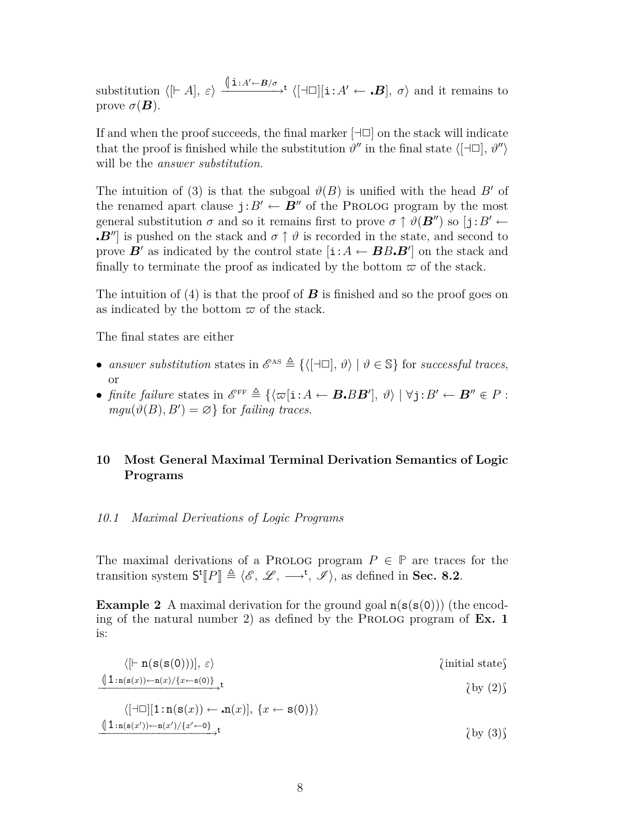substitution  $\langle [A, \varepsilon] \rangle \xrightarrow{\langle [A \cup A' \leftarrow B/\sigma] } \langle [A \cup [A \cup B], \sigma \rangle$  and it remains to prove  $\sigma(\boldsymbol{B})$ .

If and when the proof succeeds, the final marker  $\left[\begin{array}{c} \pm \end{array}\right]$  on the stack will indicate that the proof is finished while the substitution  $\vartheta''$  in the final state  $\langle [\exists \Box], \vartheta'' \rangle$ will be the *answer substitution*.

The intuition of (3) is that the subgoal  $\vartheta(B)$  is unified with the head B<sup>*i*</sup> of the renamed apart clause  $j: B' \leftarrow B''$  of the Prolog program by the most general substitution  $\sigma$  and so it remains first to prove  $\sigma \uparrow \vartheta(\mathbf{B}^{\prime\prime})$  so  $\left[\mathbf{i}:B'\leftarrow$ *B<sup>''*</sup>] is pushed on the stack and  $\sigma \uparrow \vartheta$  is recorded in the state, and second to prove  $\vec{B}$ <sup>*f*</sup> as indicated by the control state  $[i: A \leftarrow BB \cdot B^{\dagger}]$  on the stack and finally to terminate the proof as indicated by the bottom  $\varpi$  of the stack.

The intuition of (4) is that the proof of *B* is finished and so the proof goes on as indicated by the bottom  $\varpi$  of the stack.

The final states are either

- *answer substitution* states in  $\mathscr{E}^{\text{AS}} \triangleq \{ \langle [\exists \Box], \vartheta \rangle \mid \vartheta \in \mathbb{S} \}$  for *successful traces*, or
- *finite failure* states in  $\mathscr{E}^{\text{FF}} \triangleq {\{\langle \varpi[i: A \leftarrow B \cdot BB' \mid, \vartheta \rangle \mid \forall j: B' \leftarrow B'' \in P : \text{arg}(A \cap B) \mid B' \leftarrow B'' \in P \}$  $mgu(\vartheta(B), B') = \varnothing$  for *failing traces*.

# **10 Most General Maximal Terminal Derivation Semantics of Logic Programs**

### *10.1 Maximal Derivations of Logic Programs*

The maximal derivations of a PROLOG program  $P \in \mathbb{P}$  are traces for the transition system  $S^t[P] \triangleq \langle \mathcal{E}, \mathcal{L}, \longrightarrow^t, \mathcal{I} \rangle$ , as defined in **Sec. 8.2**.

**Example 2** A maximal derivation for the ground goal  $n(s(s(0)))$  (the encoding of the natural number 2) as defined by the PROLOG program of  $Ex. 1$ is:

$$
\langle [F \mathbf{n}(\mathbf{s}(\mathbf{s}(0)))], \varepsilon \rangle \qquad \qquad \text{(initial state)}\n\underline{\langle 1:\mathbf{n}(\mathbf{s}(x)) \leftarrow \mathbf{n}(x)/\{x \leftarrow \mathbf{s}(0)\}\rangle}_{\text{t}}
$$
\n
$$
\langle \text{by (2)} \rangle
$$

$$
\langle [\neg \Box] [1:n(s(x)) \leftarrow n(x)], \{x \leftarrow s(0)\}\rangle
$$
  

$$
\frac{\langle 1:n(s(x'))-n(x')/\{x'\leftarrow 0\}}{\langle \text{by (3)}\} \rangle} t
$$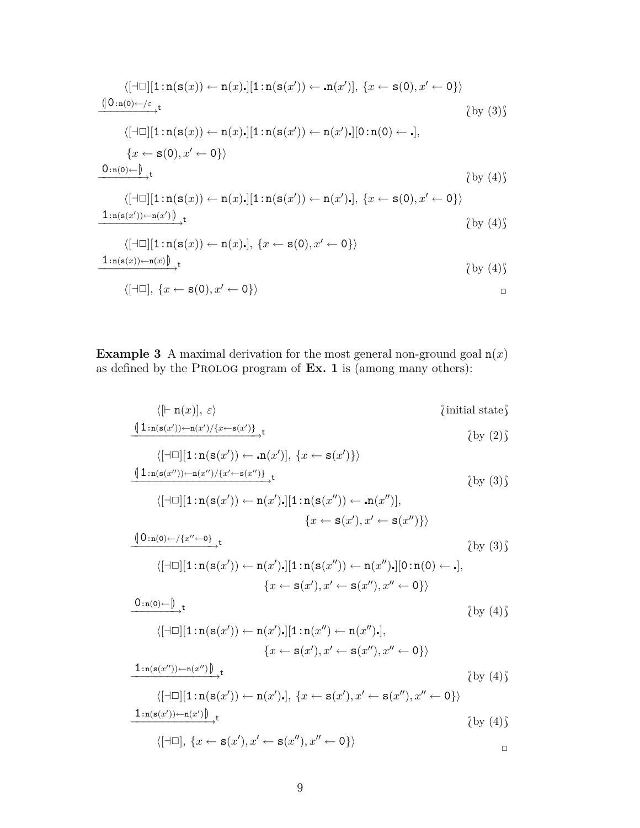$$
\langle [\neg\Box][1:n(s(x)) \leftarrow n(x).][1:n(s(x')) \leftarrow n(x')], \{x \leftarrow s(0), x' \leftarrow 0\} \rangle
$$
\n
$$
\frac{\langle 0:n(0) \leftarrow /\varepsilon}{\langle \Box \Box [1:n(s(x)) \leftarrow n(x).][1:n(s(x')) \leftarrow n(x').][0:n(0) \leftarrow .],}
$$
\n
$$
\{x \leftarrow s(0), x' \leftarrow 0\} \rangle
$$
\n
$$
\frac{0:n(0) \leftarrow \int_{\neg\Box} t}{\langle [\neg\Box][1:n(s(x)) \leftarrow n(x).][1:n(s(x')) \leftarrow n(x').], \{x \leftarrow s(0), x' \leftarrow 0\} \rangle} \langle \text{by (4)} \rangle
$$
\n
$$
\frac{1:n(s(x')) \leftarrow n(x') \int_{\neg\Box} t}{\langle [\neg\Box][1:n(s(x)) \leftarrow n(x).], \{x \leftarrow s(0), x' \leftarrow 0\} \rangle} \langle \text{by (4)} \rangle
$$
\n
$$
\frac{1:n(s(x)) \leftarrow n(x) \int_{\neg\Box} t}{\langle [\neg\Box], [1:n(s(x)) \leftarrow n(x).], \{x \leftarrow s(0), x' \leftarrow 0\} \rangle} \langle \text{by (4)} \rangle
$$
\n
$$
\frac{1:n(s(x)) \leftarrow n(x) \int_{\neg\Box} t}{\langle [\neg\Box], \{x \leftarrow s(0), x' \leftarrow 0\} \rangle} \rangle
$$

**Example 3** A maximal derivation for the most general non-ground goal  $n(x)$ as defined by the PROLOG program of Ex. 1 is (among many others):

$$
\langle \left[ \vdash n(x) \right], \, \varepsilon \rangle \qquad \qquad \text{(initial state)} \qquad \qquad \text{(initial state)} \qquad \qquad \text{(initial state)} \qquad \qquad \text{(by (2))}
$$

$$
\langle [\neg \Box][1:n(s(x')) \leftarrow n(x')], \{x \leftarrow s(x')\} \rangle
$$
  

$$
\frac{\langle 1:n(s(x''))\leftarrow n(x'')/\{x' \leftarrow s(x'')\}}{};
$$
 (by (3))

$$
\langle [\exists \Box] [1:n(s(x')) \leftarrow n(x').][1:n(s(x'')) \leftarrow n(x'')],
$$

$$
\{x \leftarrow s(x'), x' \leftarrow s(x'')\} \rangle
$$

$$
\langle [0:n(0) \leftarrow (\{x'' \leftarrow 0\})_t \{x'' \leftarrow 0\}]\rangle
$$

$$
\langle [\neg\Box][1:n(\mathbf{s}(x')) \leftarrow n(x')\centerdot][1:n(\mathbf{s}(x'')) \leftarrow n(x'')\centerdot][0:n(0) \leftarrow \centerdot],\{x \leftarrow \mathbf{s}(x'), x' \leftarrow \mathbf{s}(x''), x'' \leftarrow 0\}\rangle
$$

$$
\xrightarrow{0:\mathbf{n}(0)\leftarrow\bigcup}\mathbf{t}
$$

$$
\langle [\exists \Box] [1:n(s(x')) \leftarrow n(x').][1:n(x'') \leftarrow n(x'')\cdot],
$$

$$
\{x \leftarrow s(x'), x' \leftarrow s(x''), x'' \leftarrow 0\} \rangle
$$

$$
\frac{1:n(s(x'')) \leftarrow n(x'')}{t},
$$

 $\{by (4)\}$ 

$$
\langle [\neg\Box][1:n(s(x')) \leftarrow n(x')\cdot], \{x \leftarrow s(x'), x' \leftarrow s(x''), x'' \leftarrow 0\}\rangle
$$
  

$$
\frac{1:n(s(x')) \leftarrow n(x')}{t}
$$
 (by (4))

$$
\langle [\exists \Box], \{x \leftarrow \mathbf{s}(x'), x' \leftarrow \mathbf{s}(x''), x'' \leftarrow 0\} \rangle
$$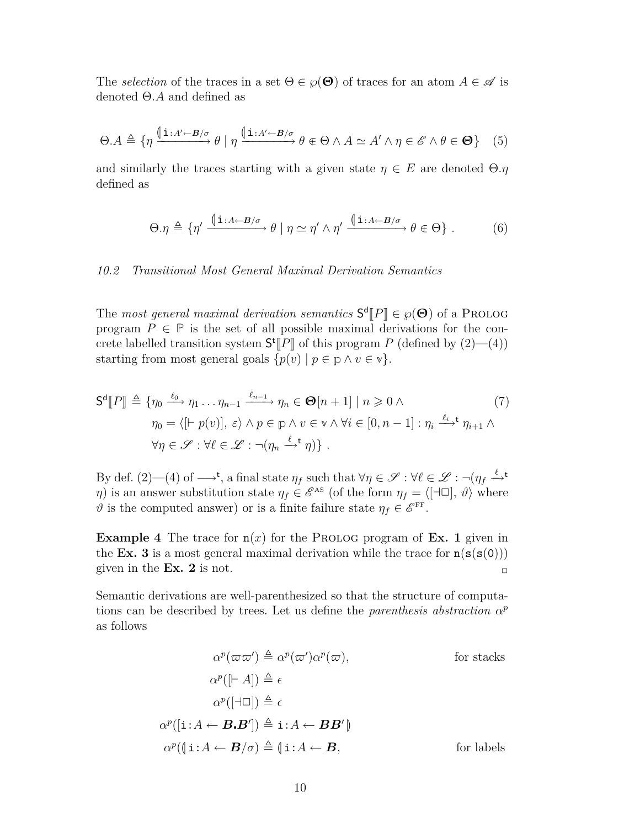The *selection* of the traces in a set  $\Theta \in \wp(\Theta)$  of traces for an atom  $A \in \mathscr{A}$  is denoted Θ*.A* and defined as

$$
\Theta.A \triangleq \{ \eta \xrightarrow{\left(\mathbf{i}: A' \leftarrow B/\sigma\right)} \theta \mid \eta \xrightarrow{\left(\mathbf{i}: A' \leftarrow B/\sigma\right)} \theta \in \Theta \land A \simeq A' \land \eta \in \mathscr{E} \land \theta \in \Theta \} \tag{5}
$$

and similarly the traces starting with a given state  $\eta \in E$  are denoted  $\Theta \eta$ defined as

$$
\Theta.\eta \triangleq \{ \eta' \xrightarrow{\oint i : A \leftarrow B/\sigma} \theta \mid \eta \simeq \eta' \wedge \eta' \xrightarrow{\oint i : A \leftarrow B/\sigma} \theta \in \Theta \} . \tag{6}
$$

### *10.2 Transitional Most General Maximal Derivation Semantics*

The *most general maximal derivation semantics*  $S^d[P] \in \wp(\Theta)$  of a PROLOG program  $P \subset \mathbb{P}$  is the set of all possible maximal derivations for the sen program  $P \in \mathbb{P}$  is the set of all possible maximal derivations for the concrete labelled transition system  $S^t[P]$  of this program *P* (defined by (2)—(4)) starting from most general goals  $\{p(v) | p \in p \land v \in v\}$ .

$$
\mathsf{S}^{\mathsf{d}}[\![P]\!] \triangleq \{ \eta_0 \xrightarrow{\ell_0} \eta_1 \dots \eta_{n-1} \xrightarrow{\ell_{n-1}} \eta_n \in \mathbf{\Theta}[n+1] \mid n \geqslant 0 \land \tag{7} \\ \eta_0 = \langle [\vdash p(v)], \varepsilon \rangle \land p \in \mathbf{p} \land v \in \mathbf{v} \land \forall i \in [0, n-1] : \eta_i \xrightarrow{\ell_i} \eta_{i+1} \land \\ \forall \eta \in \mathcal{S} : \forall \ell \in \mathcal{L} : \neg(\eta_n \xrightarrow{\ell_i} \eta) \} .
$$

By def. (2)—(4) of  $\longrightarrow$ <sup>t</sup>, a final state  $\eta_f$  such that  $\forall \eta \in \mathscr{S} : \forall \ell \in \mathscr{L} : \neg(\eta_f \xrightarrow{\ell} \mathscr{S})$ *η*) is an answer substitution state  $\eta_f \in \mathscr{E}^{\text{as}}$  (of the form  $\eta_f = \langle [\exists \Box], \vartheta \rangle$  where  $\vartheta$  is the computed answer) or is a finite failure state  $\eta_f \in \mathscr{E}^{\text{FF}}$ .

**Example 4** The trace for  $n(x)$  for the PROLOG program of **Ex. 1** given in the **Ex. 3** is a most general maximal derivation while the trace for  $n(s(s(0)))$ given in the **Ex. 2** is not.

Semantic derivations are well-parenthesized so that the structure of computations can be described by trees. Let us define the *parenthesis abstraction*  $\alpha^p$ as follows

$$
\alpha^{p}(\varpi\varpi') \triangleq \alpha^{p}(\varpi')\alpha^{p}(\varpi), \qquad \text{for stacks}
$$

$$
\alpha^{p}([\vdash A]) \triangleq \epsilon
$$

$$
\alpha^{p}([\dashv \Box]) \triangleq \epsilon
$$

$$
\alpha^{p}([\mathbf{i}:A \leftarrow \mathbf{B}\cdot\mathbf{B}']) \triangleq \mathbf{i}:A \leftarrow \mathbf{B}\mathbf{B}'\mathbf{0}
$$

$$
\alpha^{p}([\mathbf{i}:A \leftarrow \mathbf{B}/\sigma) \triangleq (\mathbf{i}:A \leftarrow \mathbf{B}, \qquad \text{for labels})
$$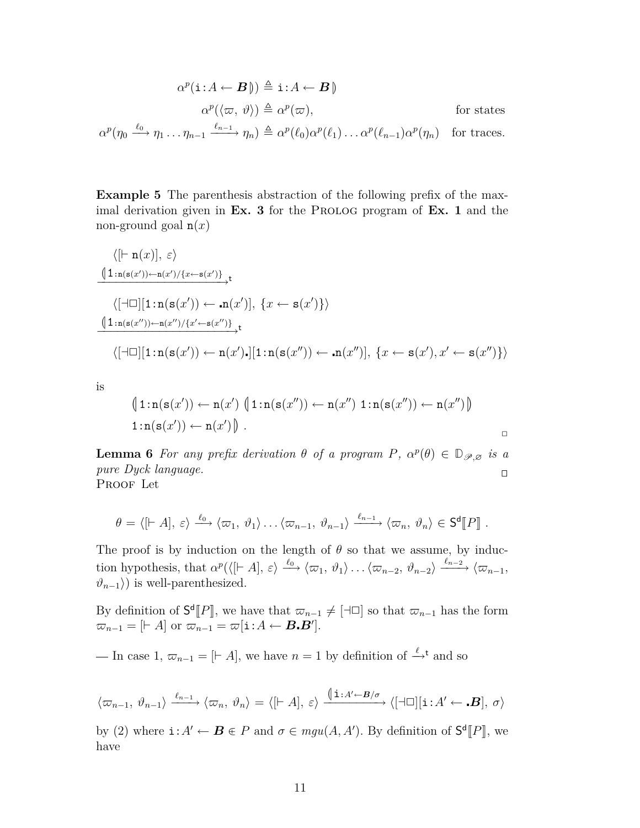$$
\alpha^{p}(\mathbf{i}: A \leftarrow \mathbf{B}) \triangleq \mathbf{i}: A \leftarrow \mathbf{B} \parallel
$$
  
\n
$$
\alpha^{p}(\langle \varpi, \vartheta \rangle) \triangleq \alpha^{p}(\varpi), \qquad \text{for states}
$$
  
\n
$$
\alpha^{p}(\eta_{0} \xrightarrow{\ell_{0}} \eta_{1} \dots \eta_{n-1} \xrightarrow{\ell_{n-1}} \eta_{n}) \triangleq \alpha^{p}(\ell_{0}) \alpha^{p}(\ell_{1}) \dots \alpha^{p}(\ell_{n-1}) \alpha^{p}(\eta_{n}) \qquad \text{for traces.}
$$

**Example 5** The parenthesis abstraction of the following prefix of the maximal derivation given in **Ex. 3** for the PROLOG program of **Ex. 1** and the non-ground goal n(*x*)

$$
\langle [\vdash n(x)], \varepsilon \rangle
$$
\n
$$
\frac{(\lceil \vdash n(s(x')) \leftarrow n(x') / \{x \leftarrow s(x')\}}{\{\lceil \vdash \Box \lfloor 1 : n(s(x')) \leftarrow n(x') \mid, \{x \leftarrow s(x')\}\}}}
$$
\n
$$
\frac{\lceil \lceil \vdash \Box \lfloor 1 : n(s(x'')) \leftarrow n(x'') / \{x' \leftarrow s(x'')\}}{\{\lceil \vdash \Box \lfloor 1 : n(s(x')) \leftarrow n(x')\}} \mathbf{t}}
$$
\n
$$
\langle [\lnot \Box] [\lnot \Box] [\lnot \Box] [\mathbf{t} : n(s(x')) \leftarrow n(x') \cdot [\lnot \Box] [\lnot \Box] [\mathbf{t} : n(s(x'')) \leftarrow n(x'')], \{x \leftarrow s(x'), x' \leftarrow s(x'')\}\rangle
$$

is

$$
\begin{aligned} \n\left(1\!:\!n(s(x')) \leftarrow n(x')\left(1\!:\!n(s(x'')) \leftarrow n(x'')\ 1\!:\!n(s(x'')) \leftarrow n(x'')\right)\n\end{aligned}\right) \\
 1\!:\!n(s(x')) \leftarrow n(x')\n\begin{bmatrix}\n1\!:\!n(s(x'))\end{bmatrix}.\n\end{aligned}
$$

**Lemma 6** *For any prefix derivation*  $\theta$  *of a program*  $P$ *,*  $\alpha^p(\theta) \in D_{\mathscr{P},\varnothing}$  *is a* pure *Dyck language.* PROOF Let

$$
\theta = \langle [A], \varepsilon \rangle \xrightarrow{\ell_0} \langle \varpi_1, \vartheta_1 \rangle \dots \langle \varpi_{n-1}, \vartheta_{n-1} \rangle \xrightarrow{\ell_{n-1}} \langle \varpi_n, \vartheta_n \rangle \in \mathsf{S}^{\mathsf{d}}[P] .
$$

The proof is by induction on the length of  $\theta$  so that we assume, by induction hypothesis, that  $\alpha^p(\langle [A], \varepsilon \rangle \xrightarrow{\ell_0} \langle \varpi_1, \vartheta_1 \rangle \dots \langle \varpi_{n-2}, \vartheta_{n-2} \rangle \xrightarrow{\ell_{n-2}} \langle \varpi_{n-1},$  $\vartheta_{n-1}$ ) is well-parenthesized.

By definition of  $S^d[P]$ , we have that  $\varpi_{n-1} \neq [\exists \Box]$  so that  $\varpi_{n-1}$  has the form  $\overline{\omega}_{n-1} = [A \text{ or } \overline{\omega}_{n-1} = \overline{\omega}[\textbf{i}:A \leftarrow B \cdot B']$ .

— In case 1,  $\varpi_{n-1} = [† A]$ , we have  $n = 1$  by definition of <sup> $\stackrel{\ell}{\rightarrow}$ t</sup> and so

$$
\langle \varpi_{n-1}, \vartheta_{n-1} \rangle \xrightarrow{\ell_{n-1}} \langle \varpi_n, \vartheta_n \rangle = \langle [A], \varepsilon \rangle \xrightarrow{\langle [A \vdots A' \leftarrow B/\sigma]} \langle [A \sqcap] [i : A' \leftarrow B], \sigma \rangle
$$

by (2) where  $\mathbf{i}: A' \leftarrow \mathbf{B} \in P$  and  $\sigma \in mgu(A, A')$ . By definition of  $\mathsf{S}^{\mathsf{d}}[P]$ , we have have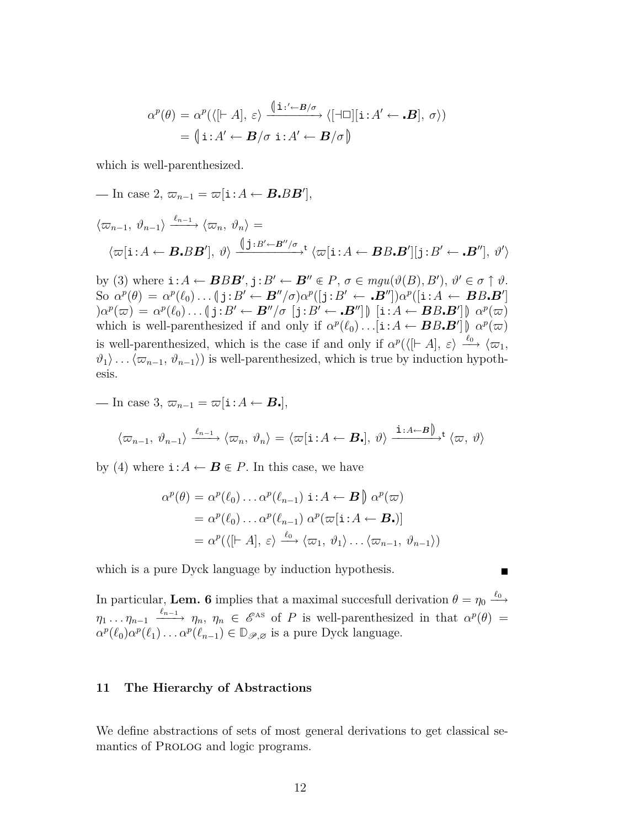$$
\alpha^{p}(\theta) = \alpha^{p}(\langle [A], \varepsilon \rangle \xrightarrow{\langle [A \cup B/\sigma] \rangle} \langle [A \cup ][i : A' \leftarrow B], \sigma \rangle)
$$

$$
= \langle [A \cup B/\sigma \, i : A' \leftarrow B/\sigma \rangle \rangle
$$

which is well-parenthesized.

$$
- \ln \csc 2, \, \varpi_{n-1} = \varpi[\mathbf{i}: A \leftarrow \mathbf{B} \cdot \mathbf{B} \mathbf{B}'],
$$
  

$$
\langle \varpi_{n-1}, \vartheta_{n-1} \rangle \xrightarrow{\ell_{n-1}} \langle \varpi_n, \vartheta_n \rangle =
$$
  

$$
\langle \varpi[\mathbf{i}: A \leftarrow \mathbf{B} \cdot \mathbf{B} \mathbf{B}'], \vartheta \rangle \xrightarrow{\left(\int \mathbf{j}: B' \leftarrow \mathbf{B}''/\sigma \atop \mathcal{I}} \mathbf{b} \right| \langle \varpi[\mathbf{i}: A \leftarrow \mathbf{B} \mathbf{B} \cdot \mathbf{B}'] | \mathbf{j}: B' \leftarrow \mathbf{B}''], \vartheta' \rangle
$$

by (3) where  $\mathbf{i}: A \leftarrow \mathbf{B} B \mathbf{B}'$ ,  $\mathbf{j}: B' \leftarrow \mathbf{B}'' \in P$ ,  $\sigma \in mgu(\vartheta(B), B')$ ,  $\vartheta' \in \sigma \uparrow \vartheta$ .<br>So  $\sigma^p(A) = \sigma^p(A)$ ,  $\phi \in B' \subset \mathbf{B}''/\sigma \circ \sigma^p(\mathbf{i}: B')$ ,  $\mathbf{B}' \cap \mathbf{B}''/\sigma \circ \sigma^p(\mathbf{i}: A')$ ,  $\mathbf{B} B \mathbf{B}'$ So  $\alpha^p(\theta) = \alpha^p(\ell_0) \dots (\mathbf{j}: B' \leftarrow B''/\sigma) \alpha^p([\mathbf{j}: B' \leftarrow B'') \alpha^p([\mathbf{i}: A \leftarrow BB \cdot B') \ \alpha^p(\pi) = \alpha^p(\ell_0) \qquad \mathbf{j}: B' \leftarrow B''/\sigma \quad [\mathbf{i}: B' \leftarrow B'''] \land [\mathbf{i}: A \leftarrow BB \cdot B''] \land \alpha^p(\pi)$  $(\alpha^p(\varpi) = \alpha^p(\ell_0) \dots (\mathbf{j}: B' \leftarrow B''/\sigma \ [\mathbf{j}: B' \leftarrow B'']\) \ [\mathbf{i}: A \leftarrow BB \cdot B']\] \alpha^p(\varpi)$ which is well-parenthesized if and only if  $\alpha^p(\ell_0) \dots [i: A \leftarrow BB \cdot B^{\prime}] \underset{\ell_0}{\parallel} \alpha^p(\varpi)$ is well-parenthesized, which is the case if and only if  $\alpha^p(\langle [A], \varepsilon \rangle \xrightarrow{\ell_0} \langle \varpi_1,$  $\langle \vartheta_1 \rangle$ ...  $\langle \varpi_{n-1}, \vartheta_{n-1} \rangle$  is well-parenthesized, which is true by induction hypothesis.

$$
- \text{ In case 3, } \varpi_{n-1} = \varpi[\mathbf{i}:A \leftarrow \mathbf{B}.
$$

$$
\langle \varpi_{n-1}, \vartheta_{n-1} \rangle \xrightarrow{\ell_{n-1}} \langle \varpi_n, \vartheta_n \rangle = \langle \varpi[\mathbf{i} : A \leftarrow \mathbf{B} \cdot], \vartheta \rangle \xrightarrow{\mathbf{i} : A \leftarrow B} \rangle^{\mathbf{t}} \langle \varpi, \vartheta \rangle
$$

by (4) where  $\mathbf{i}: A \leftarrow \mathbf{B} \in P$ . In this case, we have

$$
\alpha^{p}(\theta) = \alpha^{p}(\ell_{0}) \dots \alpha^{p}(\ell_{n-1}) \mathbf{i} : A \leftarrow \mathbf{B} \parallel \alpha^{p}(\varpi)
$$
  
=  $\alpha^{p}(\ell_{0}) \dots \alpha^{p}(\ell_{n-1}) \alpha^{p}(\varpi[\mathbf{i} : A \leftarrow \mathbf{B}_{\bullet})]$   
=  $\alpha^{p}(\langle [\vdash A], \varepsilon \rangle \xrightarrow{\ell_{0}} \langle \varpi_{1}, \vartheta_{1} \rangle \dots \langle \varpi_{n-1}, \vartheta_{n-1} \rangle)$ 

which is a pure Dyck language by induction hypothesis.

In particular, **Lem. 6** implies that a maximal succesfull derivation  $\theta = \eta_0 \xrightarrow{\ell_0}$  $\eta_1 \ldots \eta_{n-1} \xrightarrow{\ell_{n-1}} \eta_n, \ \eta_n \in \mathscr{E}^{\text{as}}$  of *P* is well-parenthesized in that  $\alpha^p(\theta) =$  $\alpha^p(\ell_0)\alpha^p(\ell_1)\dots\alpha^p(\ell_{n-1}) \in \mathbb{D}_{\mathscr{P},\varnothing}$  is a pure Dyck language.

### **11 The Hierarchy of Abstractions**

We define abstractions of sets of most general derivations to get classical semantics of PROLOG and logic programs.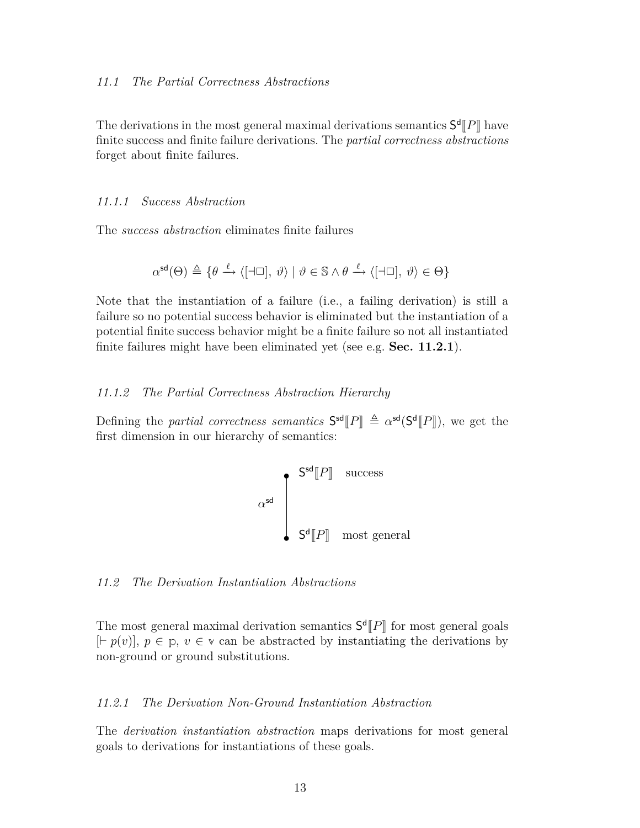The derivations in the most general maximal derivations semantics  $S^d[[P]]$  have<br>finite success and finite follure derivations. The *nextial correctness abstractions* finite success and finite failure derivations. The *partial correctness abstractions* forget about finite failures.

### *11.1.1 Success Abstraction*

The *success abstraction* eliminates finite failures

$$
\alpha^{\text{sd}}(\Theta) \triangleq \{ \theta \xrightarrow{\ell} \langle [\exists \Box], \vartheta \rangle \mid \vartheta \in \mathbb{S} \land \theta \xrightarrow{\ell} \langle [\exists \Box], \vartheta \rangle \in \Theta \}
$$

Note that the instantiation of a failure (i.e., a failing derivation) is still a failure so no potential success behavior is eliminated but the instantiation of a potential finite success behavior might be a finite failure so not all instantiated finite failures might have been eliminated yet (see e.g. **Sec. 11.2.1**).

### *11.1.2 The Partial Correctness Abstraction Hierarchy*

Defining the *partial correctness semantics*  $S^{sd}[P] \triangleq \alpha^{sd}(S^d[P])$ , we get the first dimension in our biomerable of somewhere. first dimension in our hierarchy of semantics:

$$
\alpha^{\text{sd}} \begin{bmatrix} \mathsf{S}^{\text{sd}}[P] & \text{success} \\ & & \\ \mathsf{S}^{\text{d}}[P] & \text{most general} \end{bmatrix}
$$

### *11.2 The Derivation Instantiation Abstractions*

The most general maximal derivation semantics  $S^d[P]$  for most general goals  $[{\sqsubset_{\mathcal{P}}}(a)]$ ,  $\alpha \in \mathbb{R}$ ,  $a \in \mathbb{R}$  for each be obstracted by instantiating the derivations by  $[F(p(v)], p \in p, v \in v \text{ can be abstracted by instantiating the derivations by }$ non-ground or ground substitutions.

### *11.2.1 The Derivation Non-Ground Instantiation Abstraction*

The *derivation instantiation abstraction* maps derivations for most general goals to derivations for instantiations of these goals.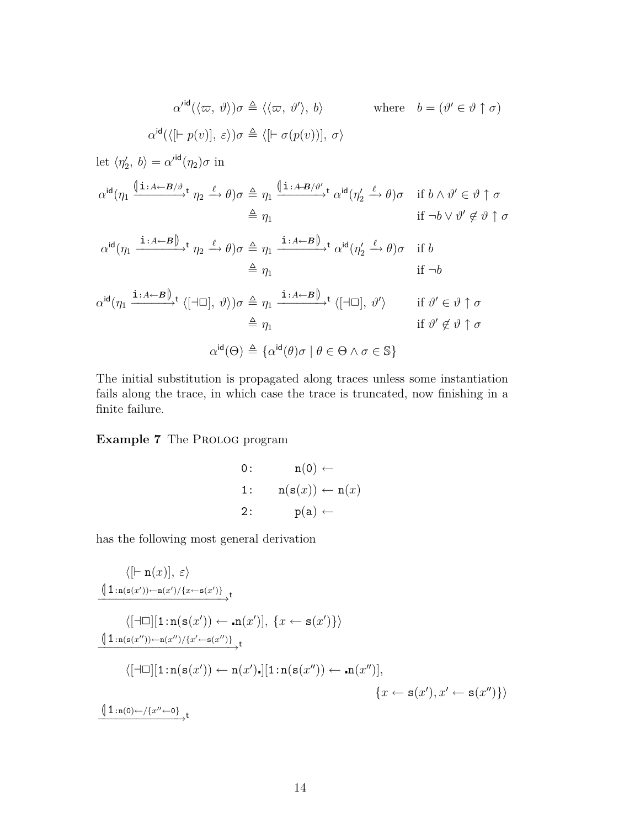$$
\alpha'^{\text{id}}(\langle \varpi, \vartheta \rangle) \sigma \triangleq \langle \langle \varpi, \vartheta' \rangle, b \rangle \qquad \text{where} \quad b = (\vartheta' \in \vartheta \uparrow \sigma)
$$
  
\n
$$
\alpha^{\text{id}}(\langle [\vdash p(v)], \varepsilon \rangle) \sigma \triangleq \langle [\vdash \sigma(p(v))], \sigma \rangle
$$
  
\nlet  $\langle \eta_2', b \rangle = \alpha'^{\text{id}}(\eta_2) \sigma$  in  
\n
$$
\alpha^{\text{id}}(\eta_1 \xrightarrow{\langle \text{i.i.d} \leftarrow B/\vartheta} t \eta_2 \xrightarrow{\ell} \theta) \sigma \triangleq \eta_1 \xrightarrow{\langle \text{i.i.d} \leftarrow B/\vartheta'} t \alpha^{\text{id}}(\eta_2' \xrightarrow{\ell} \theta) \sigma \quad \text{if } b \wedge \vartheta' \in \vartheta \uparrow \sigma
$$
  
\n
$$
\triangleq \eta_1 \qquad \qquad \text{if } \neg b \vee \vartheta' \notin \vartheta \uparrow \sigma
$$
  
\n
$$
\alpha^{\text{id}}(\eta_1 \xrightarrow{\text{i.i.d} \leftarrow B \downarrow} t \eta_2 \xrightarrow{\ell} \theta) \sigma \triangleq \eta_1 \xrightarrow{\text{i.i.d} \leftarrow B \downarrow} t \alpha^{\text{id}}(\eta_2' \xrightarrow{\ell} \theta) \sigma \quad \text{if } b
$$
  
\n
$$
\triangleq \eta_1 \qquad \qquad \text{if } \neg b
$$
  
\n
$$
\alpha^{\text{id}}(\eta_1 \xrightarrow{\text{i.i.d} \leftarrow B \downarrow} t \langle [\neg \Box], \vartheta \rangle) \sigma \triangleq \eta_1 \xrightarrow{\text{i.i.d} \leftarrow B \downarrow} t \langle [\neg \Box], \vartheta' \rangle \qquad \text{if } \vartheta' \in \vartheta \uparrow \sigma
$$
  
\n
$$
\triangleq \eta_1 \qquad \qquad \text{if } \vartheta' \notin \vartheta \uparrow \sigma
$$
  
\n
$$
\triangleq \eta_1 \qquad \qquad \text{if } \vartheta' \notin \vartheta \uparrow \sigma
$$
  
\n
$$
\alpha^{\text{id}}(\Theta) \triangleq \{\alpha^{\text{id}}(\theta) \sigma \mid \theta \in \Theta \wedge \sigma \in \mathbb{S}\}
$$

The initial substitution is propagated along traces unless some instantiation fails along the trace, in which case the trace is truncated, now finishing in a finite failure.

# **Example 7** The PROLOG program

0: 
$$
n(0) \leftarrow
$$
  
1:  $n(s(x)) \leftarrow n(x)$   
2:  $p(a) \leftarrow$ 

has the following most general derivation

*h*[*`* n(*x*)]*, εi* <sup>L</sup>1:n(s(*<sup>x</sup> 0* ))*←*n(*x 0* )*/{x←*s(*x 0* )*} −−−−−−−−−−−−−−−−−−→*<sup>t</sup> *h*[*a*✷][1:n(s(*x 0* )) *←* n(*x 0* )]*, {x ←* s(*x 0* )*}i* <sup>L</sup>1:n(s(*<sup>x</sup> <sup>00</sup>*))*←*n(*x <sup>00</sup>*)*/{x <sup>0</sup>←*s(*x <sup>00</sup>*)*} −−−−−−−−−−−−−−−−−−−→*<sup>t</sup> *h*[*a*✷][1:n(s(*x 0* )) *←* n(*x 0* )][1:n(s(*x <sup>00</sup>*)) *←* n(*x <sup>00</sup>*)]*, {x ←* s(*x 0* )*, x<sup>0</sup> ←* s(*x <sup>00</sup>*)*}i* <sup>L</sup>1:n(0)*←/{<sup>x</sup> <sup>00</sup>←*0*} −−−−−−−−−−−−→*<sup>t</sup>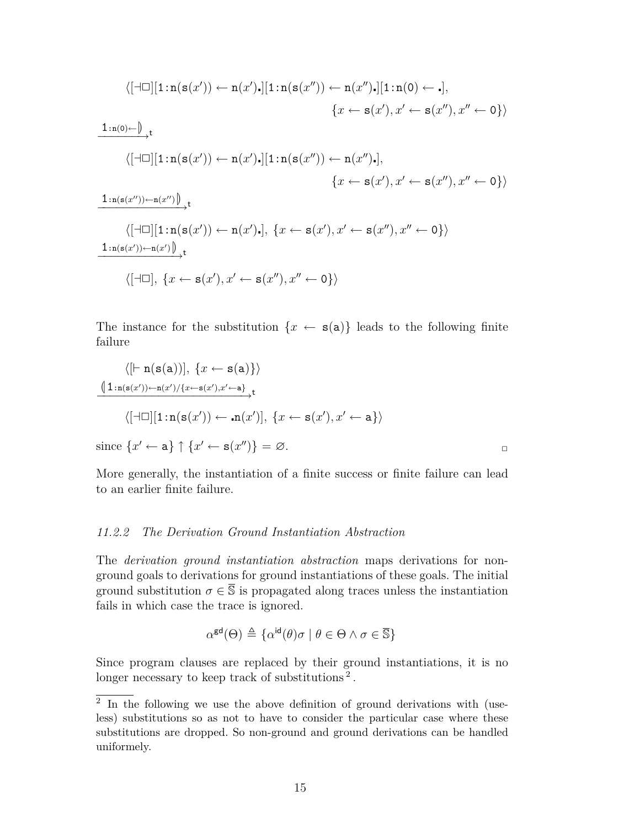$$
\langle [\exists \Box] [1 : n(s(x')) \leftarrow n(x') \cdot ] [1 : n(s(x'')) \leftarrow n(x'') \cdot ] [1 : n(0) \leftarrow \cdot],
$$
\n
$$
\{x \leftarrow s(x'), x' \leftarrow s(x''), x'' \leftarrow 0\} \rangle
$$
\n
$$
\frac{1 : n(0) \leftarrow \right)}{\langle [\exists \Box] [1 : n(s(x')) \leftarrow n(x') \cdot ] [1 : n(s(x'')) \leftarrow n(x'') \cdot ],}
$$
\n
$$
\{x \leftarrow s(x'), x' \leftarrow s(x''), x'' \leftarrow 0\} \rangle
$$
\n
$$
\frac{1 : n(s(x'')) \leftarrow n(x'') \cdot }{\langle [\exists \Box] [1 : n(s(x')) \leftarrow n(x') \cdot ],} \{x \leftarrow s(x'), x' \leftarrow s(x''), x'' \leftarrow 0\} \rangle
$$
\n
$$
\frac{1 : n(s(x')) \leftarrow n(x') \cdot }{\langle [\exists \Box], \{x \leftarrow s(x'), x' \leftarrow s(x''), x'' \leftarrow 0\} \rangle} \rangle
$$
\n
$$
\langle [\exists \Box], \{x \leftarrow s(x'), x' \leftarrow s(x''), x'' \leftarrow 0\} \rangle \rangle
$$

The instance for the substitution  ${x \leftarrow s(a)}$  leads to the following finite failure

$$
\langle \left[ \vdash n(s(a)) \right], \{ x \leftarrow s(a) \} \rangle
$$
  

$$
\frac{\langle 1 : n(s(x')) - n(x') / \{ x \leftarrow s(x'), x' \leftarrow a \} \rangle}{\langle [\exists \Box] [1 : n(s(x')) \leftarrow n(x')], \{ x \leftarrow s(x'), x' \leftarrow a \} \rangle}
$$

 $\text{since } \{x' \leftarrow \mathbf{a}\} \uparrow \{x' \leftarrow \mathbf{s}(x'')\} = \varnothing.$ 

More generally, the instantiation of a finite success or finite failure can lead to an earlier finite failure.

### *11.2.2 The Derivation Ground Instantiation Abstraction*

The *derivation ground instantiation abstraction* maps derivations for nonground goals to derivations for ground instantiations of these goals. The initial ground substitution  $\sigma \in \overline{S}$  is propagated along traces unless the instantiation fails in which case the trace is ignored.

$$
\alpha^{\text{gd}}(\Theta) \triangleq \{ \alpha^{\text{id}}(\theta)\sigma \mid \theta \in \Theta \land \sigma \in \overline{\mathbb{S}} \}
$$

Since program clauses are replaced by their ground instantiations, it is no longer necessary to keep track of substitutions<sup>2</sup>.

<sup>&</sup>lt;sup>2</sup> In the following we use the above definition of ground derivations with (useless) substitutions so as not to have to consider the particular case where these substitutions are dropped. So non-ground and ground derivations can be handled uniformely.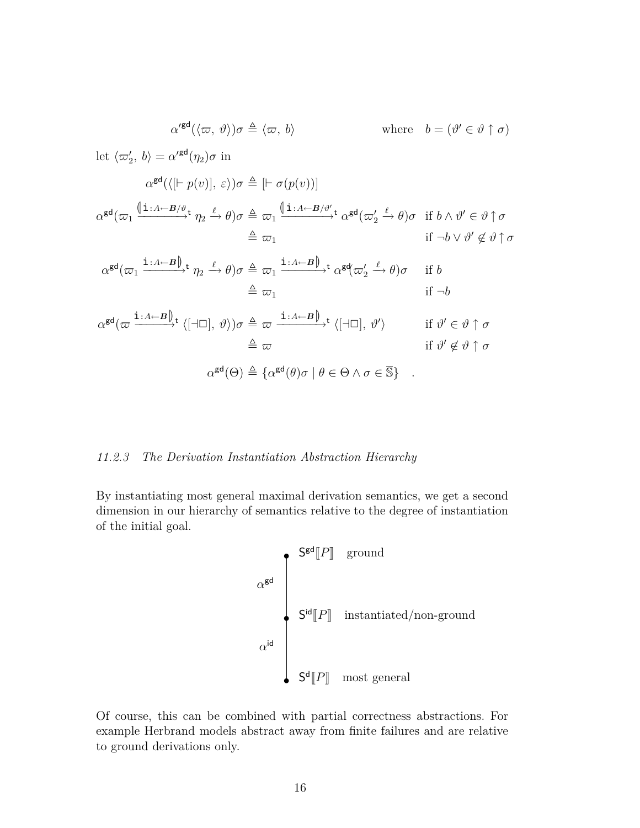$$
\alpha'^{\text{gd}}(\langle \varpi, \vartheta \rangle) \sigma \triangleq \langle \varpi, b \rangle \qquad \text{where} \quad b = (\vartheta' \in \vartheta \uparrow \sigma)
$$
\nlet  $\langle \varpi'_2, b \rangle = \alpha'^{\text{gd}}(\eta_2) \sigma$  in\n
$$
\alpha^{\text{gd}}(\langle [\vdash p(v)], \varepsilon \rangle) \sigma \triangleq [\vdash \sigma(p(v))]
$$
\n
$$
\alpha^{\text{gd}}(\varpi_1 \xrightarrow{\{i : A \leftarrow B/\vartheta \mathbf{t}} \eta_2 \xrightarrow{\ell} \theta) \sigma \triangleq \varpi_1 \xrightarrow{\{i : A \leftarrow B/\vartheta' \mathbf{t}} \alpha^{\text{gd}}(\varpi'_2 \xrightarrow{\ell} \theta) \sigma \text{ if } b \wedge \vartheta' \in \vartheta \uparrow \sigma \triangleq \varpi_1 \xrightarrow{\{i : A \leftarrow B\}} \tau_2 \xrightarrow{\ell} \theta) \sigma \triangleq \varpi_1 \xrightarrow{\{i : A \leftarrow B\}} \tau_2 \xrightarrow{\{i : A \leftarrow B\}} \tau_2 \xrightarrow{\{j : A \leftarrow B\}} \tau_2 \xrightarrow{\{k : A \leftarrow B\}} \tau_2 \xrightarrow{\{k : A \leftarrow B\}} \tau_2 \xrightarrow{\{k : A \leftarrow B\}} \tau_2 \xrightarrow{\{l : A \leftarrow B\}} \tau_2 \xrightarrow{\{l : A \leftarrow B\}} \tau_2 \xrightarrow{\{l : A \leftarrow B\}} \tau_2 \xrightarrow{\{l : A \leftarrow B\}} \tau_2 \xrightarrow{\{l : A \leftarrow B\}} \tau_2 \xrightarrow{\{l : A \leftarrow B\}} \tau_2 \xrightarrow{\{l : A \leftarrow B\}} \tau_2 \xrightarrow{\{l : A \leftarrow B\}} \tau_2 \xrightarrow{\{l : A \leftarrow B\}} \tau_2 \xrightarrow{\{l : A \leftarrow B\}} \tau_2 \xrightarrow{\{l : A \leftarrow B\}} \tau_2 \xrightarrow{\{l : A \leftarrow B\}} \tau_2 \xrightarrow{\{l : A \leftarrow B\}} \tau_2 \xrightarrow{\{l : A \leftarrow B\}} \tau_2 \xrightarrow{\{l : A \leftarrow B\}} \tau_2 \xrightarrow{\{l : A \leftarrow B\}} \tau_2 \xrightarrow{\{l : A \leftarrow B\}} \tau_2 \xrightarrow{\{l : A \leftarrow B\}} \tau_2 \xrightarrow{\{l : A
$$

where  $b=(\vartheta' \in \vartheta \uparrow \sigma)$ 

# *11.2.3 The Derivation Instantiation Abstraction Hierarchy*

By instantiating most general maximal derivation semantics, we get a second dimension in our hierarchy of semantics relative to the degree of instantiation of the initial goal.

$$
\alpha^{\text{gd}}
$$
\n
$$
\alpha^{\text{gd}}
$$
\n
$$
\alpha^{\text{id}}
$$
\n
$$
\alpha^{\text{id}}
$$
\n
$$
\beta^{\text{dg}}[P]
$$
\ninstantiated/non-ground

\n
$$
\alpha^{\text{id}}
$$
\n
$$
\beta^{\text{d}}[P]
$$
\nmost general

Of course, this can be combined with partial correctness abstractions. For example Herbrand models abstract away from finite failures and are relative to ground derivations only.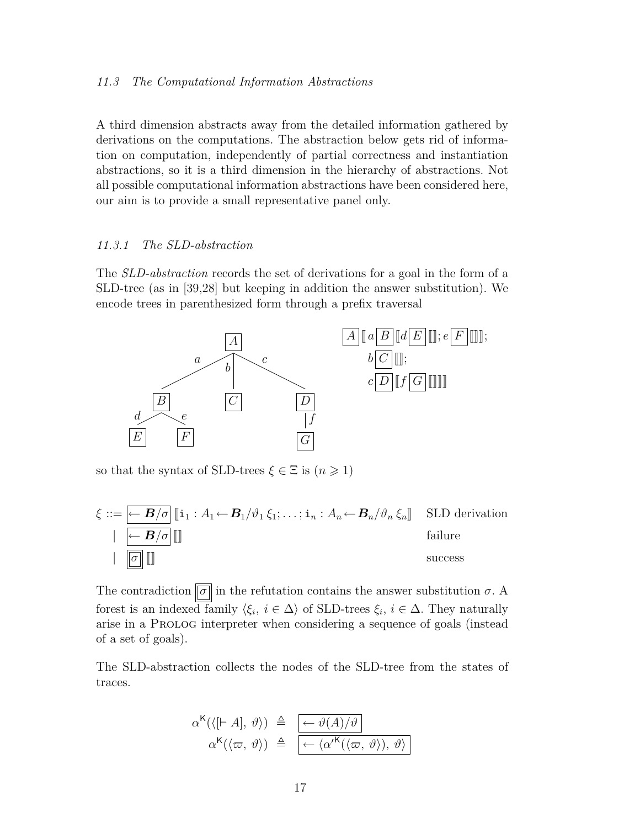### *11.3 The Computational Information Abstractions*

A third dimension abstracts away from the detailed information gathered by derivations on the computations. The abstraction below gets rid of information on computation, independently of partial correctness and instantiation abstractions, so it is a third dimension in the hierarchy of abstractions. Not all possible computational information abstractions have been considered here, our aim is to provide a small representative panel only.

### *11.3.1 The SLD-abstraction*

The *SLD-abstraction* records the set of derivations for a goal in the form of a SLD-tree (as in [39,28] but keeping in addition the answer substitution). We encode trees in parenthesized form through a prefix traversal



so that the syntax of SLD-trees  $\xi \in \Xi$  is  $(n \geq 1)$ 



The contradiction  $\boxed{\sigma}$  in the refutation contains the answer substitution  $\sigma$ . A forest is an indexed family  $\langle \xi_i, i \in \Delta \rangle$  of SLD-trees  $\xi_i, i \in \Delta$ . They naturally arise in a Prolog interpreter when considering a sequence of goals (instead of a set of goals).

The SLD-abstraction collects the nodes of the SLD-tree from the states of traces.

$$
\alpha^{K}(\langle [\vdash A], \vartheta \rangle) \triangleq \left[ \frac{\langle \varphi \vartheta(A)/\vartheta \rangle}{\langle \varphi \vartheta \rangle} \right] \quad \alpha^{K}(\langle \varpi, \vartheta \rangle) \triangleq \left[ \frac{\langle \varphi \vartheta(A)/\vartheta \rangle}{\langle \varphi \vartheta \rangle} \right]
$$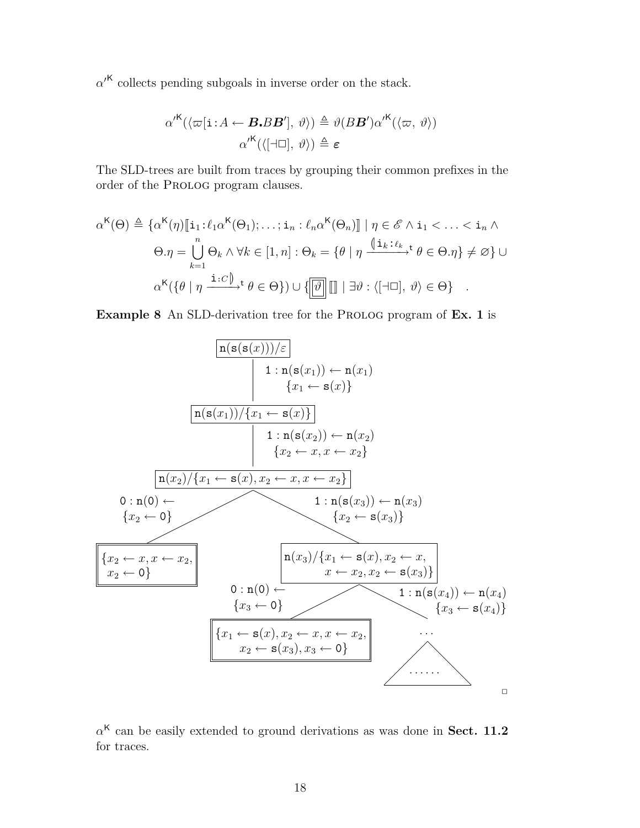$\alpha$ <sup>/K</sup> collects pending subgoals in inverse order on the stack.

$$
\alpha^{\prime K}(\langle \varpi[\mathbf{i}:A \leftarrow \boldsymbol{B} \cdot \boldsymbol{B} \boldsymbol{B}'], \vartheta \rangle) \triangleq \vartheta(\boldsymbol{B} \boldsymbol{B}') \alpha^{\prime K}(\langle \varpi, \vartheta \rangle)
$$

$$
\alpha^{\prime K}(\langle [\neg \Box], \vartheta \rangle) \triangleq \varepsilon
$$

The SLD-trees are built from traces by grouping their common prefixes in the order of the Prolog program clauses.

$$
\alpha^{K}(\Theta) \triangleq \{ \alpha^{K}(\eta) [\![\mathbf{i}_{1} : \ell_{1}\alpha^{K}(\Theta_{1}); \ldots; \mathbf{i}_{n} : \ell_{n}\alpha^{K}(\Theta_{n})]\!] \mid \eta \in \mathscr{E} \land \mathbf{i}_{1} < \ldots < \mathbf{i}_{n} \land
$$

$$
\Theta. \eta = \bigcup_{k=1}^{n} \Theta_{k} \land \forall k \in [1, n] : \Theta_{k} = \{ \theta \mid \eta \xrightarrow{\langle \![\mathbf{i}_{k} : \ell_{k} \to \mathbf{t} \rbrace} \theta \in \Theta. \eta \} \neq \emptyset \} \cup
$$

$$
\alpha^{K}(\{\theta \mid \eta \xrightarrow{\mathbf{i} : C \mathbf{j}_{n} \to \mathbf{t} \}} \theta \in \Theta \}) \cup \{\boxed{\boxed{\vartheta}} \boxed{\mathbf{j} \mid \exists \vartheta : \langle [\exists \Box], \vartheta \rangle \in \Theta \}}.
$$

**Example 8** An SLD-derivation tree for the PROLOG program of **Ex. 1** is



*α* <sup>K</sup> can be easily extended to ground derivations as was done in **Sect. 11.2** for traces.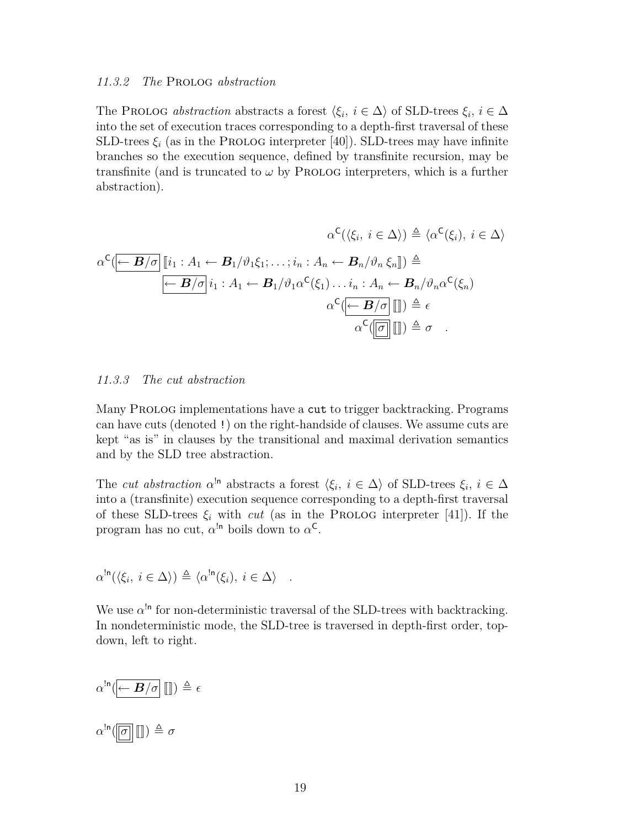### *11.3.2 The* Prolog *abstraction*

The PROLOG *abstraction* abstracts a forest  $\langle \xi_i, i \in \Delta \rangle$  of SLD-trees  $\xi_i, i \in \Delta$ into the set of execution traces corresponding to a depth-first traversal of these SLD-trees  $\xi_i$  (as in the PROLOG interpreter [40]). SLD-trees may have infinite branches so the execution sequence, defined by transfinite recursion, may be transfinite (and is truncated to  $\omega$  by PROLOG interpreters, which is a further abstraction).

*α* C (*hξ<sup>i</sup> , i ∈* ∆*i*) , *hα* C (*ξi*)*, i ∈* ∆*i α* C (*<sup>←</sup> <sup>B</sup>/σ* <sup>J</sup>*i*<sup>1</sup> : *<sup>A</sup>*<sup>1</sup> *<sup>←</sup> <sup>B</sup>*1*/ϑ*1*ξ*1; *. . .* ;*i<sup>n</sup>* : *<sup>A</sup><sup>n</sup> <sup>←</sup> <sup>B</sup>n/ϑ<sup>n</sup> <sup>ξ</sup><sup>n</sup>*K) , *← B/σ i*<sup>1</sup> : *A*<sup>1</sup> *← B*1*/ϑ*1*α* C (*ξ*1)*. . . i<sup>n</sup>* : *A<sup>n</sup> ← Bn/ϑnα* C (*ξn*) *α* C (*<sup>←</sup> <sup>B</sup>/σ* JK) , *α* C ( *<sup>σ</sup>* JK) , *σ .*

### *11.3.3 The cut abstraction*

Many PROLOG implementations have a cut to trigger backtracking. Programs can have cuts (denoted !) on the right-handside of clauses. We assume cuts are kept "as is" in clauses by the transitional and maximal derivation semantics and by the SLD tree abstraction.

The *cut abstraction*  $\alpha^{\ln}$  abstracts a forest  $\langle \xi_i, i \in \Delta \rangle$  of SLD-trees  $\xi_i, i \in \Delta$ into a (transfinite) execution sequence corresponding to a depth-first traversal of these SLD-trees  $\xi_i$  with *cut* (as in the PROLOG interpreter [41]). If the program has no cut,  $\alpha^{!n}$  boils down to  $\alpha^{C}$ .

$$
\alpha^{\ln}(\langle \xi_i, i \in \Delta \rangle) \triangleq \langle \alpha^{\ln}(\xi_i), i \in \Delta \rangle .
$$

We use  $\alpha^{\ln}$  for non-deterministic traversal of the SLD-trees with backtracking. In nondeterministic mode, the SLD-tree is traversed in depth-first order, topdown, left to right.

$$
\alpha^{\ln}(\overline{\leftarrow B/\sigma} \parallel \hspace{-2.5mm} \parallel) \triangleq \epsilon
$$
  

$$
\alpha^{\ln}(\boxed{\sigma} \parallel \hspace{-2.5mm} \parallel) \triangleq \sigma
$$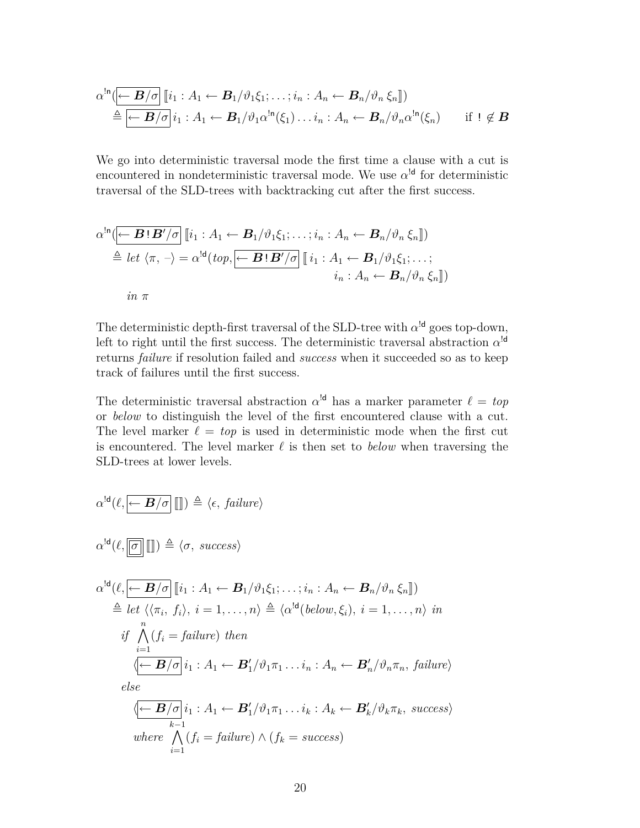$$
\alpha^{\mathsf{In}}(\overline{\leftarrow B/\sigma} \quad [i_1 : A_1 \leftarrow B_1/\vartheta_1 \xi_1; \ldots; i_n : A_n \leftarrow B_n/\vartheta_n \xi_n])
$$
\n
$$
\triangleq \overline{\leftarrow B/\sigma} \quad i_1 : A_1 \leftarrow B_1/\vartheta_1 \alpha^{\mathsf{In}}(\xi_1) \ldots i_n : A_n \leftarrow B_n/\vartheta_n \alpha^{\mathsf{In}}(\xi_n) \qquad \text{if } 1 \notin B
$$

We go into deterministic traversal mode the first time a clause with a cut is encountered in nondeterministic traversal mode. We use  $\alpha^{\text{Id}}$  for deterministic traversal of the SLD-trees with backtracking cut after the first success.

$$
\alpha^{\ln}(\overline{\leftarrow B!B'/\sigma} \left[ i_1 : A_1 \leftarrow B_1/\vartheta_1 \xi_1; \dots; i_n : A_n \leftarrow B_n/\vartheta_n \xi_n \right])
$$
  
\n
$$
\triangleq let \langle \pi, - \rangle = \alpha^{\ln}(top, \overline{\leftarrow B!B'/\sigma} \left[ i_1 : A_1 \leftarrow B_1/\vartheta_1 \xi_1; \dots; i_n : A_n \leftarrow B_n/\vartheta_n \xi_n \right])
$$
  
\n
$$
in \ \pi
$$

The deterministic depth-first traversal of the SLD-tree with  $\alpha^{ld}$  goes top-down, left to right until the first success. The deterministic traversal abstraction  $\alpha^{\text{Id}}$ returns *failure* if resolution failed and *success* when it succeeded so as to keep track of failures until the first success.

The deterministic traversal abstraction  $\alpha^{\text{ld}}$  has a marker parameter  $\ell = top$ or *below* to distinguish the level of the first encountered clause with a cut. The level marker  $\ell = top$  is used in deterministic mode when the first cut is encountered. The level marker  $\ell$  is then set to *below* when traversing the SLD-trees at lower levels.

$$
\alpha^{\text{ld}}(\ell, \underbrace{\leftarrow B/\sigma} \text{)}]) \triangleq \langle \epsilon, \text{ failure} \rangle
$$
\n
$$
\alpha^{\text{ld}}(\ell, \underbrace{\overline{\sigma}}] \text{)} \triangleq \langle \sigma, \text{ success} \rangle
$$
\n
$$
\alpha^{\text{ld}}(\ell, \underbrace{\leftarrow B/\sigma} \text{ } [\![i_1 : A_1 \leftarrow B_1/\vartheta_1 \xi_1; \ldots; i_n : A_n \leftarrow B_n/\vartheta_n \xi_n \text{]}]
$$
\n
$$
\triangleq \text{let } \langle \langle \pi_i, f_i \rangle, i = 1, \ldots, n \rangle \triangleq \langle \alpha^{\text{ld}}(\text{below}, \xi_i), i = 1, \ldots, n \rangle \text{ in}
$$
\n
$$
\text{if } \bigwedge_{i=1}^n (f_i = \text{failure}) \text{ then}
$$
\n
$$
\langle \underbrace{\leftarrow B/\sigma} \text{ } i_1 : A_1 \leftarrow B'_1/\vartheta_1 \pi_1 \ldots i_n : A_n \leftarrow B'_n/\vartheta_n \pi_n, \text{ failure} \rangle
$$
\n
$$
\text{else}
$$
\n
$$
\langle \underbrace{\leftarrow B/\sigma} \text{ } i_1 : A_1 \leftarrow B'_1/\vartheta_1 \pi_1 \ldots i_k : A_k \leftarrow B'_k/\vartheta_k \pi_k, \text{ success} \rangle
$$
\n
$$
\text{where } \bigwedge_{i=1}^{k-1} (f_i = \text{failure}) \wedge (f_k = \text{success})
$$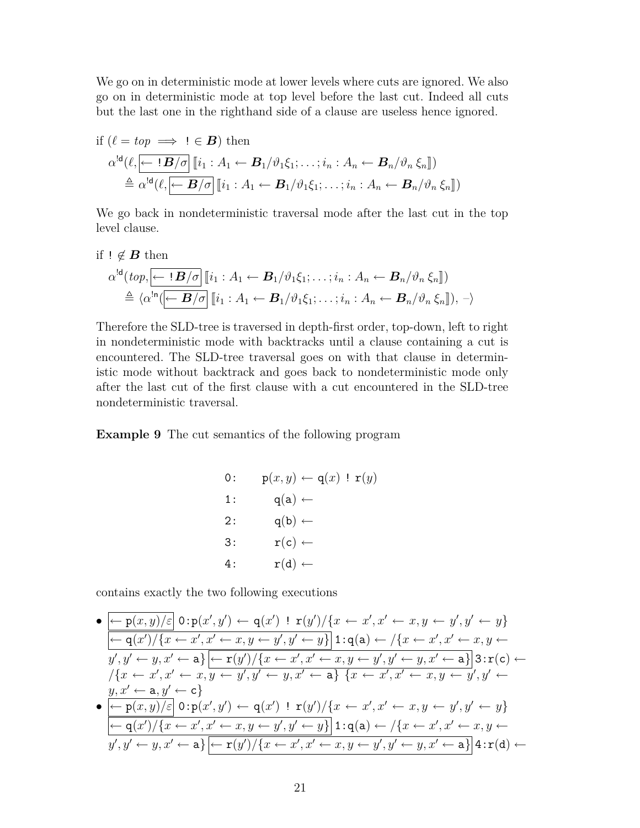We go on in deterministic mode at lower levels where cuts are ignored. We also go on in deterministic mode at top level before the last cut. Indeed all cuts but the last one in the righthand side of a clause are useless hence ignored.

if 
$$
(\ell = top \implies \mathbf{I} \in \mathbf{B})
$$
 then  
\n
$$
\alpha^{d}(\ell, \overline{\mathbf{\leftarrow} \mathbf{B}/\sigma} \quad [\mathbf{i}_{1} : A_{1} \leftarrow \mathbf{B}_{1}/\vartheta_{1} \xi_{1}; \dots; \mathbf{i}_{n} : A_{n} \leftarrow \mathbf{B}_{n}/\vartheta_{n} \xi_{n}])
$$
\n
$$
\triangleq \alpha^{d}(\ell, \overline{\mathbf{\leftarrow} \mathbf{B}/\sigma} \quad [\mathbf{i}_{1} : A_{1} \leftarrow \mathbf{B}_{1}/\vartheta_{1} \xi_{1}; \dots; \mathbf{i}_{n} : A_{n} \leftarrow \mathbf{B}_{n}/\vartheta_{n} \xi_{n}])
$$

We go back in nondeterministic traversal mode after the last cut in the top level clause.

if 
$$
!\notin B
$$
 then

$$
\alpha^{ld}(top, \underbrace{\leftarrow \mathbf{!} \mathbf{B}/\sigma} \left[ [i_1 : A_1 \leftarrow \mathbf{B}_1/\vartheta_1 \xi_1; \dots; i_n : A_n \leftarrow \mathbf{B}_n/\vartheta_n \xi_n \right] \right] \newline \triangleq \langle \alpha^{ln}(\underbrace{\leftarrow \mathbf{B}/\sigma} \left[ [i_1 : A_1 \leftarrow \mathbf{B}_1/\vartheta_1 \xi_1; \dots; i_n : A_n \leftarrow \mathbf{B}_n/\vartheta_n \xi_n \right] \right], - \rangle
$$

Therefore the SLD-tree is traversed in depth-first order, top-down, left to right in nondeterministic mode with backtracks until a clause containing a cut is encountered. The SLD-tree traversal goes on with that clause in deterministic mode without backtrack and goes back to nondeterministic mode only after the last cut of the first clause with a cut encountered in the SLD-tree nondeterministic traversal.

**Example 9** The cut semantics of the following program

0: 
$$
p(x, y) \leftarrow q(x) \mid r(y)
$$
  
\n1:  $q(a) \leftarrow$   
\n2:  $q(b) \leftarrow$   
\n3:  $r(c) \leftarrow$   
\n4:  $r(d) \leftarrow$ 

contains exactly the two following executions

$$
\begin{array}{l}\n\bullet \left[ \frac{\leftarrow p(x,y)/\varepsilon}{\leftarrow} 0: p(x',y') \leftarrow q(x') \; ! \; r(y')/\{x \leftarrow x', x' \leftarrow x, y \leftarrow y', y' \leftarrow y\} \\
\frac{\leftarrow q(x')/\{x \leftarrow x', x' \leftarrow x, y \leftarrow y', y' \leftarrow y\}}{1: q(a) \leftarrow /\{x \leftarrow x', x' \leftarrow x, y \leftarrow y'\} \\
\frac{\leftarrow y', y' \leftarrow y, x' \leftarrow a\} \left[ \frac{\leftarrow r(y')}{\{x \leftarrow x', x' \leftarrow x, y \leftarrow y', y' \leftarrow y, x' \leftarrow a\} \} 3: r(c) \leftarrow \\
\frac{\left\{x \leftarrow x', x' \leftarrow x, y \leftarrow y', y' \leftarrow y, x' \leftarrow a\} \{x \leftarrow x', x' \leftarrow x, y \leftarrow y', y' \leftarrow y, x' \leftarrow a, y' \leftarrow c\} \\
\bullet \left[ \frac{\leftarrow p(x, y)/\varepsilon}{\leftarrow} 0: p(x', y') \leftarrow q(x') \; ! \; r(y')/\{x \leftarrow x', x' \leftarrow x, y \leftarrow y', y' \leftarrow y\} \\
\frac{\leftarrow q(x')/\{x \leftarrow x', x' \leftarrow x, y \leftarrow y', y' \leftarrow y\} \} 1: q(a) \leftarrow /\{x \leftarrow x', x' \leftarrow x, y \leftarrow y, y' \leftarrow y, y' \leftarrow y, y' \leftarrow y, x' \leftarrow a\} \left[ \frac{\leftarrow r(y')}{\{x \leftarrow x', x' \leftarrow x, y \leftarrow y', y' \leftarrow y, x' \leftarrow a\} \} 4: r(d) \leftarrow \\
\end{array} \right]\n\end{array}
$$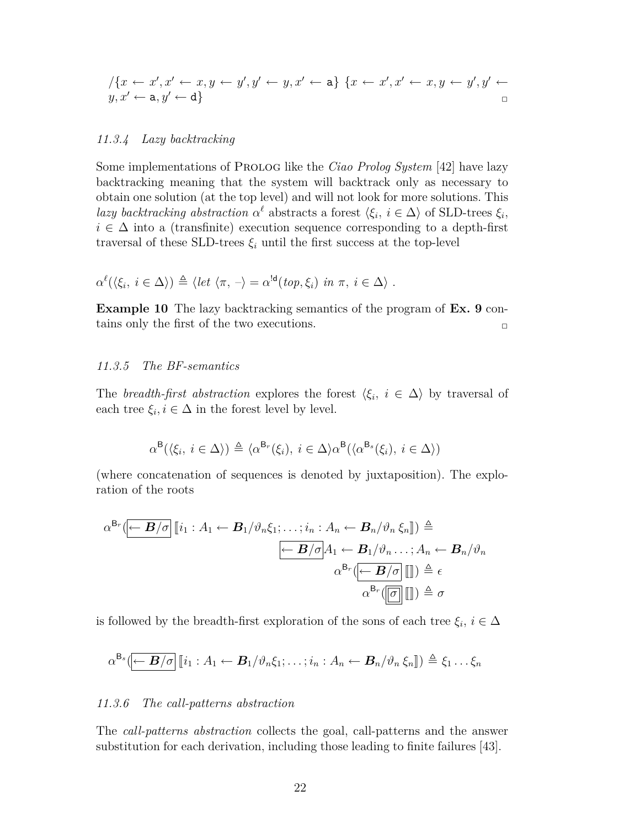$$
\begin{array}{l} \quad \ \ \, / \{ x \leftarrow x', x' \leftarrow x, y \leftarrow y', y' \leftarrow y, x' \leftarrow \mathtt{a} \} \ \{ x \leftarrow x', x' \leftarrow x, y \leftarrow y', y' \leftarrow y, x' \leftarrow \mathtt{a}, y' \leftarrow \mathtt{d} \} \end{array}
$$

### *11.3.4 Lazy backtracking*

Some implementations of Prolog like the *Ciao Prolog System* [42] have lazy backtracking meaning that the system will backtrack only as necessary to obtain one solution (at the top level) and will not look for more solutions. This *lazy backtracking abstraction*  $\alpha^{\ell}$  abstracts a forest  $\langle \xi_i, i \in \Delta \rangle$  of SLD-trees  $\xi_i$ ,  $i \in \Delta$  into a (transfinite) execution sequence corresponding to a depth-first traversal of these SLD-trees  $\xi_i$  until the first success at the top-level

$$
\alpha^{\ell}(\langle \xi_i, i \in \Delta \rangle) \triangleq \langle let \langle \pi, - \rangle = \alpha^{!d}(top, \xi_i) \text{ in } \pi, i \in \Delta \rangle.
$$

**Example 10** The lazy backtracking semantics of the program of **Ex. 9** contains only the first of the two executions.  $\Box$ 

### *11.3.5 The BF-semantics*

The *breadth-first abstraction* explores the forest  $\langle \xi_i, i \in \Delta \rangle$  by traversal of each tree  $\xi_i, i \in \Delta$  in the forest level by level.

$$
\alpha^{\mathsf{B}}(\langle \xi_i, i \in \Delta \rangle) \triangleq \langle \alpha^{\mathsf{B}_r}(\xi_i), i \in \Delta \rangle \alpha^{\mathsf{B}}(\langle \alpha^{\mathsf{B}_s}(\xi_i), i \in \Delta \rangle)
$$

(where concatenation of sequences is denoted by juxtaposition). The exploration of the roots

$$
\alpha^{\mathsf{B}_{r}}\left(\overline{\leftarrow B/\sigma}\right)\left[\!\!\left[i_{1}:A_{1}\leftarrow B_{1}/\vartheta_{n}\xi_{1};\ldots;i_{n}:A_{n}\leftarrow B_{n}/\vartheta_{n}\xi_{n}\right]\!\!\right]\right)\stackrel{\triangle}{=}
$$
\n
$$
\overline{\leftarrow B/\sigma}\left|\!\!\left[A_{1}\leftarrow B_{1}/\vartheta_{n}\ldots;A_{n}\leftarrow B_{n}/\vartheta_{n}\right]\!\!\right]\right|\stackrel{\triangle}{=}\epsilon
$$
\n
$$
\alpha^{\mathsf{B}_{r}}\left(\overline{\leftarrow B/\sigma}\right)\left[\!\!\left[\!\!\left]\!\!\right]\right]\right)\stackrel{\triangle}{=}\epsilon
$$
\n
$$
\alpha^{\mathsf{B}_{r}}\left(\overline{\left[\!\!\left[\sigma\right]\!\!\right]}\left[\!\!\left[\!\!\left]\!\!\right]\!\!\right]\right)\stackrel{\triangle}{=}\sigma
$$

is followed by the breadth-first exploration of the sons of each tree  $\xi_i$ ,  $i \in \Delta$ 

$$
\alpha^{\mathsf{B}_{s}}(\mathbf{B}/\sigma)[i_1: A_1 \leftarrow \mathbf{B}_1/\vartheta_n \xi_1; \ldots; i_n: A_n \leftarrow \mathbf{B}_n/\vartheta_n \xi_n]) \triangleq \xi_1 \ldots \xi_n
$$

### *11.3.6 The call-patterns abstraction*

The *call-patterns abstraction* collects the goal, call-patterns and the answer substitution for each derivation, including those leading to finite failures [43].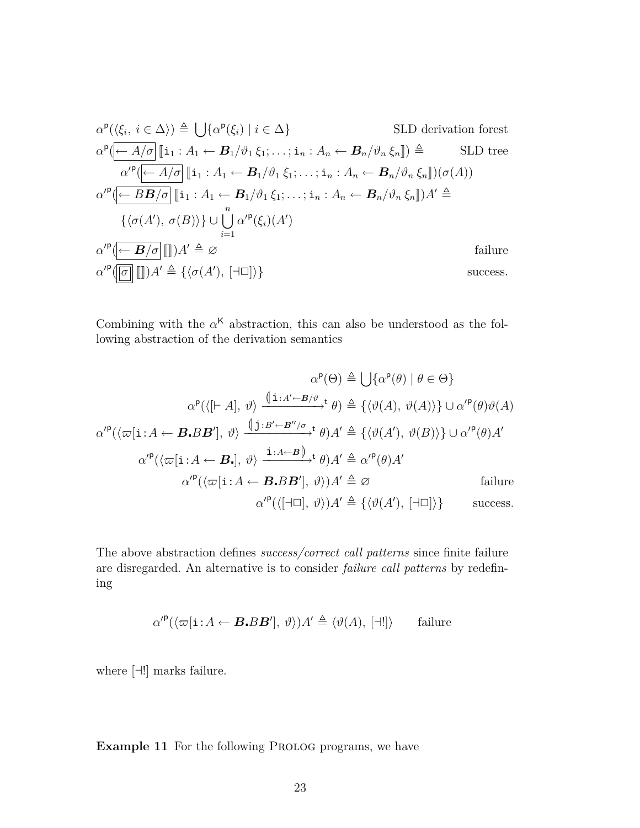$$
\alpha^{\mathsf{P}}(\langle \xi_{i}, i \in \Delta \rangle) \triangleq \bigcup \{\alpha^{\mathsf{P}}(\xi_{i}) \mid i \in \Delta\} \qquad \text{SLD derivation forest}
$$
  
\n
$$
\alpha^{\mathsf{P}}(\overline{\leftarrow A/\sigma} \mid \mathbf{I}_{1}: A_{1} \leftarrow \mathbf{B}_{1}/\vartheta_{1} \xi_{1}; \dots; \mathbf{i}_{n}: A_{n} \leftarrow \mathbf{B}_{n}/\vartheta_{n} \xi_{n} \mid) \triangleq \qquad \text{SLD tree}
$$
  
\n
$$
\alpha'^{\mathsf{P}}(\overline{\leftarrow A/\sigma} \mid \mathbf{I}_{1}: A_{1} \leftarrow \mathbf{B}_{1}/\vartheta_{1} \xi_{1}; \dots; \mathbf{i}_{n}: A_{n} \leftarrow \mathbf{B}_{n}/\vartheta_{n} \xi_{n} \mid) (\sigma(A))
$$
  
\n
$$
\alpha'^{\mathsf{P}}(\overline{\leftarrow B \mathbf{B}/\sigma} \mid \mathbf{I}_{1}: A_{1} \leftarrow \mathbf{B}_{1}/\vartheta_{1} \xi_{1}; \dots; \mathbf{i}_{n}: A_{n} \leftarrow \mathbf{B}_{n}/\vartheta_{n} \xi_{n} \mid) A' \triangleq
$$
  
\n
$$
\{\langle \sigma(A'), \sigma(B) \rangle\} \cup \bigcup_{i=1}^{n} \alpha'^{\mathsf{P}}(\xi_{i})(A')
$$
  
\n
$$
\alpha'^{\mathsf{P}}(\overline{\leftarrow B/\sigma} \mid \text{I}_{n}) A' \triangleq \varnothing \qquad \text{failure}
$$
  
\n
$$
\alpha'^{\mathsf{P}}(\overline{\leftarrow B/\sigma} \mid \text{I}_{n}) A' \triangleq \{\langle \sigma(A'), [\neg \Box] \rangle\}
$$

Combining with the  $\alpha^{\mathsf{K}}$  abstraction, this can also be understood as the following abstraction of the derivation semantics

$$
\alpha^{\mathbf{p}}(\Theta) \triangleq \bigcup \{\alpha^{\mathbf{p}}(\theta) \mid \theta \in \Theta\}
$$

$$
\alpha^{\mathbf{p}}(\langle [\vdash A], \vartheta \rangle \xrightarrow{\langle \mathbf{i} : A' \leftarrow B/\vartheta} \mathbf{t} \theta \rangle \triangleq \{\langle \vartheta(A), \vartheta(A) \rangle\} \cup \alpha'^{\mathbf{p}}(\theta) \vartheta(A)
$$

$$
\alpha'^{\mathbf{p}}(\langle \varpi[\mathbf{i} : A \leftarrow \mathbf{B} \cdot \mathbf{B} \mathbf{B}'], \vartheta \rangle \xrightarrow{\langle \mathbf{i} : B' \leftarrow B''/\sigma} \mathbf{t} \theta \rangle A' \triangleq \{\langle \vartheta(A'), \vartheta(B) \rangle\} \cup \alpha'^{\mathbf{p}}(\theta) A'
$$

$$
\alpha'^{\mathbf{p}}(\langle \varpi[\mathbf{i} : A \leftarrow \mathbf{B} \cdot], \vartheta \rangle \xrightarrow{\mathbf{i} : A \leftarrow B} \mathbf{B}'], \vartheta \rangle A' \triangleq \alpha'^{\mathbf{p}}(\theta) A'
$$
failure  

$$
\alpha'^{\mathbf{p}}(\langle \varpi[\mathbf{i} : A \leftarrow \mathbf{B} \cdot \mathbf{B} \mathbf{B}'], \vartheta \rangle) A' \triangleq \varnothing \qquad \text{failure}
$$

$$
\alpha'^{\mathbf{p}}(\langle [\dashv \Box], \vartheta \rangle) A' \triangleq \{\langle \vartheta(A'), [\dashv \Box] \rangle\} \qquad \text{success.}
$$

The above abstraction defines *success/correct call patterns* since finite failure are disregarded. An alternative is to consider *failure call patterns* by redefining

$$
\alpha'^{\mathsf{p}}(\langle \varpi[\mathbf{i} : A \leftarrow \boldsymbol{B} \cdot \boldsymbol{B} \boldsymbol{B}'], \vartheta \rangle) A' \triangleq \langle \vartheta(A), [\exists !] \rangle \qquad \text{failure}
$$

where  $[\exists!]$  marks failure.

**Example 11** For the following PROLOG programs, we have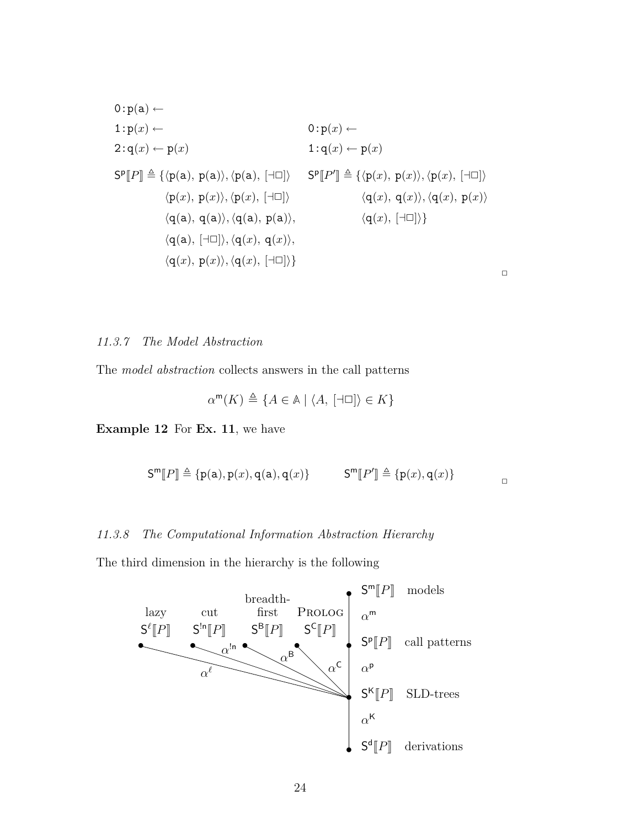$$
0: p(a) \leftarrow
$$
  
\n
$$
1: p(x) \leftarrow
$$
  
\n
$$
2: q(x) \leftarrow p(x)
$$
  
\n
$$
S^{p}[P] \triangleq \{ \langle p(a), p(a) \rangle, \langle p(a), [\neg \Box] \rangle \quad S^{p}[P'] \triangleq \{ \langle p(x), p(x) \rangle, \langle p(x), [\neg \Box] \rangle \}
$$
  
\n
$$
\langle p(x), p(x) \rangle, \langle p(x), [\neg \Box] \rangle
$$
  
\n
$$
\langle q(x), q(x) \rangle, \langle q(x), p(x) \rangle
$$
  
\n
$$
\langle q(a), (q(a), p(a) \rangle, \quad \langle q(x), [\neg \Box] \rangle \}
$$
  
\n
$$
\langle q(a), [\neg \Box] \rangle, \langle q(x), q(x) \rangle,
$$
  
\n
$$
\langle q(x), p(x) \rangle, \langle q(x), [\neg \Box] \rangle \}
$$

## *11.3.7 The Model Abstraction*

The *model abstraction* collects answers in the call patterns

$$
\alpha^{\mathsf{m}}(K) \triangleq \{ A \in \mathbb{A} \mid \langle A, [\exists \Box] \rangle \in K \}
$$

**Example 12** For **Ex. 11**, we have

$$
\mathsf{S}^{\mathsf{m}}[P] \triangleq \{ \mathsf{p}(\mathsf{a}), \mathsf{p}(x), \mathsf{q}(\mathsf{a}), \mathsf{q}(x) \} \qquad \mathsf{S}^{\mathsf{m}}[P'] \triangleq \{ \mathsf{p}(x), \mathsf{q}(x) \} \qquad \square
$$

 $\Box$ 

# *11.3.8 The Computational Information Abstraction Hierarchy*

The third dimension in the hierarchy is the following

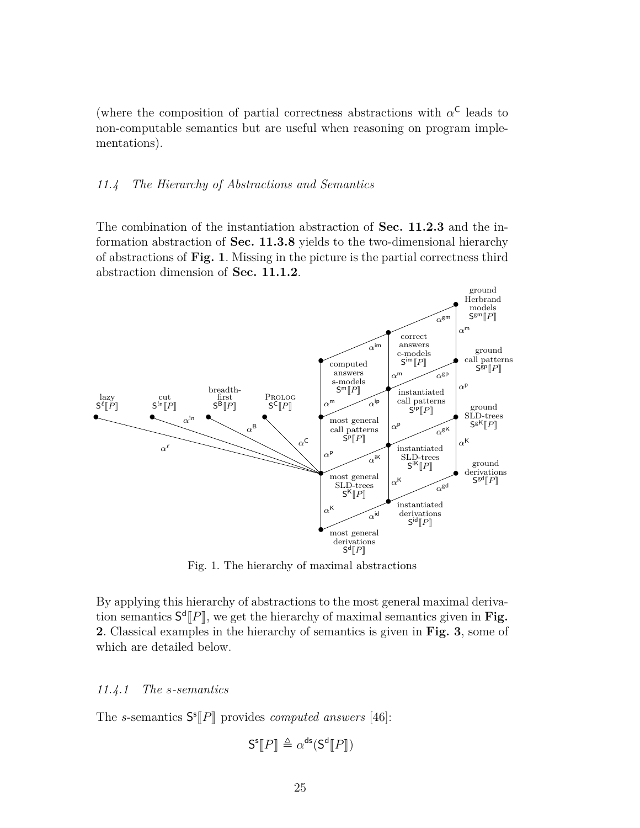(where the composition of partial correctness abstractions with  $\alpha^{\mathsf{C}}$  leads to non-computable semantics but are useful when reasoning on program implementations).

### *11.4 The Hierarchy of Abstractions and Semantics*

The combination of the instantiation abstraction of **Sec. 11.2.3** and the information abstraction of **Sec. 11.3.8** yields to the two-dimensional hierarchy of abstractions of **Fig. 1**. Missing in the picture is the partial correctness third abstraction dimension of **Sec. 11.1.2**.



Fig. 1. The hierarchy of maximal abstractions

By applying this hierarchy of abstractions to the most general maximal derivation semantics  $S^d[P]$ , we get the hierarchy of maximal semantics given in **Fig.**<br>2. Classical examples in the hierarchy of semantics is given in **Fig.** 2, some of **2**. Classical examples in the hierarchy of semantics is given in **Fig. 3**, some of which are detailed below.

### *11.4.1 The s-semantics*

The *s*-semantics  $S^s[P]$  provides *computed answers* [46]:

$$
\mathsf{S}^{\mathsf{s}}\llbracket P \rrbracket \triangleq \alpha^{\mathsf{ds}}(\mathsf{S}^{\mathsf{d}}\llbracket P \rrbracket)
$$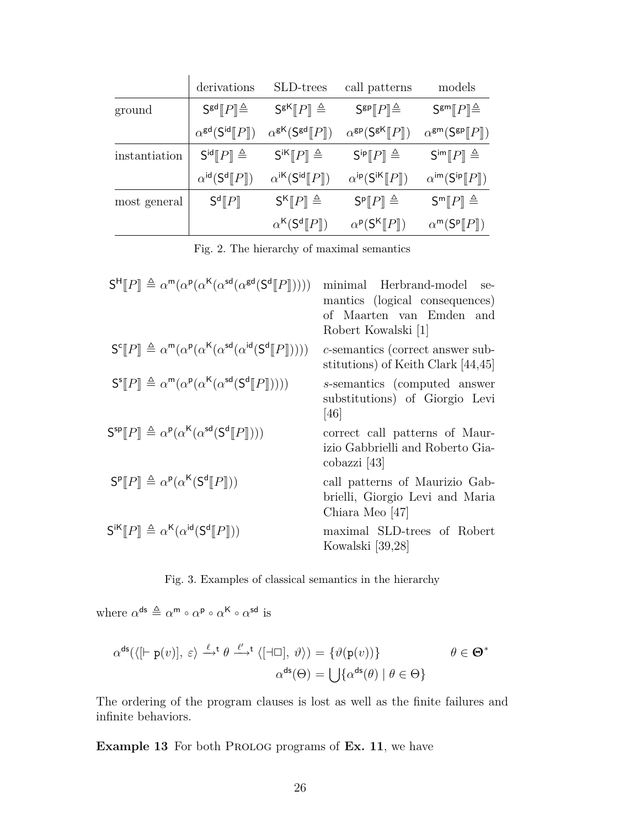|               | derivations                                     | SLD-trees                                                                                 | call patterns                                                         | models                                                         |
|---------------|-------------------------------------------------|-------------------------------------------------------------------------------------------|-----------------------------------------------------------------------|----------------------------------------------------------------|
| ground        | $S^{gd}$ $  P   \triangleq$                     | $S^{gK}[[P]] \triangleq$                                                                  | $S^{gp}$ $P \triangleq$                                               | $S^{gm}$ $P \triangleq$                                        |
|               | $\alpha^{\text{gd}}(\mathsf{S}^{\text{id}}[P])$ | $\alpha^{\mathsf{g}\mathsf{K}}(\mathsf{S}^{\mathsf{g}\mathsf{d}}\llbracket P \rrbracket)$ | $\alpha^{\rm gp}(\mathsf{S}^{\rm gK}[\![P]\!])$                       | $\alpha^{\text{gm}}(\mathsf{S}^{\text{gp}}[P])$                |
| instantiation | $S^{id}[[P]] \triangleq$                        | $S^{iK}[[P]] \triangleq$                                                                  | $S^{ip}$ $[$ $P$ $] \triangleq$                                       | $\mathsf{S}^{\mathsf{im}}[P] \triangleq$                       |
|               | $\alpha^{id}(S^d  P  )$                         | $\alpha^{i\mathsf{K}}(\mathsf{S}^{\mathsf{id}}\llbracket P \rrbracket)$                   | $\alpha^{ip}(\mathsf{S}^{i\mathsf{K}}\llbracket P \rrbracket)$        | $\alpha^{im}(\mathsf{S}^{\mathsf{ip}}\llbracket P \rrbracket)$ |
| most general  | $S^d$ [ $P$ ]                                   | $S^{K}[P] \triangleq$                                                                     | $S^{p}$ $[$ $P$ $] \triangleq$                                        | $S^m[ P ] \triangleq$                                          |
|               |                                                 | $\alpha^{K}$ (S <sup>d</sup> $\llbracket P \rrbracket$ )                                  | $\alpha^{\mathsf{p}}(\mathsf{S}^{\mathsf{K}}\llbracket P \rrbracket)$ | $\alpha^m(\mathsf{S}^p[\![P]\!])$                              |

Fig. 2. The hierarchy of maximal semantics

| $\mathsf{S}^{\mathsf{H}}[P] \triangleq \alpha^{\mathsf{m}}(\alpha^{\mathsf{p}}(\alpha^{\mathsf{K}}(\alpha^{\mathsf{sd}}(\alpha^{\mathsf{gd}}(\mathsf{S}^{\mathsf{d}}[P]))))$ | minimal Herbrand-model<br>$Se-$<br>mantics (logical consequences)<br>of Maarten van Emden and<br>Robert Kowalski [1] |
|------------------------------------------------------------------------------------------------------------------------------------------------------------------------------|----------------------------------------------------------------------------------------------------------------------|
| $S^{c}$ [P] $\triangleq \alpha^{m}(\alpha^{p}(\alpha^{K}(\alpha^{sd}(\alpha^{id}(S^{d}[[P]]))))$                                                                             | c-semantics (correct answer sub-<br>stitutions) of Keith Clark [44,45]                                               |
| $\mathsf{S}^{\mathsf{s}}[P] \triangleq \alpha^{\mathsf{m}}(\alpha^{\mathsf{p}}(\alpha^{\mathsf{K}}(\alpha^{\mathsf{sd}}(\mathsf{S}^{\mathsf{d}}[P]))))$                      | s-semantics (computed answer<br>substitutions) of Giorgio Levi<br><sup>[46]</sup>                                    |
| $S^{sp}$ [ $P$ ] $\triangleq \alpha^{p}(\alpha^{K}(\alpha^{sd}(S^{d}[[P]])))$                                                                                                | correct call patterns of Maur-<br>izio Gabbrielli and Roberto Gia-<br>cobazzi [43]                                   |
| $S^{\mathsf{p}}[P] \triangleq \alpha^{\mathsf{p}}(\alpha^{\mathsf{K}}(S^{\mathsf{d}}[P]))$                                                                                   | call patterns of Maurizio Gab-<br>brielli, Giorgio Levi and Maria<br>Chiara Meo [47]                                 |
| $S^{iK}[[P]] \triangleq \alpha^{K}(\alpha^{id}(S^{d}[[P]]))$                                                                                                                 | maximal SLD-trees of Robert<br>Kowalski [39,28]                                                                      |

Fig. 3. Examples of classical semantics in the hierarchy

where  $\alpha^{\text{ds}} \triangleq \alpha^{\text{m}} \circ \alpha^{\text{p}} \circ \alpha^{\text{K}} \circ \alpha^{\text{sd}}$  is

$$
\alpha^{\mathsf{ds}}(\langle [\vdash p(v)], \varepsilon \rangle \xrightarrow{\ell} \theta \xrightarrow{\ell'} \langle [\dashv \Box], \vartheta \rangle) = \{ \vartheta(p(v)) \} \qquad \theta \in \Theta^*
$$

$$
\alpha^{\mathsf{ds}}(\Theta) = \bigcup \{ \alpha^{\mathsf{ds}}(\theta) \mid \theta \in \Theta \}
$$

The ordering of the program clauses is lost as well as the finite failures and infinite behaviors.

**Example 13** For both PROLOG programs of **Ex. 11**, we have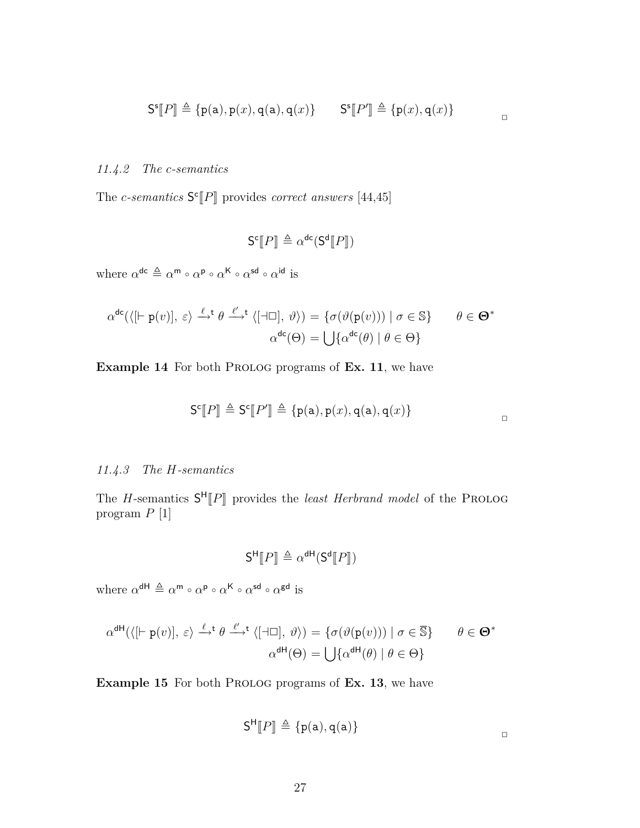$$
\mathsf{S}^{\mathsf{s}}\llbracket P \rrbracket \triangleq \{ \mathsf{p}(\mathsf{a}), \mathsf{p}(x), \mathsf{q}(\mathsf{a}), \mathsf{q}(x) \} \qquad \mathsf{S}^{\mathsf{s}}\llbracket P' \rrbracket \triangleq \{ \mathsf{p}(x), \mathsf{q}(x) \}
$$

 $\Box$ 

### *11.4.2 The c-semantics*

The *c*-semantics  $S^{c}[P]$  provides *correct answers* [44,45]

$$
\mathsf{S}^{\mathsf{c}}[\![P]\!] \triangleq \alpha^{\mathsf{dc}}(\mathsf{S}^{\mathsf{d}}[\![P]\!])
$$

where  $\alpha^{\text{dc}} \triangleq \alpha^{\text{m}} \circ \alpha^{\text{p}} \circ \alpha^{\text{K}} \circ \alpha^{\text{sd}} \circ \alpha^{\text{id}}$  is

$$
\alpha^{\text{dc}}(\langle [\vdash p(v)], \varepsilon \rangle \xrightarrow{\ell} \theta \xrightarrow{\ell'} \langle [\dashv \Box], \vartheta \rangle) = \{ \sigma(\vartheta(p(v))) \mid \sigma \in \mathbb{S} \} \qquad \theta \in \Theta^*
$$

$$
\alpha^{\text{dc}}(\Theta) = \bigcup \{ \alpha^{\text{dc}}(\theta) \mid \theta \in \Theta \}
$$

**Example 14** For both PROLOG programs of **Ex. 11**, we have

$$
\mathsf{S}^{\mathsf{c}}\llbracket P \rrbracket \triangleq \mathsf{S}^{\mathsf{c}}\llbracket P' \rrbracket \triangleq \{ \mathsf{p}(\mathsf{a}), \mathsf{p}(x), \mathsf{q}(\mathsf{a}), \mathsf{q}(x) \}
$$

### *11.4.3 The H-semantics*

The *H*-semantics  $S^H[P]$  provides the *least Herbrand model* of the PROLOG program  $P$  [1] program *P* [1]

$$
\mathsf{S}^{\mathsf{H}}[\![P]\!] \triangleq \alpha^{\mathsf{dH}}(\mathsf{S}^{\mathsf{d}}[\![P]\!])
$$

where  $\alpha^{\text{dH}} \triangleq \alpha^{\text{m}} \circ \alpha^{\text{p}} \circ \alpha^{\text{K}} \circ \alpha^{\text{sd}} \circ \alpha^{\text{gd}}$  is

$$
\alpha^{\text{dH}}(\langle [\vdash p(v)], \varepsilon \rangle \xrightarrow{\ell} \theta \xrightarrow{\ell'} \langle [\dashv \Box], \vartheta \rangle) = \{ \sigma(\vartheta(p(v))) \mid \sigma \in \overline{\mathbb{S}} \} \qquad \theta \in \Theta^*
$$

$$
\alpha^{\text{dH}}(\Theta) = \bigcup \{ \alpha^{\text{dH}}(\theta) \mid \theta \in \Theta \}
$$

**Example 15** For both PROLOG programs of **Ex. 13**, we have

$$
\mathsf{S}^\mathsf{H}\llbracket P\rrbracket\,\triangleq\,\{p(\mathtt{a}),q(\mathtt{a})\}
$$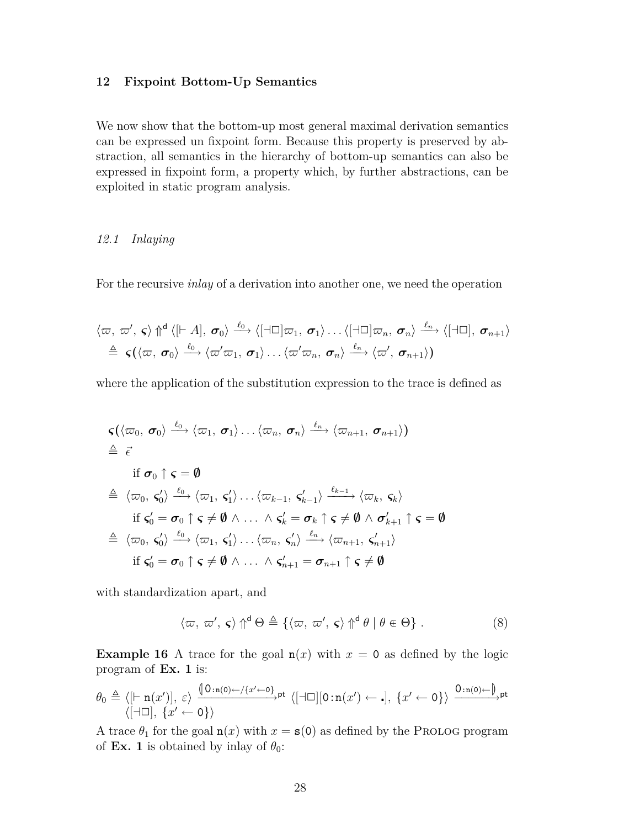### **12 Fixpoint Bottom-Up Semantics**

We now show that the bottom-up most general maximal derivation semantics can be expressed un fixpoint form. Because this property is preserved by abstraction, all semantics in the hierarchy of bottom-up semantics can also be expressed in fixpoint form, a property which, by further abstractions, can be exploited in static program analysis.

### *12.1 Inlaying*

For the recursive *inlay* of a derivation into another one, we need the operation

$$
\langle \varpi, \varpi', \varsigma \rangle \Uparrow^{d} \langle [\vdash A], \sigma_0 \rangle \xrightarrow{\ell_0} \langle [\dashv \Box] \varpi_1, \sigma_1 \rangle \dots \langle [\dashv \Box] \varpi_n, \sigma_n \rangle \xrightarrow{\ell_n} \langle [\dashv \Box], \sigma_{n+1} \rangle
$$
  
\n
$$
\triangleq \varsigma(\langle \varpi, \sigma_0 \rangle \xrightarrow{\ell_0} \langle \varpi' \varpi_1, \sigma_1 \rangle \dots \langle \varpi' \varpi_n, \sigma_n \rangle \xrightarrow{\ell_n} \langle \varpi', \sigma_{n+1} \rangle)
$$

where the application of the substitution expression to the trace is defined as

$$
\begin{aligned}\n&\varsigma(\langle \varpi_0, \sigma_0 \rangle \xrightarrow{\ell_0} \langle \varpi_1, \sigma_1 \rangle \dots \langle \varpi_n, \sigma_n \rangle \xrightarrow{\ell_n} \langle \varpi_{n+1}, \sigma_{n+1} \rangle) \\
&\triangleq \vec{\epsilon} \\
&\text{if } \sigma_0 \uparrow \varsigma = \emptyset \\
&\triangleleft \langle \varpi_0, \varsigma_0' \rangle \xrightarrow{\ell_0} \langle \varpi_1, \varsigma_1' \rangle \dots \langle \varpi_{k-1}, \varsigma_{k-1}' \rangle \xrightarrow{\ell_{k-1}} \langle \varpi_k, \varsigma_k \rangle \\
&\text{if } \varsigma_0' = \sigma_0 \uparrow \varsigma \neq \emptyset \land \dots \land \varsigma_k' = \sigma_k \uparrow \varsigma \neq \emptyset \land \sigma_{k+1}' \uparrow \varsigma = \emptyset \\
&\triangleleft \langle \varpi_0, \varsigma_0' \rangle \xrightarrow{\ell_0} \langle \varpi_1, \varsigma_1' \rangle \dots \langle \varpi_n, \varsigma_n' \rangle \xrightarrow{\ell_n} \langle \varpi_{n+1}, \varsigma_{n+1}' \rangle \\
&\text{if } \varsigma_0' = \sigma_0 \uparrow \varsigma \neq \emptyset \land \dots \land \varsigma_{n+1}' = \sigma_{n+1} \uparrow \varsigma \neq \emptyset\n\end{aligned}
$$

with standardization apart, and

$$
\langle \varpi, \varpi', \varsigma \rangle \Uparrow^{d} \Theta \triangleq \{ \langle \varpi, \varpi', \varsigma \rangle \Uparrow^{d} \theta \mid \theta \in \Theta \} . \tag{8}
$$

**Example 16** A trace for the goal  $n(x)$  with  $x = 0$  as defined by the logic program of **Ex. 1** is:

$$
\theta_0 \triangleq \langle [\vdash \mathbf{n}(x')] , \varepsilon \rangle \xrightarrow{\left( \begin{smallmatrix} 0:\mathbf{n}(0) \leftarrow / \{x' \leftarrow 0\} \\ & \end{smallmatrix} \right) \mathsf{pt}} \langle [\dashv \Box] [\mathbf{0}:\mathbf{n}(x') \leftarrow \cdot], \{x' \leftarrow 0\} \rangle \xrightarrow{\mathbf{0}:\mathbf{n}(0) \leftarrow \mathbf{0}} \mathsf{pt}
$$

A trace  $\theta_1$  for the goal  $n(x)$  with  $x = s(0)$  as defined by the PROLOG program of **Ex. 1** is obtained by inlay of  $\theta_0$ :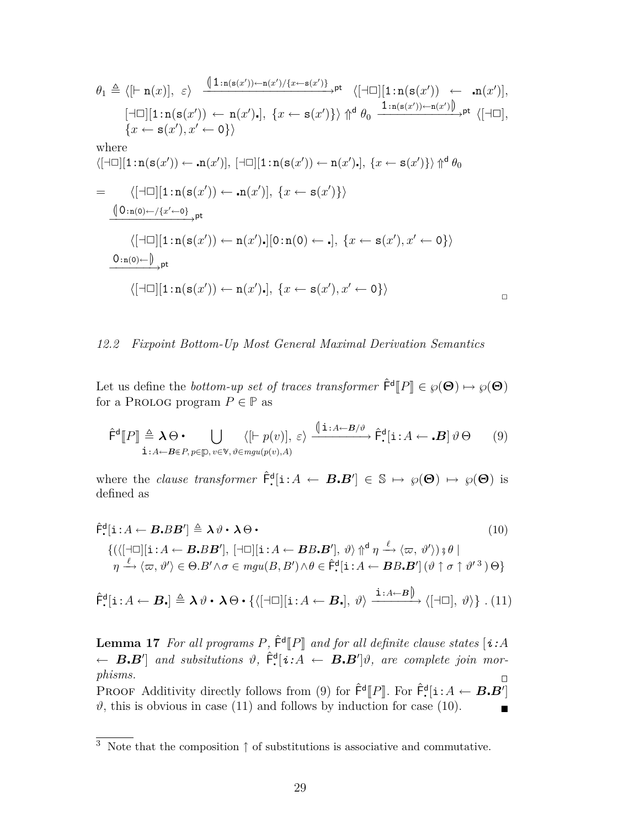$$
\theta_{1} \triangleq \langle [\vdash n(x)], \varepsilon \rangle \xrightarrow{\left( \begin{array}{c} \left( \begin{array}{c} 1:\text{n}(s(x')) \leftarrow \text{n}(x') \right) \{x \leftarrow s(x') \} \\ \end{array} \right) \uparrow} \mathbf{b}^{\dagger} \end{array} \rangle \left[ \begin{array}{c} \left( \begin{array}{c} -1 \right) \left[ \begin{array}{c} 1:\text{n}(s(x')) \leftarrow \text{n}(x') \right] \end{array} \right) \right] \left( \begin{array}{c} \left( \begin{array}{c} \left( \begin{array}{c} \left( \begin{array}{c} 1:\text{n}(s(x')) \leftarrow \text{n}(x' \right) \end{array} \right) \right) \right) \left( \begin{array}{c} \left( \begin{array}{c} \left( \begin{array}{c} \left( \begin{array}{c} \left( \begin{array}{c} \left( \begin{array}{c} \left( \begin{array}{c} \left( \begin{array}{c} \left( \begin{array}{c} \left( \begin{array}{c} \left( \begin{array}{c} \left( \begin{array}{c} \left( \begin{array}{c} \left( \begin{array}{c} \left( \begin{array}{c} \left( \begin{array}{c} \left( \begin{array}{c} \left( \begin{array}{c} \left( \begin{array}{c} \left( \begin{array}{c} \left( \begin{array}{c} \left( \begin{array}{c} \left( \begin{array}{c} \left( \begin{array}{c} \left( \begin{array}{c} \left( \begin{array}{c} \left( \begin{array}{c} \left( \begin{array}{c} \left( \begin{array}{c} \left( \begin{array}{c} \left( \begin{array}{c} \left( \begin{array}{c} \left( \begin{array}{c} \left( \begin{array}{c} \left( \begin{array}{c} \left( \begin{array}{c} \left( \begin{array}{c} \left( \begin{array}{c} \left( \begin{array}{c} \left( \begin{array}{c} \left( \begin{array}{c} \left( \right) \right) \right( \left( \right) \right) \right) \right) \right} \right) \right) \left( \left( \begin{array}{c} \left( \begin{array}{c} \left( \begin{array}{c} \left( \begin{array}{c} \left( \begin{array}{c} \left( \left( \begin{array}{
$$

### *12.2 Fixpoint Bottom-Up Most General Maximal Derivation Semantics*

Let us define the *bottom-up set of traces transformer*  $\hat{\mathsf{F}}^{\mathsf{d}}[P] \in \wp(\Theta) \mapsto \wp(\Theta)$ <br>for a PPOLOG program  $P \subset \mathbb{P}$  as for a PROLOG program  $P \in \mathbb{P}$  as

$$
\hat{\mathsf{F}}^{\mathsf{d}}[P] \triangleq \lambda \Theta \bullet \bigcup_{\mathbf{i}:A \leftarrow \mathcal{B} \in P, p \in \mathcal{p}, v \in \mathsf{V}, \vartheta \in mgu(p(v), A)} \langle [\mathbf{i}:A \leftarrow \mathcal{B}/\vartheta \otimes \mathbf{i}:A \leftarrow \mathcal{B}] \vartheta \Theta \rangle \langle \vartheta \otimes \mathbf{i}:A \leftarrow \mathcal{B} \otimes \mathcal{B} \otimes \mathcal{B} \otimes \mathcal{B} \otimes \mathcal{B} \otimes \mathcal{B} \otimes \mathcal{B} \otimes \mathcal{B} \otimes \mathcal{B} \otimes \mathcal{B} \otimes \mathcal{B} \otimes \mathcal{B} \otimes \mathcal{B} \otimes \mathcal{B} \rangle \langle \vartheta \otimes \mathcal{B} \otimes \mathcal{B} \otimes \mathcal{B} \otimes \mathcal{B} \otimes \mathcal{B} \otimes \mathcal{B} \otimes \mathcal{B} \otimes \mathcal{B} \otimes \mathcal{B} \rangle \langle \vartheta \otimes \mathcal{B} \otimes \mathcal{B} \otimes \mathcal{B} \otimes \mathcal{B} \otimes \mathcal{B} \otimes \mathcal{B} \otimes \mathcal{B} \otimes \mathcal{B} \otimes \mathcal{B} \otimes \mathcal{B} \rangle \langle \vartheta \otimes \mathcal{B} \otimes \mathcal{B} \otimes \mathcal{B} \otimes \mathcal{B} \otimes \mathcal{B} \otimes \mathcal{B} \otimes \mathcal{B} \otimes \mathcal{B} \otimes \mathcal{B} \rangle \langle \vartheta \otimes \mathcal{B} \otimes \mathcal{B} \otimes \mathcal{B} \otimes \mathcal{B} \otimes \mathcal{B} \otimes \mathcal{B} \otimes \mathcal{B} \otimes \mathcal{B} \otimes \mathcal{B} \otimes \mathcal{B} \otimes \mathcal{B} \otimes \mathcal{B} \otimes \mathcal{B} \otimes \mathcal{B} \otimes \mathcal{B} \otimes \mathcal{B} \otimes \mathcal{B} \otimes \mathcal{B} \otimes \mathcal{B} \otimes \mathcal{B} \otimes \mathcal{B} \otimes \mathcal{B} \otimes \mathcal{B} \otimes \mathcal{B
$$

where the *clause transformer*  $\hat{\mathsf{F}}_{\cdot}^{\mathsf{d}}[i:A \leftarrow B.B'] \in \mathbb{S} \mapsto \wp(\Theta) \mapsto \wp(\Theta)$  is defined as

$$
\hat{\mathsf{F}}^{\mathsf{d}}_{\cdot}[\mathbf{i}:A\leftarrow \mathbf{B}.BB'] \triangleq \lambda \vartheta \cdot \lambda \Theta \cdot (10)
$$
\n
$$
\{(\langle [\neg \Box][\mathbf{i}:A\leftarrow \mathbf{B}.BB'], [\neg \Box][\mathbf{i}:A\leftarrow \mathbf{B}B. B'], \vartheta \rangle \Uparrow^{\mathsf{d}} \eta \xrightarrow{\ell} \langle \varpi, \vartheta' \rangle) \vartheta \mid \eta \xrightarrow{\ell} \langle \varpi, \vartheta' \rangle \in \Theta.B' \wedge \sigma \in mgu(B, B') \wedge \theta \in \hat{\mathsf{F}}^{\mathsf{d}}_{\cdot}[\mathbf{i}:A\leftarrow \mathbf{B}B. \mathbf{B}'] \left(\vartheta \uparrow \sigma \uparrow \vartheta'^3\right) \Theta\}
$$
\n
$$
\{(\mathsf{H}^{\mathsf{d}}_{\cdot}) \wedge \vartheta \in \Theta \wedge B' \wedge \sigma \in mgu(B, B') \wedge \theta \in \hat{\mathsf{F}}^{\mathsf{d}}_{\cdot}[\mathbf{i}:A\leftarrow \mathbf{B}B. \mathbf{B}'] \left(\vartheta \uparrow \sigma \uparrow \vartheta'^3\right) \Theta\}
$$

$$
\hat{\mathsf{F}}.\mathbf{1}:A \leftarrow \mathbf{B}.\mathbf{3} \triangleq \lambda \vartheta \cdot \lambda \Theta \cdot \{ \langle [\neg \Box][\mathbf{i}:A \leftarrow \mathbf{B}.\mathbf{3}, \vartheta \rangle \xrightarrow{\mathbf{i}:A \leftarrow B} \langle [\neg \Box], \vartheta \rangle \} . (11)
$$

**Lemma 17** For all programs  $P$ ,  $\hat{\mathsf{F}}^{\mathsf{d}}[P]$  and for all definite clause states  $[\mathbf{i}:A \leftarrow \mathbf{B} \cdot \mathbf{B}']$  and subsitutions  $\vartheta$ ,  $\hat{\mathsf{F}}^{\mathsf{d}}[\mathbf{i}:A \leftarrow \mathbf{B} \cdot \mathbf{B}']\vartheta$ , are complete join mor*phisms.* example  $\Box$ 

PROOF Additivity directly follows from (9) for  $\hat{\mathsf{F}}^{\mathsf{d}}[P]$ . For  $\hat{\mathsf{F}}^{\mathsf{d}}[i:A \leftarrow \mathbf{B} \cdot \mathbf{B}^T]$ <br><sup>of</sup> this is obvious in asso (11) and follows by induction for asso (10)  $\vartheta$ , this is obvious in case (11) and follows by induction for case (10).

<sup>3</sup> Note that the composition *↑* of substitutions is associative and commutative.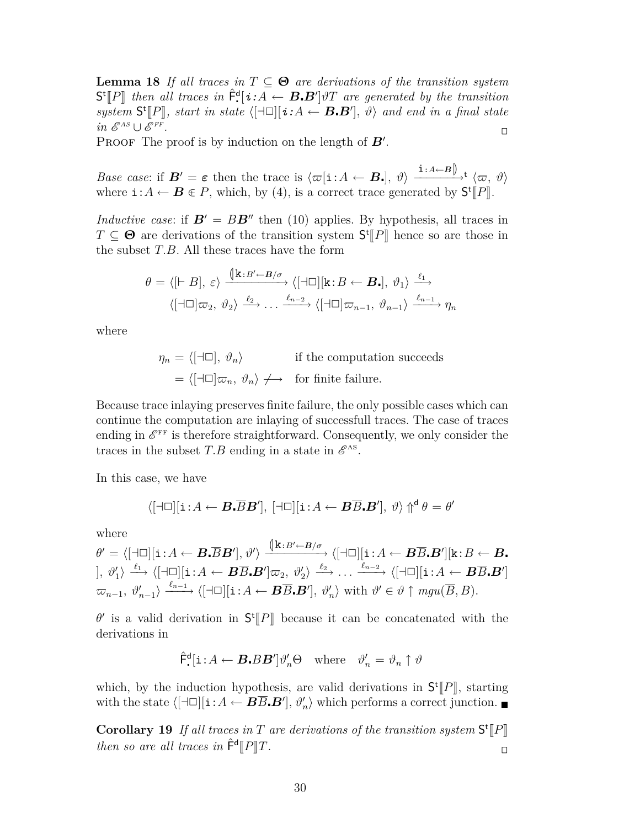**Lemma 18** *If all traces in*  $T \subseteq \Theta$  *are derivations of the transition system*  $S^{\dagger}[P]$  then all traces in  $\hat{F}^{\dagger}[i:A \leftarrow B.B']$  of are generated by the transition<br>gyatem  $S^{\dagger}[P]$  atert in state ( $\Box \Box$ ) is  $A \leftarrow B.B']$  and and in a final state  $system$  **S<sup>t</sup>**[*P*]]*, start in state*  $\langle [\exists \Box] [i:A \leftarrow B.B'], \vartheta \rangle$  and end in a final state  $in \mathcal{E}^{AS} \cup \mathcal{E}^{FF}$ *.* <sup>e</sup>

PROOF The proof is by induction on the length of  $B'$ .

*Base case*: if  $\mathbf{B}' = \boldsymbol{\varepsilon}$  then the trace is  $\langle \varpi | \mathbf{i} : A \leftarrow \mathbf{B}$ ,  $\vartheta \rangle \xrightarrow{\mathbf{i} : A \leftarrow B} \downarrow \langle \varpi, \vartheta \rangle$ where  $\mathbf{i}: A \leftarrow \mathbf{B} \in P$ , which, by (4), is a correct trace generated by  $\mathsf{S}^{\mathsf{t}}[P]$ .

*Inductive case:* if  $\mathbf{B}' = B\mathbf{B}''$  then (10) applies. By hypothesis, all traces in  $T \subseteq \Theta$  are derivations of the transition system  $S^t[[P]]$  hence so are those in the subset  $T R$  All those traces have the form the subset *T.B*. All these traces have the form

$$
\theta = \langle [\vdash B], \varepsilon \rangle \xrightarrow{\langle [\mathbf{k} : B' \leftarrow B/\sigma]} \langle [\dashv \Box] [\mathbf{k} : B \leftarrow B_{\bullet}], \vartheta_1 \rangle \xrightarrow{\ell_1} \langle [\dashv \Box] \varpi_2, \vartheta_2 \rangle \xrightarrow{\ell_2} \dots \xrightarrow{\ell_{n-2}} \langle [\dashv \Box] \varpi_{n-1}, \vartheta_{n-1} \rangle \xrightarrow{\ell_{n-1}} \eta_n
$$

where

 $\eta_n = \langle [\exists \Box], \vartheta_n \rangle$  if the computation succeeds  $= \langle \lceil \pm \square \rceil \varpi_n, \vartheta_n \rangle \longrightarrow$  for finite failure.

Because trace inlaying preserves finite failure, the only possible cases which can continue the computation are inlaying of successfull traces. The case of traces ending in  $\mathscr{E}^{\text{FF}}$  is therefore straightforward. Consequently, we only consider the traces in the subset  $T.B$  ending in a state in  $\mathscr{E}^{\text{AS}}$ .

In this case, we have

$$
\langle [\neg \Box][\mathbf{i} : A \leftarrow \mathbf{B} \cdot \overline{B} \mathbf{B}'], [\neg \Box][\mathbf{i} : A \leftarrow \mathbf{B} \overline{B} \cdot \mathbf{B}'], \vartheta \rangle \Uparrow^{\mathsf{d}} \theta = \theta'
$$

where

$$
\theta' = \langle [\neg \Box][\mathbf{i}: A \leftarrow \mathbf{B} \cdot \overline{B} \mathbf{B}'], \vartheta' \rangle \xrightarrow{\langle [\mathbf{k}: B' \leftarrow B/\sigma \rangle} \langle [\neg \Box][\mathbf{i}: A \leftarrow \mathbf{B} \overline{B} \cdot \mathbf{B}'] | \mathbf{k}: B \leftarrow \mathbf{B}.
$$
  
],  $\vartheta'_1 \rangle \xrightarrow{\ell_1} \langle [\neg \Box][\mathbf{i}: A \leftarrow \mathbf{B} \overline{B} \cdot \mathbf{B}'] \varpi_2, \vartheta'_2 \rangle \xrightarrow{\ell_2} \dots \xrightarrow{\ell_{n-2}} \langle [\neg \Box][\mathbf{i}: A \leftarrow \mathbf{B} \overline{B} \cdot \mathbf{B}']$   
 $\varpi_{n-1}, \vartheta'_{n-1} \rangle \xrightarrow{\ell_{n-1}} \langle [\neg \Box][\mathbf{i}: A \leftarrow \mathbf{B} \overline{B} \cdot \mathbf{B}'], \vartheta'_{n} \rangle \text{ with } \vartheta' \in \vartheta \uparrow \text{m} \text{g} u(\overline{B}, B).$ 

 $\theta'$  is a valid derivation in  $S^t[P]$  because it can be concatenated with the derivations in derivations in

$$
\hat{\mathsf{F}}^{\mathsf{d}}_{\cdot}[i : A \leftarrow \boldsymbol{B}_{\cdot} B \boldsymbol{B}'] \vartheta_n' \Theta \quad \text{where} \quad \vartheta_n' = \vartheta_n \uparrow \vartheta
$$

which, by the induction hypothesis, are valid derivations in  $S^t[P]$ , starting<br>with the state  $/[ \square \square]$  i.  $A \subseteq \mathbf{P}^{\overline{B}} \mathbf{P}'$ ,  $s' \setminus$  which performs a correct junction with the state  $\langle [\exists \Box][i: A \leftarrow \mathbf{B}\overline{B} \cdot \mathbf{B}'], \vartheta_n' \rangle$  which performs a correct junction.

**Corollary 19** *If all traces in T are derivations of the transition system*  $S^t[P]$ <br>*then s s n m sil transition*  $\hat{F}^d[P]$ *then so are all traces in*  $\hat{\mathsf{F}}^{\mathsf{d}}[P]T$ .  $\llbracket P \rrbracket T$ .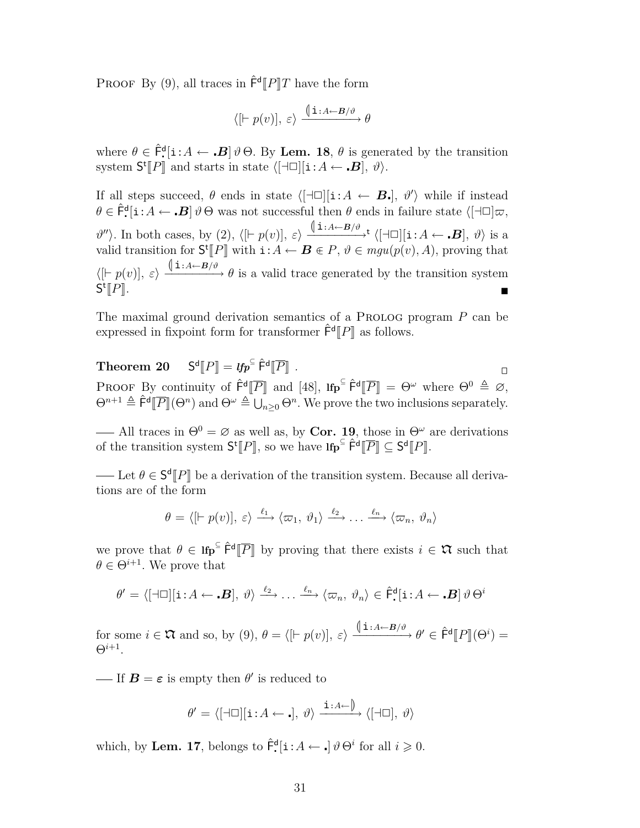PROOF By (9), all traces in  $\hat{\mathsf{F}}^{\mathsf{d}}[P]T$  have the form

$$
\langle [\vdash p(v)], \varepsilon \rangle \xrightarrow{\text{(\textbf{i}:A\leftarrow B/\vartheta)}} \theta
$$

where  $\theta \in \hat{\mathsf{F}}^{\mathsf{d}}[i:A \leftarrow \mathbf{B}]\theta\Theta$ . By Lem. 18,  $\theta$  is generated by the transition system  $\mathsf{S}^{\mathsf{t}}[P]$  and starts in state  $\langle [\neg \Box][\mathbf{i}:A \leftarrow \mathbf{B}], \vartheta \rangle$ .

If all steps succeed,  $\theta$  ends in state  $\langle [\exists \Box] [i:A \leftarrow B_{\bullet}], \theta' \rangle$  while if instead  $\theta \in \hat{\mathsf{F}}^{\mathsf{d}}$ [i:  $A \leftarrow \mathbf{B} \, \theta \Theta$  was not successful then  $\theta$  ends in failure state  $\langle [\exists \Box] \varpi, \rangle$  $\vartheta''$ ). In both cases, by (2),  $\langle [F p(v)], \varepsilon \rangle \xrightarrow{\langle [i:A \leftarrow B/\vartheta \rangle t} \langle [\neg \Box][i:A \leftarrow B], \vartheta \rangle \text{ is a }$ valid transition for  $S^t[\![P]\!]$  with  $i:A \leftarrow B \in P, \vartheta \in mgu(p(v),A)$ , proving that  $\langle$ [*i p*(*v*)],  $\varepsilon$ *i*  $\longrightarrow$   $\langle$   $\frac{(\mathbf{i}:A\leftarrow B/\vartheta)}{\vartheta}$  is a valid trace generated by the transition system S t  $\llbracket P \rrbracket$ .

The maximal ground derivation semantics of a PROLOG program *P* can be expressed in fixpoint form for transformer  $\hat{\mathsf{F}}^{\mathsf{d}}[P]$  as follows.

**Theorem 20**  $\mathbf{d}\llbracket P \rrbracket = \textit{lfp}^{\subseteq} \hat{\mathsf{F}}^{\mathsf{d}}$  $\overline{[P]}$  .  $\overline{P}$  .  $\overline{P}$  .  $\overline{P}$  .  $\overline{P}$  .  $\overline{P}$  .  $\overline{P}$  .  $\overline{P}$  .  $\overline{P}$  .  $\overline{P}$  .  $\overline{P}$  .  $\overline{P}$  .  $\overline{P}$  .  $\overline{P}$  .  $\overline{P}$  .  $\overline{P}$  .  $\overline{P}$  .  $\overline{P}$  .  $\overline{P}$  .  $\overline{P}$  . **PROOF** By continuity of  $\hat{\mathsf{F}}^{\mathsf{d}}[\overline{P}]$  and [48],  $\text{Ifp}^{\subseteq} \hat{\mathsf{F}}^{\mathsf{d}}[\overline{P}] = \Theta^{\omega}$  where  $\Theta^0 \triangleq \emptyset$ ,  $\Omega^{n+1} \triangleq \hat{\mathsf{F}}^{\mathsf{d}}[\overline{P}]/\Omega^n$  and  $\Omega^{\omega} \triangleq 1$ ,  $\Omega^n$  We gauge the two inclusions superiorit  $\Theta^{n+1} \triangleq \hat{\mathsf{F}}^{\mathsf{d}}[\overline{P}](\Theta^n)$  and  $\Theta^{\omega} \triangleq \bigcup_{n \geq 0} \Theta^n$ . We prove the two inclusions separately.

— All traces in  $\Theta^0 = \emptyset$  as well as, by **Cor. 19**, those in  $\Theta^{\omega}$  are derivations of the transition system  $S^{\dagger}[P]$ , so we have  $\text{Ifp}^{\subseteq} \hat{\mathsf{F}}^{\dagger}[\overline{P}] \subseteq S^{\dagger}[P]$ .

Let  $\theta \in S^d$  *P* be a derivation of the transition system. Because all deriva-<br>a are of the form tions are of the form

$$
\theta = \langle [\vdash p(v)], \varepsilon \rangle \xrightarrow{\ell_1} \langle \varpi_1, \vartheta_1 \rangle \xrightarrow{\ell_2} \ldots \xrightarrow{\ell_n} \langle \varpi_n, \vartheta_n \rangle
$$

we prove that  $\theta \in \text{Ifp}^{\subseteq} \hat{\mathsf{F}}^{\text{d}}[\overline{P}]$  by proving that there exists  $i \in \mathfrak{X}$  such that  $\theta \in \Omega^{i+1}$  We prove that  $\theta \in \Theta^{i+1}$ . We prove that

$$
\theta' = \langle [\neg \Box][\mathbf{i} : A \leftarrow \mathbf{B}], \vartheta \rangle \xrightarrow{\ell_2} \dots \xrightarrow{\ell_n} \langle \varpi_n, \vartheta_n \rangle \in \hat{\mathsf{F}}^{\mathsf{d}}_{\bullet}[\mathbf{i} : A \leftarrow \mathbf{B}] \vartheta \Theta^i
$$

for some  $i \in \mathfrak{X}$  and so, by (9),  $\theta = \langle [ \vdash p(v) ], \varepsilon \rangle \xrightarrow{\langle [ \dot{1} : A \leftarrow B/\vartheta \rangle} \theta' \in \hat{\mathsf{F}}^{\mathsf{d}}[P](\Theta^i) = \Theta^i \mathsf{F}^{\mathsf{d}}$ Θ*<sup>i</sup>*+1 .

If  $\mathbf{B} = \boldsymbol{\varepsilon}$  is empty then  $\theta'$  is reduced to

$$
\theta' = \langle [\exists \Box][\mathbf{i} : A \leftarrow \mathbf{.}], \vartheta \rangle \xrightarrow{\mathbf{i} : A \leftarrow \mathbf{.}} \langle [\exists \Box], \vartheta \rangle
$$

which, by **Lem. 17**, belongs to  $\hat{\mathsf{F}}^{\mathsf{d}}$ [**i**: $A \leftarrow \cdot$ ]  $\vartheta \Theta^i$  for all  $i \geq 0$ .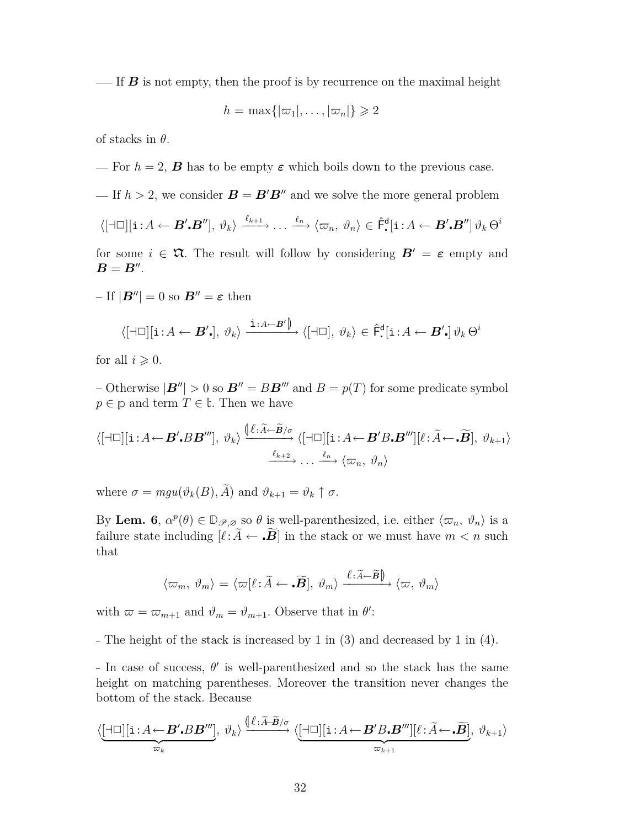$\frac{1}{16}$  If *B* is not empty, then the proof is by recurrence on the maximal height

$$
h=\max\{|\varpi_1|,\ldots,|\varpi_n|\}\geqslant 2
$$

of stacks in *θ*.

 $\equiv$  For  $h = 2$ , **B** has to be empty  $\varepsilon$  which boils down to the previous case.

 $I = \text{If } h > 2$ , we consider  $B = B'B''$  and we solve the more general problem

$$
\langle [\neg \Box][\mathbf{i} : A \leftarrow \mathbf{B}', \mathbf{B}''], \vartheta_k \rangle \xrightarrow{\ell_{k+1}} \dots \xrightarrow{\ell_n} \langle \varpi_n, \vartheta_n \rangle \in \hat{\mathsf{F}}^{\mathsf{d}}[\mathbf{i} : A \leftarrow \mathbf{B}', \mathbf{B}''] \vartheta_k \Theta^i
$$

for some  $i \in \mathfrak{A}$ . The result will follow by considering  $B' = \varepsilon$  empty and  $B = B''$ .

 $-If |B''| = 0$  so  $B'' = \varepsilon$  then

$$
\langle [\neg \Box][\mathbf{i} : A \leftarrow \mathbf{B'}_{\bullet}], \vartheta_k \rangle \xrightarrow{\mathbf{i} : A \leftarrow \mathbf{B'} \mathbf{I}} \langle [\neg \Box], \vartheta_k \rangle \in \hat{\mathsf{F}}^{\mathsf{d}}_{\bullet}[\mathbf{i} : A \leftarrow \mathbf{B'}_{\bullet}] \vartheta_k \Theta^i
$$

for all  $i \geqslant 0$ .

 $-$  Otherwise  $|\mathbf{B}''| > 0$  so  $\mathbf{B}'' = B\mathbf{B}''''$  and  $B = p(T)$  for some predicate symbol  $p \in \mathbb{p}$  and term  $T \in \mathbb{t}$ . Then we have

$$
\langle [\exists \Box][\mathbf{i} : A \leftarrow \mathbf{B}'.BB'''], \vartheta_k \rangle \xrightarrow{\langle [\ell : \widetilde{A} \leftarrow \widetilde{\mathbf{B}}/\sigma]{} \langle [\exists \Box][\mathbf{i} : A \leftarrow \mathbf{B}'B \cdot \mathbf{B}'''][\ell : \widetilde{A} \leftarrow \widetilde{\mathbf{B}}], \vartheta_{k+1} \rangle
$$
  

$$
\xrightarrow{\ell_{k+2}} \dots \xrightarrow{\ell_n} \langle \varpi_n, \vartheta_n \rangle
$$

where  $\sigma = mgu(\vartheta_k(B), \tilde{A})$  and  $\vartheta_{k+1} = \vartheta_k \uparrow \sigma$ .

By Lem. 6,  $\alpha^p(\theta) \in \mathbb{D}_{\mathscr{P},\varnothing}$  so  $\theta$  is well-parenthesized, i.e. either  $\langle \varpi_n, \vartheta_n \rangle$  is a failure state including  $[\ell:\widetilde{A} \leftarrow \widetilde{B}]$  in the stack or we must have  $m < n$  such that

$$
\langle \varpi_m, \vartheta_m \rangle = \langle \varpi[\ell : \widetilde{A} \leftarrow \widetilde{B}], \vartheta_m \rangle \xrightarrow{\ell : \widetilde{A} \leftarrow \widetilde{B} \mathbb{I}} \langle \varpi, \vartheta_m \rangle
$$

with  $\bar{\omega} = \bar{\omega}_{m+1}$  and  $\vartheta_m = \vartheta_{m+1}$ . Observe that in  $\theta'$ :

The height of the stack is increased by 1 in (3) and decreased by 1 in (4).

In case of success,  $\theta'$  is well-parenthesized and so the stack has the same height on matching parentheses. Moreover the transition never changes the bottom of the stack. Because

$$
\langle \underbrace{[\dashv\Box][\mathbf{i}:A\leftarrow \mathbf{B}'.BB'''}_{\varpi_k},\,\vartheta_k\rangle\xrightarrow{\langle \ell:\widetilde{A}\cdot\widetilde{B}/\sigma}\langle \underbrace{[\dashv\Box][\mathbf{i}:A\leftarrow \mathbf{B}'B\centerdot \mathbf{B}'''][\ell:\widetilde{A}\leftarrow \centerdot \widetilde{\mathbf{B}}]}_{\varpi_{k+1}},\,\vartheta_{k+1}\rangle
$$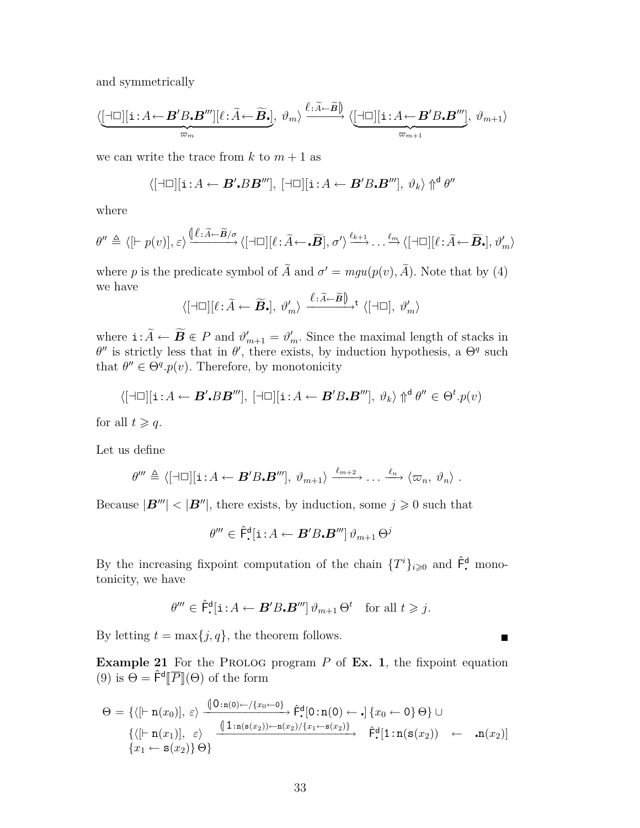and symmetrically

$$
\langle \underbrace{[\dashv\Box][\mathbf{i}:A\leftarrow B'B\boldsymbol{.}B'''][\ell:\widetilde{A}\leftarrow \widetilde{B}\boldsymbol{.}]}_{\varpi_m},\,\vartheta_m\rangle\xrightarrow{\ell:\widetilde{A}\leftarrow \widetilde{B}}\langle \underbrace{[\dashv\Box][\mathbf{i}:A\leftarrow B'B\boldsymbol{.}B''']}_{\varpi_{m+1}},\,\vartheta_{m+1}\rangle
$$

we can write the trace from  $k$  to  $m + 1$  as

$$
\langle [\exists \Box][\mathbf{i} : A \leftarrow \boldsymbol{B}'.BB'''], [\exists \Box][\mathbf{i} : A \leftarrow \boldsymbol{B}'B \boldsymbol{B}''], \vartheta_k \rangle \Uparrow^{\mathsf{d}} \theta''
$$

where

$$
\theta'' \triangleq \langle [\vdash p(v)], \varepsilon \rangle \xrightarrow{\langle [\ell : \widetilde{A} \leftarrow \widetilde{B}/\sigma]} \langle [\dashv \Box][\ell : \widetilde{A} \leftarrow \widetilde{B}], \sigma' \rangle \xrightarrow{\ell_{k+1}} \dots \xrightarrow{\ell_m} \langle [\dashv \Box][\ell : \widetilde{A} \leftarrow \widetilde{B}], \vartheta'_m \rangle
$$

where *p* is the predicate symbol of  $\tilde{A}$  and  $\sigma' = mgu(p(v), \tilde{A})$ . Note that by (4) we have

$$
\langle [\Box \Box] [\ell : \widetilde{A} \leftarrow \widetilde{\boldsymbol{B}}_{\bullet}], \vartheta'_{m} \rangle \xrightarrow{\ell : \widetilde{A} \leftarrow \widetilde{\boldsymbol{B}} \right)} \langle [\Box \Box], \vartheta'_{m} \rangle
$$

where  $\mathbf{i}: \tilde{A} \leftarrow \tilde{B} \in P$  and  $\vartheta'_{m+1} = \vartheta'_{m}$ . Since the maximal length of stacks in  $\theta''$  is strictly loss that in  $\theta'$  there exists by induction hypothesis, a  $\Theta^q$  such *θ*<sup>*n*</sup> is strictly less that in *θ*<sup>*i*</sup>, there exists, by induction hypothesis, a  $Θ$ <sup>*q*</sup> such that  $\theta'' \in \Theta^q \cdot p(v)$ . Therefore, by monotonicity

$$
\langle [\neg \Box][\mathbf{i} : A \leftarrow B'.BB'''], [\neg \Box][\mathbf{i} : A \leftarrow B'B \cdot B'''], \vartheta_k \rangle \Uparrow^{\mathsf{d}} \theta'' \in \Theta^t \cdot p(v)
$$

for all  $t \geqslant q$ .

Let us define

$$
\theta''' \triangleq \langle [\exists \Box][\mathbf{i}: A \leftarrow \mathbf{B}'B \cdot \mathbf{B}'''], \vartheta_{m+1} \rangle \xrightarrow{\ell_{m+2}} \dots \xrightarrow{\ell_n} \langle \varpi_n, \vartheta_n \rangle .
$$

Because  $|\mathbf{B}^{\prime\prime\prime}| < |\mathbf{B}^{\prime\prime}|$ , there exists, by induction, some  $j \geq 0$  such that

$$
\theta'''\in\hat{\mathsf{F}}^{\mathsf{d}}\lbrack\mathbf{i}\!:\!A\leftarrow\boldsymbol{B}'B\boldsymbol{.B}'''\rbrack\vartheta_{m+1}\,\Theta^j
$$

By the increasing fixpoint computation of the chain  $\{T^i\}_{i\geqslant 0}$  and  $\hat{\mathsf{F}}$ <sup>d</sup> monotonicity, we have

$$
\theta''' \in \hat{\mathsf{F}}^{\mathsf{d}} \left[ \mathbf{i} : A \leftarrow \mathbf{B}' B \cdot \mathbf{B}''' \right] \vartheta_{m+1} \Theta^t \quad \text{for all } t \geq j.
$$

By letting  $t = \max\{j, q\}$ , the theorem follows.

**Example 21** For the PROLOG program  $P$  of **Ex. 1**, the fixpoint equation (9) is  $\Theta = \hat{\mathsf{F}}^{\mathsf{d}}[\overline{P}](\Theta)$  of the form

$$
\Theta = \{ \langle [\vdash \mathbf{n}(x_0)], \varepsilon \rangle \xrightarrow{\langle 0 : \mathbf{n}(0) \leftarrow \langle \{x_0 \leftarrow 0\} \rangle} \hat{\mathsf{F}}^{\mathsf{d}}[0 : \mathbf{n}(0) \leftarrow .] \{x_0 \leftarrow 0\} \Theta \} \cup \{ \langle [\vdash \mathbf{n}(x_1)], \varepsilon \rangle \xrightarrow{\langle 1 : \mathbf{n}(\mathbf{s}(x_2)) \leftarrow \mathbf{n}(x_2) / \{x_1 \leftarrow \mathbf{s}(x_2)\} } \hat{\mathsf{F}}^{\mathsf{d}}[1 : \mathbf{n}(\mathbf{s}(x_2)) \leftarrow .\mathbf{n}(x_2)] \} \{x_1 \leftarrow \mathbf{s}(x_2)\} \Theta \}
$$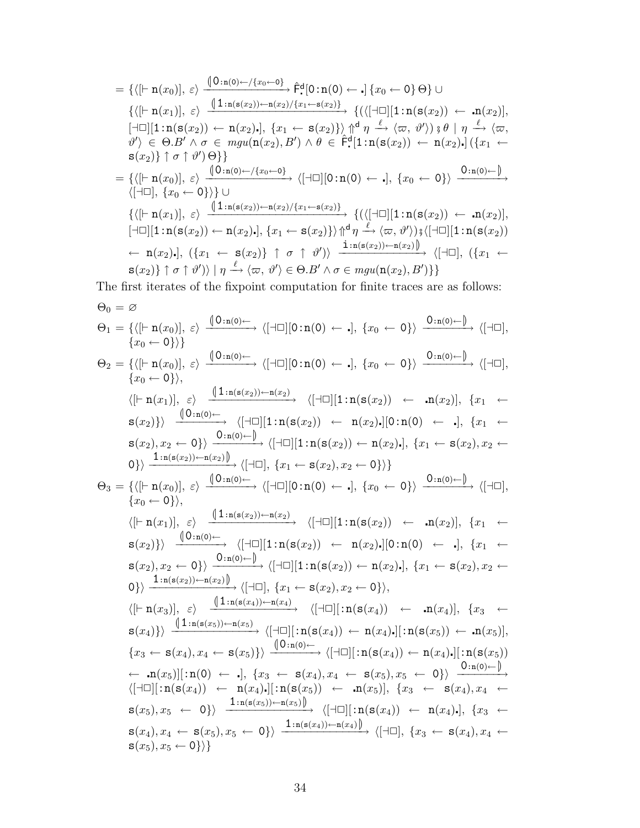$$
= \{\langle [\vdash n(x_0)], \varepsilon \rangle \xrightarrow{\langle 0:n(0) \leftarrow \langle x_0 \leftarrow 0 \rangle} \hat{F}^d[0:n(0) \leftarrow .] \{x_0 \leftarrow 0\} \Theta \} \cup \{\langle [\vdash n(x_1)], \varepsilon \rangle \xrightarrow{\langle 1:n(s(x_2)) \leftarrow n(x_2) / \{x_1 \leftarrow s(x_2)\}} \{ (\langle [\dashv \Box][1:n(s(x_2)) \leftarrow .n(x_2)],
$$
  

$$
[\dashv \Box][1:n(s(x_2)) \leftarrow n(x_2).], \{x_1 \leftarrow s(x_2)\} \} \uparrow^d \eta \xrightarrow{\ell} \langle \varpi, \vartheta' \rangle \} \mathfrak{g} \mid \eta \xrightarrow{\ell} \langle \varpi,
$$
  

$$
\vartheta' \rangle \in \Theta.B' \land \sigma \in mgu(n(x_2), B') \land \theta \in \hat{F}^d[1:n(s(x_2)) \leftarrow n(x_2).] \{x_1 \leftarrow s(x_2)\} \uparrow^d \tau \} \mathfrak{g}(x_2) \} \uparrow \sigma \uparrow \vartheta' \} \Theta]
$$
  

$$
= \{\langle [\vdash n(x_0)], \varepsilon \rangle \xrightarrow{\langle 0:n(0) \leftarrow \langle x_0 \leftarrow 0 \rangle} \langle [\dashv \Box][0:n(0) \leftarrow .], \{x_0 \leftarrow 0\} \rangle \xrightarrow{\langle 0:n(0) \leftarrow ]} \{ (\dashv \Box \vdots n(s(x_2)) \leftarrow .n(x_2) \} \cup \{\langle [\vdash n(x_1)], \varepsilon \rangle \xrightarrow{\langle 1:n(s(x_2)) \leftarrow n(x_2) / \{x_1 \leftarrow s(x_2\}} \} \{ (\langle [\dashv \Box][1:n(s(x_2)) \leftarrow .n(x_2)],
$$
  

$$
[\dashv \Box][1:n(s(x_2)) \leftarrow n(x_2).], \{x_1 \leftarrow s(x_2\} \} \uparrow^d \eta \xrightarrow{\ell} \langle \varpi, \vartheta' \rangle \} \mathfrak{g}[\dashv \Box][1:n(s(x_2)) \rightarrow \{ \neg(x_2).], \{x_1 \leftarrow s(x_2\} \} \uparrow^d \eta \} \mathfrak{g}(x_2) \} \uparrow \sigma \uparrow \vartheta' \rangle \}
$$

The first iterates of the fixpoint computation for finite traces are as follows:

Θ<sup>0</sup> = ∅ Θ<sup>1</sup> = *{h*[*`* n(*x*0)]*, εi* <sup>L</sup>0:n(0)*<sup>←</sup> −−−−−−−→ h*[*a*✷][0:n(0) *<sup>←</sup>* ]*, {x*<sup>0</sup> *<sup>←</sup>* <sup>0</sup>*}i* <sup>0</sup>:n(0)*<sup>←</sup>* <sup>M</sup> *−−−−−−−→ h*[*a*✷]*, {x*<sup>0</sup> *←* 0*}i}* Θ<sup>2</sup> = *{h*[*`* n(*x*0)]*, εi* <sup>L</sup>0:n(0)*<sup>←</sup> −−−−−−−→ h*[*a*✷][0:n(0) *<sup>←</sup>* ]*, {x*<sup>0</sup> *<sup>←</sup>* <sup>0</sup>*}i* <sup>0</sup>:n(0)*<sup>←</sup>* <sup>M</sup> *−−−−−−−→ h*[*a*✷]*, {x*<sup>0</sup> *←* 0*}i, h*[*`* n(*x*1)]*, εi* <sup>L</sup>1:n(s(*x*2))*←*n(*x*2) *−−−−−−−−−−−−−→ h*[*a*✷][1:n(s(*x*2)) *←* n(*x*2)]*, {x*<sup>1</sup> *←* <sup>s</sup>(*x*2)*}i* <sup>L</sup>0:n(0)*<sup>←</sup> −−−−−−−→ h*[*a*✷][1:n(s(*x*2)) *←* n(*x*2)][0:n(0) *←* ]*, {x*<sup>1</sup> *←* <sup>s</sup>(*x*2)*, x*<sup>2</sup> *<sup>←</sup>* <sup>0</sup>*}i* <sup>0</sup>:n(0)*<sup>←</sup>* <sup>M</sup> *−−−−−−−→ h*[*a*✷][1:n(s(*x*2)) *←* n(*x*2)]*, {x*<sup>1</sup> *←* s(*x*2)*, x*<sup>2</sup> *←* <sup>0</sup>*}i* <sup>1</sup>:n(s(*x*2))*←*n(*x*2) <sup>M</sup> *−−−−−−−−−−−−−→ h*[*a*✷]*, {x*<sup>1</sup> *←* s(*x*2)*, x*<sup>2</sup> *←* 0*}i}* Θ<sup>3</sup> = *{h*[*`* n(*x*0)]*, εi* <sup>L</sup>0:n(0)*<sup>←</sup> −−−−−−−→ h*[*a*✷][0:n(0) *<sup>←</sup>* ]*, {x*<sup>0</sup> *<sup>←</sup>* <sup>0</sup>*}i* <sup>0</sup>:n(0)*<sup>←</sup>* <sup>M</sup> *−−−−−−−→ h*[*a*✷]*, {x*<sup>0</sup> *←* 0*}i, h*[*`* n(*x*1)]*, εi* <sup>L</sup>1:n(s(*x*2))*←*n(*x*2) *−−−−−−−−−−−−−→ h*[*a*✷][1:n(s(*x*2)) *←* n(*x*2)]*, {x*<sup>1</sup> *←* <sup>s</sup>(*x*2)*}i* <sup>L</sup>0:n(0)*<sup>←</sup> −−−−−−−→ h*[*a*✷][1:n(s(*x*2)) *←* n(*x*2)][0:n(0) *←* ]*, {x*<sup>1</sup> *←* <sup>s</sup>(*x*2)*, x*<sup>2</sup> *<sup>←</sup>* <sup>0</sup>*}i* <sup>0</sup>:n(0)*<sup>←</sup>* <sup>M</sup> *−−−−−−−→ h*[*a*✷][1:n(s(*x*2)) *←* n(*x*2)]*, {x*<sup>1</sup> *←* s(*x*2)*, x*<sup>2</sup> *←* <sup>0</sup>*}i* <sup>1</sup>:n(s(*x*2))*←*n(*x*2) <sup>M</sup> *−−−−−−−−−−−−−→ h*[*a*✷]*, {x*<sup>1</sup> *←* s(*x*2)*, x*<sup>2</sup> *←* 0*}i, h*[*`* n(*x*3)]*, εi* <sup>L</sup>1:n(s(*x*4))*←*n(*x*4) *−−−−−−−−−−−−−→ h*[*a*✷][:n(s(*x*4)) *←* n(*x*4)]*, {x*<sup>3</sup> *←* <sup>s</sup>(*x*4)*}i* <sup>L</sup>1:n(s(*x*5))*←*n(*x*5) *−−−−−−−−−−−−−→ h*[*a*✷][:n(s(*x*4)) *←* n(*x*4)][:n(s(*x*5)) *←* n(*x*5)]*, {x*<sup>3</sup> *<sup>←</sup>* <sup>s</sup>(*x*4)*, x*<sup>4</sup> *<sup>←</sup>* <sup>s</sup>(*x*5)*}i* <sup>L</sup>0:n(0)*<sup>←</sup> −−−−−−−→ h*[*a*✷][:n(s(*x*4)) *←* n(*x*4)][:n(s(*x*5)) *<sup>←</sup>* n(*x*5)][:n(0) *<sup>←</sup>* ]*, {x*<sup>3</sup> *<sup>←</sup>* <sup>s</sup>(*x*4)*, x*<sup>4</sup> *<sup>←</sup>* <sup>s</sup>(*x*5)*, x*<sup>5</sup> *<sup>←</sup>* <sup>0</sup>*}i* <sup>0</sup>:n(0)*<sup>←</sup>* <sup>M</sup> *−−−−−−−→ h*[*a*✷][:n(s(*x*4)) *←* n(*x*4)][:n(s(*x*5)) *←* n(*x*5)]*, {x*<sup>3</sup> *←* s(*x*4)*, x*<sup>4</sup> *←* <sup>s</sup>(*x*5)*, x*<sup>5</sup> *<sup>←</sup>* <sup>0</sup>*}i* <sup>1</sup>:n(s(*x*5))*←*n(*x*5) <sup>M</sup> *−−−−−−−−−−−−−→ h*[*a*✷][:n(s(*x*4)) *←* n(*x*4)]*, {x*<sup>3</sup> *←* <sup>s</sup>(*x*4)*, x*<sup>4</sup> *<sup>←</sup>* <sup>s</sup>(*x*5)*, x*<sup>5</sup> *<sup>←</sup>* <sup>0</sup>*}i* <sup>1</sup>:n(s(*x*4))*←*n(*x*4) <sup>M</sup> *−−−−−−−−−−−−−→ h*[*a*✷]*, {x*<sup>3</sup> *←* s(*x*4)*, x*<sup>4</sup> *←* s(*x*5)*, x*<sup>5</sup> *←* 0*}i}*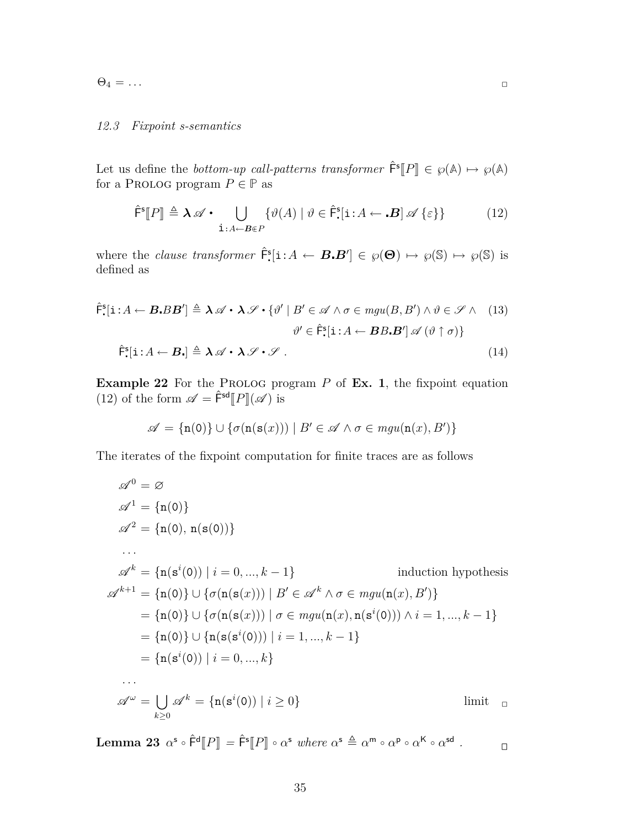$\Theta_4 = \dots$ 

### *12.3 Fixpoint s-semantics*

Let us define the *bottom-up call-patterns transformer*  $\hat{\mathsf{F}}^s[P] \in \wp(\mathbb{A}) \mapsto \wp(\mathbb{A})$ <br>for a PPOLOG program  $P \subseteq \mathbb{P}$  as for a PROLOG program  $P \in \mathbb{P}$  as

$$
\hat{\mathsf{F}}^{\mathsf{s}}[P] \triangleq \lambda \mathscr{A} \cdot \bigcup_{\mathbf{i}:A \leftarrow \mathbf{B} \in P} \{ \vartheta(A) \mid \vartheta \in \hat{\mathsf{F}}^{\mathsf{s}}_{\cdot}[\mathbf{i}:A \leftarrow \mathbf{B}] \mathscr{A} \{\varepsilon\} \} \tag{12}
$$

where the *clause transformer*  $\hat{F}$ <sup>5</sup>[i:*A*  $\leftarrow$  *B.B'*]  $\in \wp(\Theta) \mapsto \wp(\mathbb{S}) \mapsto \wp(\mathbb{S})$  is defined as

$$
\hat{\mathsf{F}}_{\bullet}^{\mathsf{s}}[\mathbf{i}:A \leftarrow \mathbf{B}.BB'] \triangleq \lambda \mathscr{A} \cdot \lambda \mathscr{S} \cdot \{\vartheta' \mid B' \in \mathscr{A} \land \sigma \in \mathit{mgu}(B,B') \land \vartheta \in \mathscr{S} \land (13) \n\vartheta' \in \hat{\mathsf{F}}_{\bullet}^{\mathsf{s}}[\mathbf{i}:A \leftarrow \mathbf{B}B.\mathbf{B'}] \mathscr{A} (\vartheta \uparrow \sigma) \} \n\hat{\mathsf{F}}_{\bullet}^{\mathsf{s}}[\mathbf{i}:A \leftarrow \mathbf{B}.\mathbf{j} \triangleq \lambda \mathscr{A} \cdot \lambda \mathscr{S} \cdot \mathscr{S} .
$$
\n(14)

**Example 22** For the PROLOG program  $P$  of **Ex. 1**, the fixpoint equation (12) of the form  $\mathscr{A} = \hat{\mathsf{F}}^{\mathsf{sd}}[P](\mathscr{A})$  is

$$
\mathscr{A} = \{ \mathbf{n}(0) \} \cup \{ \sigma(\mathbf{n}(\mathbf{s}(x))) \mid B' \in \mathscr{A} \land \sigma \in \text{mgu}(\mathbf{n}(x), B') \}
$$

The iterates of the fixpoint computation for finite traces are as follows

$$
\mathscr{A}^{0} = \varnothing
$$
  
\n
$$
\mathscr{A}^{1} = \{n(0)\}
$$
  
\n
$$
\mathscr{A}^{2} = \{n(0), n(s(0))\}
$$
  
\n...  
\n
$$
\mathscr{A}^{k} = \{n(s^{i}(0)) | i = 0, ..., k - 1\}
$$
 induction hypothesis  
\n
$$
\mathscr{A}^{k+1} = \{n(0)\} \cup \{\sigma(n(s(x))) | B' \in \mathscr{A}^{k} \land \sigma \in mgu(n(x), B')\}
$$
  
\n
$$
= \{n(0)\} \cup \{\sigma(n(s(x))) | \sigma \in mgu(n(x), n(s^{i}(0))) \land i = 1, ..., k - 1\}
$$
  
\n
$$
= \{n(0)\} \cup \{n(s(s^{i}(0))) | i = 1, ..., k - 1\}
$$
  
\n
$$
= \{n(s^{i}(0)) | i = 0, ..., k\}
$$
  
\n...  
\n
$$
\mathscr{A}^{\omega} = \bigcup_{k \ge 0} \mathscr{A}^{k} = \{n(s^{i}(0)) | i \ge 0\}
$$
 limit

Lemma 23  $\alpha^s \circ \hat{\mathsf{F}}^d[P] = \hat{\mathsf{F}}^s[P] \circ \alpha^s$  where  $\alpha^s \triangleq \alpha^m \circ \alpha^p \circ \alpha^{\mathsf{K}} \circ \alpha^{\mathsf{sd}}$  $\Box$ 

35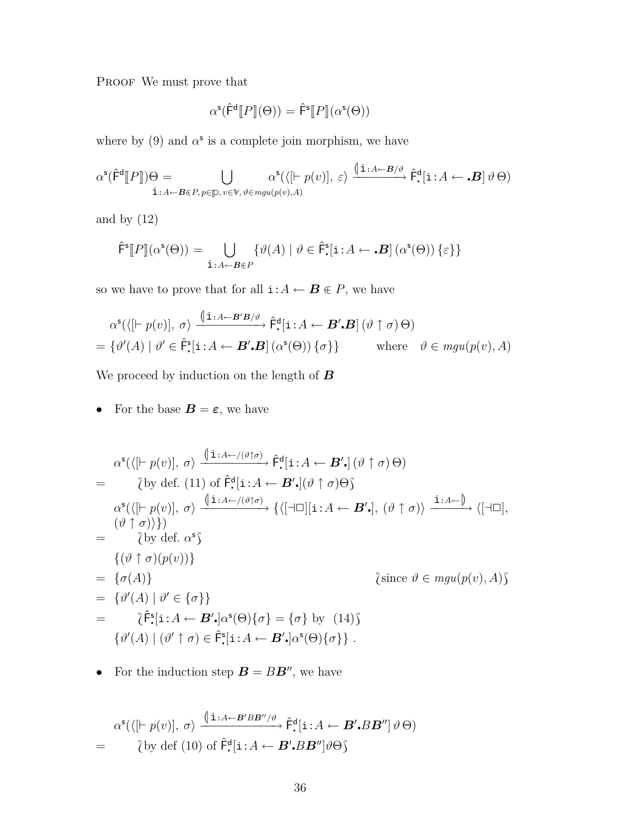PROOF We must prove that

$$
\alpha^{\mathsf{s}}(\hat{\mathsf{F}}^{\mathsf{d}}[P](\Theta)) = \hat{\mathsf{F}}^{\mathsf{s}}[P](\alpha^{\mathsf{s}}(\Theta))
$$

where by  $(9)$  and  $\alpha^s$  is a complete join morphism, we have

$$
\alpha^{\mathsf{s}}(\hat{\mathsf{F}}^{\mathsf{d}}[\![P]\!])\Theta = \bigcup_{\mathbf{i}:A\leftarrow\mathcal{B}\in\mathcal{P},\,p\in\mathcal{D},\,v\in\mathcal{V},\,\vartheta\in\mathit{mgu}(p(v),A)}\alpha^{\mathsf{s}}(\langle[\mathsf{F}\;p(v)],\,\varepsilon\rangle\xrightarrow{\langle\mathbf{i}:A\leftarrow\mathcal{B}/\vartheta}\hat{\mathsf{F}}_{\bullet}^{\mathsf{d}}[\mathbf{i}:A\leftarrow\mathbf{B}]\,\vartheta\,\Theta)
$$

and by (12)

$$
\hat{\mathsf{F}}^{\mathsf{s}}[P](\alpha^{\mathsf{s}}(\Theta)) = \bigcup_{\mathbf{i}:A \leftarrow \mathbf{B} \in P} \{ \vartheta(A) \mid \vartheta \in \hat{\mathsf{F}}^{\mathsf{s}}[\mathbf{i}:A \leftarrow \mathbf{B}] \left( \alpha^{\mathsf{s}}(\Theta) \right) \{ \varepsilon \} \}
$$

so we have to prove that for all  $\mathbf{i}:A \leftarrow \mathbf{B} \in P$ , we have

$$
\alpha^{\mathsf{s}}(\langle [\vdash p(v)], \sigma \rangle \xrightarrow{\langle \mathbf{i} : A \leftarrow B'B/\vartheta} \hat{\mathsf{F}}^{\mathsf{d}}[\mathbf{i} : A \leftarrow B'.\mathbf{B}] (\vartheta \uparrow \sigma) \Theta)
$$
  
=  $\{\vartheta'(A) \mid \vartheta' \in \hat{\mathsf{F}}^{\mathsf{s}}[\mathbf{i} : A \leftarrow \mathbf{B}'.\mathbf{B}] (\alpha^{\mathsf{s}}(\Theta)) \{\sigma\}\}\$  where  $\vartheta \in \text{mgu}(p(v), A)$ 

We proceed by induction on the length of *B*

• For the base  $\mathbf{B} = \boldsymbol{\varepsilon}$ , we have

$$
\alpha^{s}(\langle [F p(v)], \sigma \rangle \xrightarrow{\langle i : A \leftarrow f(\vartheta)\sigma \rangle} \hat{F}^{d}[i : A \leftarrow B',] (\vartheta \uparrow \sigma) \Theta)
$$
\n
$$
= \{by \text{ def. (11) of } \hat{F}^{d}[i : A \leftarrow B',] (\vartheta \uparrow \sigma) \Theta\}
$$
\n
$$
\alpha^{s}(\langle [F p(v)], \sigma \rangle \xrightarrow{\langle i : A \leftarrow f(\vartheta)\sigma \rangle} \{ \langle [-\Box][i : A \leftarrow B',], (\vartheta \uparrow \sigma) \rangle \xrightarrow{\langle i : A \leftarrow \rangle} \langle [-\Box], (\vartheta \uparrow \sigma) \rangle \rangle \rangle \} \rangle
$$
\n
$$
= \{by \text{ def. } \alpha^{s}\}
$$
\n
$$
\{(\vartheta \uparrow \sigma)(p(v))\}
$$
\n
$$
= \{\sigma(A)\}
$$
\n
$$
\{since \vartheta \in mgu(p(v), A)\}
$$
\n
$$
= \{\vartheta'(A) \mid \vartheta' \in \{\sigma\}\}
$$
\n
$$
\{(\vartheta' \uparrow \vartheta) \in \hat{F}^{s}[i : A \leftarrow B', \alpha^{s}(\Theta) \{\sigma\} = \{\sigma\} \text{ by (14)}\}
$$
\n
$$
\{(\vartheta'(A) \mid (\vartheta' \uparrow \sigma) \in \hat{F}^{s}[i : A \leftarrow B', \alpha^{s}(\Theta) \{\sigma\}\}.
$$

• For the induction step  $\mathbf{B} = B\mathbf{B}^n$ , we have

$$
\alpha^{\mathsf{s}}(\langle [\vdash p(v)], \sigma \rangle \xrightarrow{\langle \mathbf{i} : A \leftarrow B'BB'' \rangle \vartheta} \hat{\mathsf{F}}^{\mathsf{d}}_{\cdot}[\mathbf{i} : A \leftarrow B' \cdot BB''] \vartheta \Theta)
$$
  
= \langle by def (10) of  $\hat{\mathsf{F}}^{\mathsf{d}}_{\cdot}[\mathbf{i} : A \leftarrow B' \cdot BB''] \vartheta \Theta \rangle$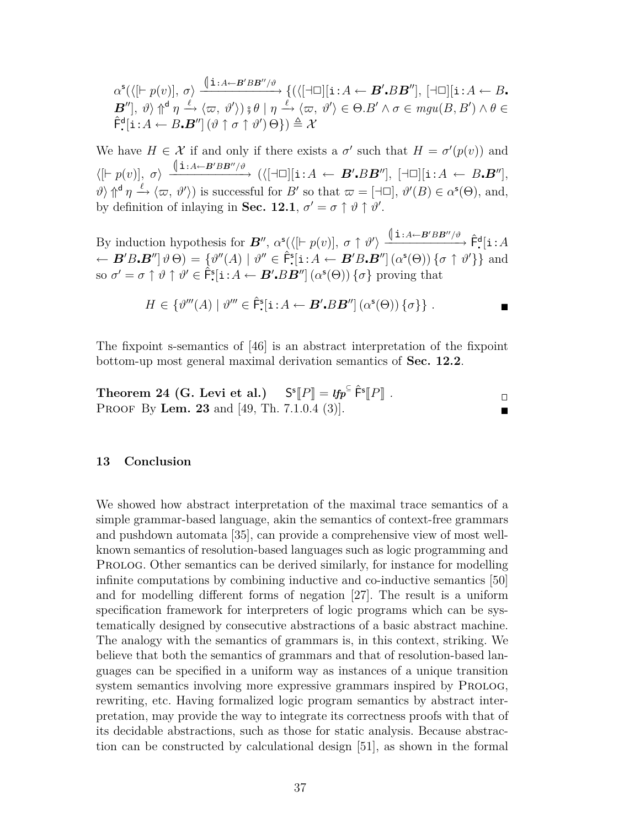$$
\alpha^{\mathsf{s}}(\langle [\vdash p(v)], \sigma \rangle \xrightarrow{\langle \mathbf{i} : A \leftarrow B'BB''/\vartheta} \{ (\langle [\dashv \Box][\mathbf{i} : A \leftarrow B' \cdot BB''], [\dashv \Box][\mathbf{i} : A \leftarrow B \cdot B''] \rangle, \varphi \} \uparrow \varphi \wedge \varphi, \vartheta' \rangle \} \vartheta \mid \eta \xrightarrow{\ell} \langle \varpi, \vartheta' \rangle \in \Theta \cdot B' \land \sigma \in \mathit{mgu}(B, B') \land \theta \in \hat{\mathsf{F}}^{\mathsf{d}}[\mathbf{i} : A \leftarrow B \cdot B''] (\vartheta \uparrow \sigma \uparrow \vartheta') \Theta \} ) \triangleq \mathcal{X}
$$

We have  $H \in \mathcal{X}$  if and only if there exists a  $\sigma'$  such that  $H = \sigma'(p(v))$  and  $\langle [\vdash p(v)],~\sigma\rangle ~\xrightarrow{\text{(} \textbf{i}:A\leftarrow B'BB''/\vartheta\ \quad} (\langle [\dashv \Box][\textbf{i}:A\leftarrow B' . BB''],~[\dashv \Box][\textbf{i}:A\leftarrow B . B''],$  $\vartheta$   $\uparrow$   $\uparrow$   $\vartheta$   $\downarrow$   $\langle \varpi, \vartheta' \rangle$  is successful for *B'* so that  $\varpi = [\exists \Box], \vartheta'(B) \in \alpha^s(\Theta)$ , and, by definition of inlaying in **Sec. 12.1**,  $\sigma' = \sigma \uparrow \vartheta \uparrow \vartheta'.$ 

By induction hypothesis for  $\mathbf{B}''$ ,  $\alpha^{\mathsf{s}}(\langle$   $[$   $\vdash p(v)]$ ,  $\sigma \uparrow \vartheta' \rangle \xrightarrow{\langle | \mathbf{i} : A \leftarrow \mathbf{B}'BB''/\vartheta \rangle} \hat{\mathsf{F}}^{\mathsf{d}} \mathbf{[} \mathbf{i} : A$  $\leftarrow$   $\mathbf{B}'B \cdot \mathbf{B}''[\vartheta \Theta] = {\vartheta}''(A) | \vartheta'' \in \hat{\mathsf{F}}^{\mathsf{s}}[i:A \leftarrow \mathbf{B}'B \cdot \mathbf{B}''](\alpha^{\mathsf{s}}(\Theta)) \{\sigma \uparrow \vartheta'\}\}\$ and  $\infty$  *σ*  $\uparrow$  *θ*  $\uparrow$  *θ*'  $\in \hat{F}$ <sup>5</sup>[i:*A*  $\leftarrow$  *B'BB''*] ( $\alpha$ <sup>5</sup>( $\Theta$ )) { $\sigma$ } proving that

$$
H \in \{ \vartheta'''(A) \mid \vartheta''' \in \hat{\mathsf{F}}^{\mathsf{s}}[{\bf i} : A \leftarrow \mathbf{B}'.BB''] \left( \alpha^{\mathsf{s}}(\Theta) \right) \{ \sigma \} \} .
$$

The fixpoint s-semantics of [46] is an abstract interpretation of the fixpoint bottom-up most general maximal derivation semantics of **Sec. 12.2**.

**Theorem 24 (G. Levi et al.)** 
$$
S^{s}[P] = \mathit{lfp}^{\subseteq} \hat{F}^{s}[P] .
$$
PROOF By **Len.** 23 and [49, Th. 7.1.0.4 (3)].

### **13 Conclusion**

We showed how abstract interpretation of the maximal trace semantics of a simple grammar-based language, akin the semantics of context-free grammars and pushdown automata [35], can provide a comprehensive view of most wellknown semantics of resolution-based languages such as logic programming and Prolog. Other semantics can be derived similarly, for instance for modelling infinite computations by combining inductive and co-inductive semantics [50] and for modelling different forms of negation [27]. The result is a uniform specification framework for interpreters of logic programs which can be systematically designed by consecutive abstractions of a basic abstract machine. The analogy with the semantics of grammars is, in this context, striking. We believe that both the semantics of grammars and that of resolution-based languages can be specified in a uniform way as instances of a unique transition system semantics involving more expressive grammars inspired by PROLOG, rewriting, etc. Having formalized logic program semantics by abstract interpretation, may provide the way to integrate its correctness proofs with that of its decidable abstractions, such as those for static analysis. Because abstraction can be constructed by calculational design [51], as shown in the formal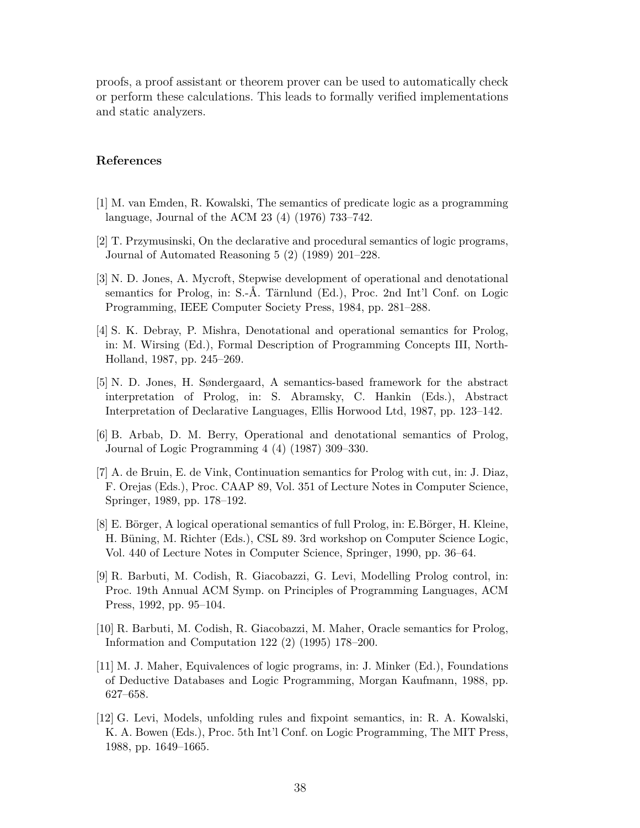proofs, a proof assistant or theorem prover can be used to automatically check or perform these calculations. This leads to formally verified implementations and static analyzers.

# **References**

- [1] M. van Emden, R. Kowalski, The semantics of predicate logic as a programming language, Journal of the ACM 23 (4) (1976) 733–742.
- [2] T. Przymusinski, On the declarative and procedural semantics of logic programs, Journal of Automated Reasoning 5 (2) (1989) 201–228.
- [3] N. D. Jones, A. Mycroft, Stepwise development of operational and denotational semantics for Prolog, in: S.-Å. Tärnlund (Ed.), Proc. 2nd Int'l Conf. on Logic Programming, IEEE Computer Society Press, 1984, pp. 281–288.
- [4] S. K. Debray, P. Mishra, Denotational and operational semantics for Prolog, in: M. Wirsing (Ed.), Formal Description of Programming Concepts III, North-Holland, 1987, pp. 245–269.
- [5] N. D. Jones, H. Søndergaard, A semantics-based framework for the abstract interpretation of Prolog, in: S. Abramsky, C. Hankin (Eds.), Abstract Interpretation of Declarative Languages, Ellis Horwood Ltd, 1987, pp. 123–142.
- [6] B. Arbab, D. M. Berry, Operational and denotational semantics of Prolog, Journal of Logic Programming 4 (4) (1987) 309–330.
- [7] A. de Bruin, E. de Vink, Continuation semantics for Prolog with cut, in: J. Diaz, F. Orejas (Eds.), Proc. CAAP 89, Vol. 351 of Lecture Notes in Computer Science, Springer, 1989, pp. 178–192.
- [8] E. Börger, A logical operational semantics of full Prolog, in: E.Börger, H. Kleine, H. Büning, M. Richter (Eds.), CSL 89. 3rd workshop on Computer Science Logic, Vol. 440 of Lecture Notes in Computer Science, Springer, 1990, pp. 36–64.
- [9] R. Barbuti, M. Codish, R. Giacobazzi, G. Levi, Modelling Prolog control, in: Proc. 19th Annual ACM Symp. on Principles of Programming Languages, ACM Press, 1992, pp. 95–104.
- [10] R. Barbuti, M. Codish, R. Giacobazzi, M. Maher, Oracle semantics for Prolog, Information and Computation 122 (2) (1995) 178–200.
- [11] M. J. Maher, Equivalences of logic programs, in: J. Minker (Ed.), Foundations of Deductive Databases and Logic Programming, Morgan Kaufmann, 1988, pp. 627–658.
- [12] G. Levi, Models, unfolding rules and fixpoint semantics, in: R. A. Kowalski, K. A. Bowen (Eds.), Proc. 5th Int'l Conf. on Logic Programming, The MIT Press, 1988, pp. 1649–1665.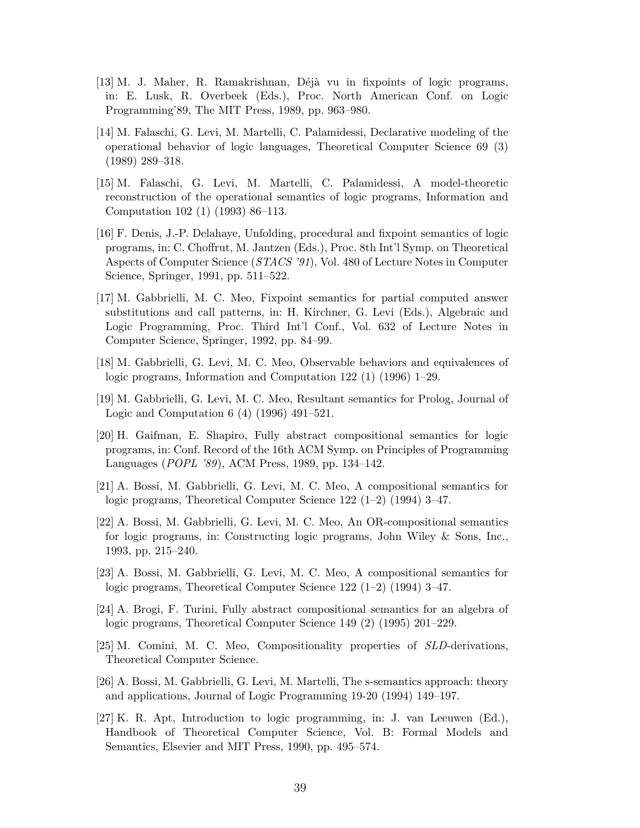- [13] M. J. Maher, R. Ramakrishnan, Déjà vu in fixpoints of logic programs, in: E. Lusk, R. Overbeek (Eds.), Proc. North American Conf. on Logic Programming'89, The MIT Press, 1989, pp. 963–980.
- [14] M. Falaschi, G. Levi, M. Martelli, C. Palamidessi, Declarative modeling of the operational behavior of logic languages, Theoretical Computer Science 69 (3) (1989) 289–318.
- [15] M. Falaschi, G. Levi, M. Martelli, C. Palamidessi, A model-theoretic reconstruction of the operational semantics of logic programs, Information and Computation 102 (1) (1993) 86–113.
- [16] F. Denis, J.-P. Delahaye, Unfolding, procedural and fixpoint semantics of logic programs, in: C. Choffrut, M. Jantzen (Eds.), Proc. 8th Int'l Symp. on Theoretical Aspects of Computer Science (*STACS '91*), Vol. 480 of Lecture Notes in Computer Science, Springer, 1991, pp. 511–522.
- [17] M. Gabbrielli, M. C. Meo, Fixpoint semantics for partial computed answer substitutions and call patterns, in: H. Kirchner, G. Levi (Eds.), Algebraic and Logic Programming, Proc. Third Int'l Conf., Vol. 632 of Lecture Notes in Computer Science, Springer, 1992, pp. 84–99.
- [18] M. Gabbrielli, G. Levi, M. C. Meo, Observable behaviors and equivalences of logic programs, Information and Computation 122 (1) (1996) 1–29.
- [19] M. Gabbrielli, G. Levi, M. C. Meo, Resultant semantics for Prolog, Journal of Logic and Computation 6 (4) (1996) 491–521.
- [20] H. Gaifman, E. Shapiro, Fully abstract compositional semantics for logic programs, in: Conf. Record of the 16th ACM Symp. on Principles of Programming Languages (*POPL '89*), ACM Press, 1989, pp. 134–142.
- [21] A. Bossi, M. Gabbrielli, G. Levi, M. C. Meo, A compositional semantics for logic programs, Theoretical Computer Science 122 (1–2) (1994) 3–47.
- [22] A. Bossi, M. Gabbrielli, G. Levi, M. C. Meo, An OR-compositional semantics for logic programs, in: Constructing logic programs, John Wiley & Sons, Inc., 1993, pp. 215–240.
- [23] A. Bossi, M. Gabbrielli, G. Levi, M. C. Meo, A compositional semantics for logic programs, Theoretical Computer Science 122 (1–2) (1994) 3–47.
- [24] A. Brogi, F. Turini, Fully abstract compositional semantics for an algebra of logic programs, Theoretical Computer Science 149 (2) (1995) 201–229.
- [25] M. Comini, M. C. Meo, Compositionality properties of *SLD*-derivations, Theoretical Computer Science.
- [26] A. Bossi, M. Gabbrielli, G. Levi, M. Martelli, The s-semantics approach: theory and applications, Journal of Logic Programming 19-20 (1994) 149–197.
- [27] K. R. Apt, Introduction to logic programming, in: J. van Leeuwen (Ed.), Handbook of Theoretical Computer Science, Vol. B: Formal Models and Semantics, Elsevier and MIT Press, 1990, pp. 495–574.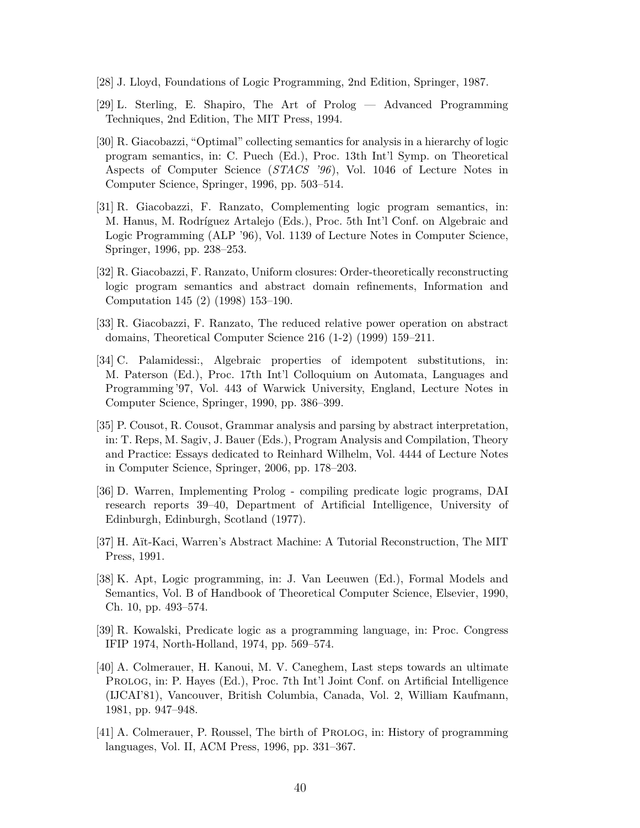- [28] J. Lloyd, Foundations of Logic Programming, 2nd Edition, Springer, 1987.
- [29] L. Sterling, E. Shapiro, The Art of Prolog Advanced Programming Techniques, 2nd Edition, The MIT Press, 1994.
- [30] R. Giacobazzi, "Optimal" collecting semantics for analysis in a hierarchy of logic program semantics, in: C. Puech (Ed.), Proc. 13th Int'l Symp. on Theoretical Aspects of Computer Science (*STACS '96*), Vol. 1046 of Lecture Notes in Computer Science, Springer, 1996, pp. 503–514.
- [31] R. Giacobazzi, F. Ranzato, Complementing logic program semantics, in: M. Hanus, M. Rodríguez Artalejo (Eds.), Proc. 5th Int'l Conf. on Algebraic and Logic Programming (ALP '96), Vol. 1139 of Lecture Notes in Computer Science, Springer, 1996, pp. 238–253.
- [32] R. Giacobazzi, F. Ranzato, Uniform closures: Order-theoretically reconstructing logic program semantics and abstract domain refinements, Information and Computation 145 (2) (1998) 153–190.
- [33] R. Giacobazzi, F. Ranzato, The reduced relative power operation on abstract domains, Theoretical Computer Science 216 (1-2) (1999) 159–211.
- [34] C. Palamidessi:, Algebraic properties of idempotent substitutions, in: M. Paterson (Ed.), Proc. 17th Int'l Colloquium on Automata, Languages and Programming '97, Vol. 443 of Warwick University, England, Lecture Notes in Computer Science, Springer, 1990, pp. 386–399.
- [35] P. Cousot, R. Cousot, Grammar analysis and parsing by abstract interpretation, in: T. Reps, M. Sagiv, J. Bauer (Eds.), Program Analysis and Compilation, Theory and Practice: Essays dedicated to Reinhard Wilhelm, Vol. 4444 of Lecture Notes in Computer Science, Springer, 2006, pp. 178–203.
- [36] D. Warren, Implementing Prolog compiling predicate logic programs, DAI research reports 39–40, Department of Artificial Intelligence, University of Edinburgh, Edinburgh, Scotland (1977).
- [37] H. Aït-Kaci, Warren's Abstract Machine: A Tutorial Reconstruction, The MIT Press, 1991.
- [38] K. Apt, Logic programming, in: J. Van Leeuwen (Ed.), Formal Models and Semantics, Vol. B of Handbook of Theoretical Computer Science, Elsevier, 1990, Ch. 10, pp. 493–574.
- [39] R. Kowalski, Predicate logic as a programming language, in: Proc. Congress IFIP 1974, North-Holland, 1974, pp. 569–574.
- [40] A. Colmerauer, H. Kanoui, M. V. Caneghem, Last steps towards an ultimate Prolog, in: P. Hayes (Ed.), Proc. 7th Int'l Joint Conf. on Artificial Intelligence (IJCAI'81), Vancouver, British Columbia, Canada, Vol. 2, William Kaufmann, 1981, pp. 947–948.
- [41] A. Colmerauer, P. Roussel, The birth of Prolog, in: History of programming languages, Vol. II, ACM Press, 1996, pp. 331–367.